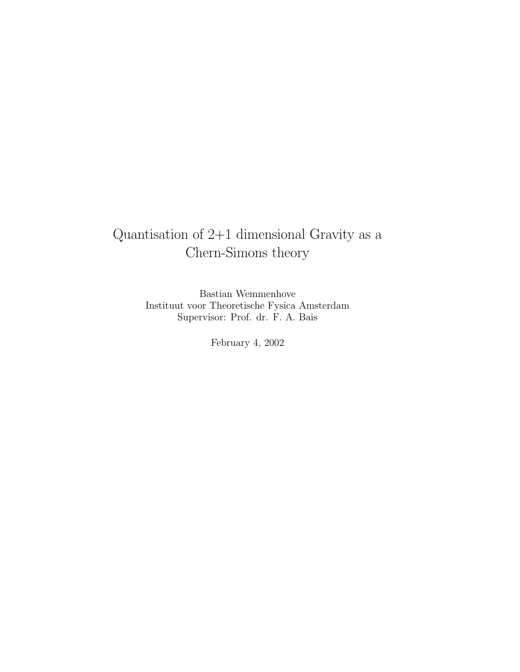# Quantisation of 2+1 dimensional Gravity as a Chern-Simons theory

Bastian Wemmenhove Instituut voor Theoretische Fysica Amsterdam Supervisor: Prof. dr. F. A. Bais

February 4, 2002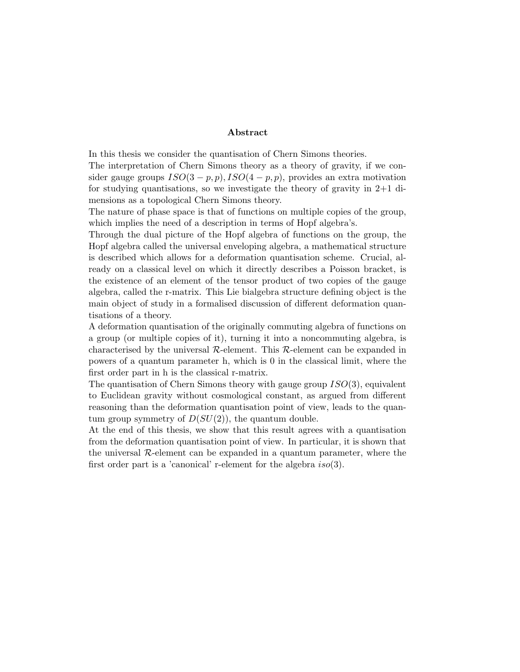# Abstract

In this thesis we consider the quantisation of Chern Simons theories.

The interpretation of Chern Simons theory as a theory of gravity, if we consider gauge groups  $ISO(3-p, p), ISO(4-p, p)$ , provides an extra motivation for studying quantisations, so we investigate the theory of gravity in 2+1 dimensions as a topological Chern Simons theory.

The nature of phase space is that of functions on multiple copies of the group, which implies the need of a description in terms of Hopf algebra's.

Through the dual picture of the Hopf algebra of functions on the group, the Hopf algebra called the universal enveloping algebra, a mathematical structure is described which allows for a deformation quantisation scheme. Crucial, already on a classical level on which it directly describes a Poisson bracket, is the existence of an element of the tensor product of two copies of the gauge algebra, called the r-matrix. This Lie bialgebra structure defining object is the main object of study in a formalised discussion of different deformation quantisations of a theory.

A deformation quantisation of the originally commuting algebra of functions on a group (or multiple copies of it), turning it into a noncommuting algebra, is characterised by the universal  $\mathcal{R}$ -element. This  $\mathcal{R}$ -element can be expanded in powers of a quantum parameter h, which is 0 in the classical limit, where the first order part in h is the classical r-matrix.

The quantisation of Chern Simons theory with gauge group  $ISO(3)$ , equivalent to Euclidean gravity without cosmological constant, as argued from different reasoning than the deformation quantisation point of view, leads to the quantum group symmetry of  $D(SU(2))$ , the quantum double.

At the end of this thesis, we show that this result agrees with a quantisation from the deformation quantisation point of view. In particular, it is shown that the universal  $R$ -element can be expanded in a quantum parameter, where the first order part is a 'canonical' r-element for the algebra  $iso(3)$ .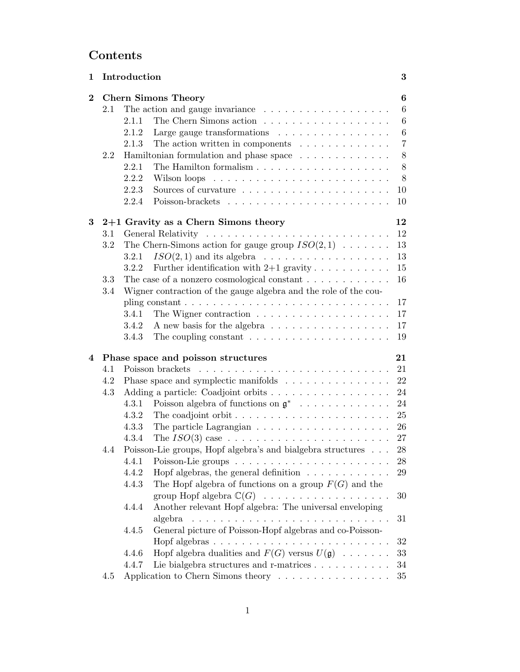# Contents

| $6\phantom{1}6$<br>$\bf{2}$<br><b>Chern Simons Theory</b><br>$6\phantom{.}6$<br>The action and gauge invariance $\ldots \ldots \ldots \ldots \ldots$<br>2.1<br>$\,6\,$<br>2.1.1<br>Large gauge transformations $\ldots \ldots \ldots \ldots \ldots$<br>$\,6\,$<br>2.1.2<br>$\overline{7}$<br>The action written in components $\ldots \ldots \ldots \ldots$<br>2.1.3<br>8<br>Hamiltonian formulation and phase space<br>2.2<br>8<br>2.2.1<br>8<br>2.2.2<br>2.2.3<br>10<br>2.2.4<br>10<br>$2+1$ Gravity as a Chern Simons theory<br>12<br>3<br>12<br>3.1<br>The Chern-Simons action for gauge group $ISO(2,1) \dots \dots$<br>13<br>3.2<br>$13\,$<br>$ISO(2,1)$ and its algebra $\ldots \ldots \ldots \ldots \ldots$<br>3.2.1<br>Further identification with $2+1$ gravity $\ldots \ldots \ldots \ldots$<br>15<br>3.2.2<br>The case of a nonzero cosmological constant $\ldots \ldots \ldots \ldots$<br>16<br>$3.3\,$<br>3.4<br>Wigner contraction of the gauge algebra and the role of the cou-<br>pling constant $\ldots \ldots \ldots \ldots \ldots \ldots \ldots \ldots \ldots$<br>17<br>17<br>3.4.1<br>A new basis for the algebra<br>17<br>3.4.2<br>The coupling constant $\dots \dots \dots \dots \dots \dots \dots \dots$<br>19<br>3.4.3<br>Phase space and poisson structures<br>21<br>4<br>Poisson brackets<br>4.1<br>21<br>Phase space and symplectic manifolds<br>22<br>4.2<br>Adding a particle: Coadjoint orbits<br>4.3<br>24<br>Poisson algebra of functions on $\mathfrak{g}^*$<br>24<br>4.3.1<br>4.3.2<br>25<br>4.3.3<br>26<br>27<br>4.3.4<br>Poisson-Lie groups, Hopf algebra's and bialgebra structures<br>28<br>4.4<br>4.4.1<br>28<br>Hopf algebras, the general definition $\ldots \ldots \ldots \ldots$<br>4.4.2<br>29<br>The Hopf algebra of functions on a group $F(G)$ and the<br>4.4.3<br>group Hopf algebra $\mathbb{C}(G)$<br>30<br>Another relevant Hopf algebra: The universal enveloping<br>4.4.4<br>algebra<br>31<br>General picture of Poisson-Hopf algebras and co-Poisson-<br>4.4.5<br>32<br>Hopf algebra dualities and $F(G)$ versus $U(\mathfrak{g}) \dots \dots$<br>33<br>4.4.6<br>Lie bialgebra structures and r-matrices $\ldots \ldots \ldots$<br>$34\,$<br>4.4.7<br>Application to Chern Simons theory<br>$35\,$<br>4.5 | 1 |  | Introduction<br>$\bf{3}$ |  |  |  |  |  |  |
|------------------------------------------------------------------------------------------------------------------------------------------------------------------------------------------------------------------------------------------------------------------------------------------------------------------------------------------------------------------------------------------------------------------------------------------------------------------------------------------------------------------------------------------------------------------------------------------------------------------------------------------------------------------------------------------------------------------------------------------------------------------------------------------------------------------------------------------------------------------------------------------------------------------------------------------------------------------------------------------------------------------------------------------------------------------------------------------------------------------------------------------------------------------------------------------------------------------------------------------------------------------------------------------------------------------------------------------------------------------------------------------------------------------------------------------------------------------------------------------------------------------------------------------------------------------------------------------------------------------------------------------------------------------------------------------------------------------------------------------------------------------------------------------------------------------------------------------------------------------------------------------------------------------------------------------------------------------------------------------------------------------------------------------------------------------------------------------------------------------------------------------------------------------------------------------------------------------------------------------------------------------|---|--|--------------------------|--|--|--|--|--|--|
|                                                                                                                                                                                                                                                                                                                                                                                                                                                                                                                                                                                                                                                                                                                                                                                                                                                                                                                                                                                                                                                                                                                                                                                                                                                                                                                                                                                                                                                                                                                                                                                                                                                                                                                                                                                                                                                                                                                                                                                                                                                                                                                                                                                                                                                                  |   |  |                          |  |  |  |  |  |  |
|                                                                                                                                                                                                                                                                                                                                                                                                                                                                                                                                                                                                                                                                                                                                                                                                                                                                                                                                                                                                                                                                                                                                                                                                                                                                                                                                                                                                                                                                                                                                                                                                                                                                                                                                                                                                                                                                                                                                                                                                                                                                                                                                                                                                                                                                  |   |  |                          |  |  |  |  |  |  |
|                                                                                                                                                                                                                                                                                                                                                                                                                                                                                                                                                                                                                                                                                                                                                                                                                                                                                                                                                                                                                                                                                                                                                                                                                                                                                                                                                                                                                                                                                                                                                                                                                                                                                                                                                                                                                                                                                                                                                                                                                                                                                                                                                                                                                                                                  |   |  |                          |  |  |  |  |  |  |
|                                                                                                                                                                                                                                                                                                                                                                                                                                                                                                                                                                                                                                                                                                                                                                                                                                                                                                                                                                                                                                                                                                                                                                                                                                                                                                                                                                                                                                                                                                                                                                                                                                                                                                                                                                                                                                                                                                                                                                                                                                                                                                                                                                                                                                                                  |   |  |                          |  |  |  |  |  |  |
|                                                                                                                                                                                                                                                                                                                                                                                                                                                                                                                                                                                                                                                                                                                                                                                                                                                                                                                                                                                                                                                                                                                                                                                                                                                                                                                                                                                                                                                                                                                                                                                                                                                                                                                                                                                                                                                                                                                                                                                                                                                                                                                                                                                                                                                                  |   |  |                          |  |  |  |  |  |  |
|                                                                                                                                                                                                                                                                                                                                                                                                                                                                                                                                                                                                                                                                                                                                                                                                                                                                                                                                                                                                                                                                                                                                                                                                                                                                                                                                                                                                                                                                                                                                                                                                                                                                                                                                                                                                                                                                                                                                                                                                                                                                                                                                                                                                                                                                  |   |  |                          |  |  |  |  |  |  |
|                                                                                                                                                                                                                                                                                                                                                                                                                                                                                                                                                                                                                                                                                                                                                                                                                                                                                                                                                                                                                                                                                                                                                                                                                                                                                                                                                                                                                                                                                                                                                                                                                                                                                                                                                                                                                                                                                                                                                                                                                                                                                                                                                                                                                                                                  |   |  |                          |  |  |  |  |  |  |
|                                                                                                                                                                                                                                                                                                                                                                                                                                                                                                                                                                                                                                                                                                                                                                                                                                                                                                                                                                                                                                                                                                                                                                                                                                                                                                                                                                                                                                                                                                                                                                                                                                                                                                                                                                                                                                                                                                                                                                                                                                                                                                                                                                                                                                                                  |   |  |                          |  |  |  |  |  |  |
|                                                                                                                                                                                                                                                                                                                                                                                                                                                                                                                                                                                                                                                                                                                                                                                                                                                                                                                                                                                                                                                                                                                                                                                                                                                                                                                                                                                                                                                                                                                                                                                                                                                                                                                                                                                                                                                                                                                                                                                                                                                                                                                                                                                                                                                                  |   |  |                          |  |  |  |  |  |  |
|                                                                                                                                                                                                                                                                                                                                                                                                                                                                                                                                                                                                                                                                                                                                                                                                                                                                                                                                                                                                                                                                                                                                                                                                                                                                                                                                                                                                                                                                                                                                                                                                                                                                                                                                                                                                                                                                                                                                                                                                                                                                                                                                                                                                                                                                  |   |  |                          |  |  |  |  |  |  |
|                                                                                                                                                                                                                                                                                                                                                                                                                                                                                                                                                                                                                                                                                                                                                                                                                                                                                                                                                                                                                                                                                                                                                                                                                                                                                                                                                                                                                                                                                                                                                                                                                                                                                                                                                                                                                                                                                                                                                                                                                                                                                                                                                                                                                                                                  |   |  |                          |  |  |  |  |  |  |
|                                                                                                                                                                                                                                                                                                                                                                                                                                                                                                                                                                                                                                                                                                                                                                                                                                                                                                                                                                                                                                                                                                                                                                                                                                                                                                                                                                                                                                                                                                                                                                                                                                                                                                                                                                                                                                                                                                                                                                                                                                                                                                                                                                                                                                                                  |   |  |                          |  |  |  |  |  |  |
|                                                                                                                                                                                                                                                                                                                                                                                                                                                                                                                                                                                                                                                                                                                                                                                                                                                                                                                                                                                                                                                                                                                                                                                                                                                                                                                                                                                                                                                                                                                                                                                                                                                                                                                                                                                                                                                                                                                                                                                                                                                                                                                                                                                                                                                                  |   |  |                          |  |  |  |  |  |  |
|                                                                                                                                                                                                                                                                                                                                                                                                                                                                                                                                                                                                                                                                                                                                                                                                                                                                                                                                                                                                                                                                                                                                                                                                                                                                                                                                                                                                                                                                                                                                                                                                                                                                                                                                                                                                                                                                                                                                                                                                                                                                                                                                                                                                                                                                  |   |  |                          |  |  |  |  |  |  |
|                                                                                                                                                                                                                                                                                                                                                                                                                                                                                                                                                                                                                                                                                                                                                                                                                                                                                                                                                                                                                                                                                                                                                                                                                                                                                                                                                                                                                                                                                                                                                                                                                                                                                                                                                                                                                                                                                                                                                                                                                                                                                                                                                                                                                                                                  |   |  |                          |  |  |  |  |  |  |
|                                                                                                                                                                                                                                                                                                                                                                                                                                                                                                                                                                                                                                                                                                                                                                                                                                                                                                                                                                                                                                                                                                                                                                                                                                                                                                                                                                                                                                                                                                                                                                                                                                                                                                                                                                                                                                                                                                                                                                                                                                                                                                                                                                                                                                                                  |   |  |                          |  |  |  |  |  |  |
|                                                                                                                                                                                                                                                                                                                                                                                                                                                                                                                                                                                                                                                                                                                                                                                                                                                                                                                                                                                                                                                                                                                                                                                                                                                                                                                                                                                                                                                                                                                                                                                                                                                                                                                                                                                                                                                                                                                                                                                                                                                                                                                                                                                                                                                                  |   |  |                          |  |  |  |  |  |  |
|                                                                                                                                                                                                                                                                                                                                                                                                                                                                                                                                                                                                                                                                                                                                                                                                                                                                                                                                                                                                                                                                                                                                                                                                                                                                                                                                                                                                                                                                                                                                                                                                                                                                                                                                                                                                                                                                                                                                                                                                                                                                                                                                                                                                                                                                  |   |  |                          |  |  |  |  |  |  |
|                                                                                                                                                                                                                                                                                                                                                                                                                                                                                                                                                                                                                                                                                                                                                                                                                                                                                                                                                                                                                                                                                                                                                                                                                                                                                                                                                                                                                                                                                                                                                                                                                                                                                                                                                                                                                                                                                                                                                                                                                                                                                                                                                                                                                                                                  |   |  |                          |  |  |  |  |  |  |
|                                                                                                                                                                                                                                                                                                                                                                                                                                                                                                                                                                                                                                                                                                                                                                                                                                                                                                                                                                                                                                                                                                                                                                                                                                                                                                                                                                                                                                                                                                                                                                                                                                                                                                                                                                                                                                                                                                                                                                                                                                                                                                                                                                                                                                                                  |   |  |                          |  |  |  |  |  |  |
|                                                                                                                                                                                                                                                                                                                                                                                                                                                                                                                                                                                                                                                                                                                                                                                                                                                                                                                                                                                                                                                                                                                                                                                                                                                                                                                                                                                                                                                                                                                                                                                                                                                                                                                                                                                                                                                                                                                                                                                                                                                                                                                                                                                                                                                                  |   |  |                          |  |  |  |  |  |  |
|                                                                                                                                                                                                                                                                                                                                                                                                                                                                                                                                                                                                                                                                                                                                                                                                                                                                                                                                                                                                                                                                                                                                                                                                                                                                                                                                                                                                                                                                                                                                                                                                                                                                                                                                                                                                                                                                                                                                                                                                                                                                                                                                                                                                                                                                  |   |  |                          |  |  |  |  |  |  |
|                                                                                                                                                                                                                                                                                                                                                                                                                                                                                                                                                                                                                                                                                                                                                                                                                                                                                                                                                                                                                                                                                                                                                                                                                                                                                                                                                                                                                                                                                                                                                                                                                                                                                                                                                                                                                                                                                                                                                                                                                                                                                                                                                                                                                                                                  |   |  |                          |  |  |  |  |  |  |
|                                                                                                                                                                                                                                                                                                                                                                                                                                                                                                                                                                                                                                                                                                                                                                                                                                                                                                                                                                                                                                                                                                                                                                                                                                                                                                                                                                                                                                                                                                                                                                                                                                                                                                                                                                                                                                                                                                                                                                                                                                                                                                                                                                                                                                                                  |   |  |                          |  |  |  |  |  |  |
|                                                                                                                                                                                                                                                                                                                                                                                                                                                                                                                                                                                                                                                                                                                                                                                                                                                                                                                                                                                                                                                                                                                                                                                                                                                                                                                                                                                                                                                                                                                                                                                                                                                                                                                                                                                                                                                                                                                                                                                                                                                                                                                                                                                                                                                                  |   |  |                          |  |  |  |  |  |  |
|                                                                                                                                                                                                                                                                                                                                                                                                                                                                                                                                                                                                                                                                                                                                                                                                                                                                                                                                                                                                                                                                                                                                                                                                                                                                                                                                                                                                                                                                                                                                                                                                                                                                                                                                                                                                                                                                                                                                                                                                                                                                                                                                                                                                                                                                  |   |  |                          |  |  |  |  |  |  |
|                                                                                                                                                                                                                                                                                                                                                                                                                                                                                                                                                                                                                                                                                                                                                                                                                                                                                                                                                                                                                                                                                                                                                                                                                                                                                                                                                                                                                                                                                                                                                                                                                                                                                                                                                                                                                                                                                                                                                                                                                                                                                                                                                                                                                                                                  |   |  |                          |  |  |  |  |  |  |
|                                                                                                                                                                                                                                                                                                                                                                                                                                                                                                                                                                                                                                                                                                                                                                                                                                                                                                                                                                                                                                                                                                                                                                                                                                                                                                                                                                                                                                                                                                                                                                                                                                                                                                                                                                                                                                                                                                                                                                                                                                                                                                                                                                                                                                                                  |   |  |                          |  |  |  |  |  |  |
|                                                                                                                                                                                                                                                                                                                                                                                                                                                                                                                                                                                                                                                                                                                                                                                                                                                                                                                                                                                                                                                                                                                                                                                                                                                                                                                                                                                                                                                                                                                                                                                                                                                                                                                                                                                                                                                                                                                                                                                                                                                                                                                                                                                                                                                                  |   |  |                          |  |  |  |  |  |  |
|                                                                                                                                                                                                                                                                                                                                                                                                                                                                                                                                                                                                                                                                                                                                                                                                                                                                                                                                                                                                                                                                                                                                                                                                                                                                                                                                                                                                                                                                                                                                                                                                                                                                                                                                                                                                                                                                                                                                                                                                                                                                                                                                                                                                                                                                  |   |  |                          |  |  |  |  |  |  |
|                                                                                                                                                                                                                                                                                                                                                                                                                                                                                                                                                                                                                                                                                                                                                                                                                                                                                                                                                                                                                                                                                                                                                                                                                                                                                                                                                                                                                                                                                                                                                                                                                                                                                                                                                                                                                                                                                                                                                                                                                                                                                                                                                                                                                                                                  |   |  |                          |  |  |  |  |  |  |
|                                                                                                                                                                                                                                                                                                                                                                                                                                                                                                                                                                                                                                                                                                                                                                                                                                                                                                                                                                                                                                                                                                                                                                                                                                                                                                                                                                                                                                                                                                                                                                                                                                                                                                                                                                                                                                                                                                                                                                                                                                                                                                                                                                                                                                                                  |   |  |                          |  |  |  |  |  |  |
|                                                                                                                                                                                                                                                                                                                                                                                                                                                                                                                                                                                                                                                                                                                                                                                                                                                                                                                                                                                                                                                                                                                                                                                                                                                                                                                                                                                                                                                                                                                                                                                                                                                                                                                                                                                                                                                                                                                                                                                                                                                                                                                                                                                                                                                                  |   |  |                          |  |  |  |  |  |  |
|                                                                                                                                                                                                                                                                                                                                                                                                                                                                                                                                                                                                                                                                                                                                                                                                                                                                                                                                                                                                                                                                                                                                                                                                                                                                                                                                                                                                                                                                                                                                                                                                                                                                                                                                                                                                                                                                                                                                                                                                                                                                                                                                                                                                                                                                  |   |  |                          |  |  |  |  |  |  |
|                                                                                                                                                                                                                                                                                                                                                                                                                                                                                                                                                                                                                                                                                                                                                                                                                                                                                                                                                                                                                                                                                                                                                                                                                                                                                                                                                                                                                                                                                                                                                                                                                                                                                                                                                                                                                                                                                                                                                                                                                                                                                                                                                                                                                                                                  |   |  |                          |  |  |  |  |  |  |
|                                                                                                                                                                                                                                                                                                                                                                                                                                                                                                                                                                                                                                                                                                                                                                                                                                                                                                                                                                                                                                                                                                                                                                                                                                                                                                                                                                                                                                                                                                                                                                                                                                                                                                                                                                                                                                                                                                                                                                                                                                                                                                                                                                                                                                                                  |   |  |                          |  |  |  |  |  |  |
|                                                                                                                                                                                                                                                                                                                                                                                                                                                                                                                                                                                                                                                                                                                                                                                                                                                                                                                                                                                                                                                                                                                                                                                                                                                                                                                                                                                                                                                                                                                                                                                                                                                                                                                                                                                                                                                                                                                                                                                                                                                                                                                                                                                                                                                                  |   |  |                          |  |  |  |  |  |  |
|                                                                                                                                                                                                                                                                                                                                                                                                                                                                                                                                                                                                                                                                                                                                                                                                                                                                                                                                                                                                                                                                                                                                                                                                                                                                                                                                                                                                                                                                                                                                                                                                                                                                                                                                                                                                                                                                                                                                                                                                                                                                                                                                                                                                                                                                  |   |  |                          |  |  |  |  |  |  |
|                                                                                                                                                                                                                                                                                                                                                                                                                                                                                                                                                                                                                                                                                                                                                                                                                                                                                                                                                                                                                                                                                                                                                                                                                                                                                                                                                                                                                                                                                                                                                                                                                                                                                                                                                                                                                                                                                                                                                                                                                                                                                                                                                                                                                                                                  |   |  |                          |  |  |  |  |  |  |
|                                                                                                                                                                                                                                                                                                                                                                                                                                                                                                                                                                                                                                                                                                                                                                                                                                                                                                                                                                                                                                                                                                                                                                                                                                                                                                                                                                                                                                                                                                                                                                                                                                                                                                                                                                                                                                                                                                                                                                                                                                                                                                                                                                                                                                                                  |   |  |                          |  |  |  |  |  |  |
|                                                                                                                                                                                                                                                                                                                                                                                                                                                                                                                                                                                                                                                                                                                                                                                                                                                                                                                                                                                                                                                                                                                                                                                                                                                                                                                                                                                                                                                                                                                                                                                                                                                                                                                                                                                                                                                                                                                                                                                                                                                                                                                                                                                                                                                                  |   |  |                          |  |  |  |  |  |  |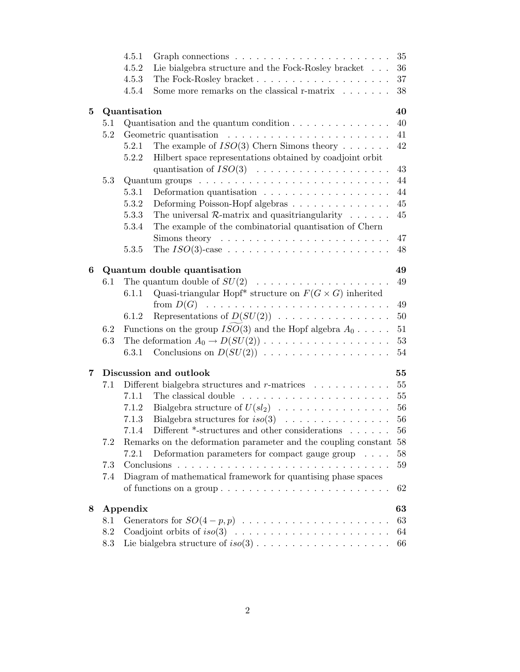|   |     | 4.5.1                               | Graph connections $\ldots \ldots \ldots \ldots \ldots \ldots \ldots$            | 35 |  |  |  |  |
|---|-----|-------------------------------------|---------------------------------------------------------------------------------|----|--|--|--|--|
|   |     | 4.5.2                               | Lie bialgebra structure and the Fock-Rosley bracket                             | 36 |  |  |  |  |
|   |     | 4.5.3                               | The Fock-Rosley bracket                                                         | 37 |  |  |  |  |
|   |     | 4.5.4                               | Some more remarks on the classical r-matrix                                     | 38 |  |  |  |  |
| 5 |     | 40<br>Quantisation                  |                                                                                 |    |  |  |  |  |
|   | 5.1 |                                     | Quantisation and the quantum condition $\ldots \ldots \ldots \ldots$            | 40 |  |  |  |  |
|   | 5.2 |                                     |                                                                                 | 41 |  |  |  |  |
|   |     | 5.2.1                               | The example of $ISO(3)$ Chern Simons theory                                     | 42 |  |  |  |  |
|   |     | 5.2.2                               | Hilbert space representations obtained by coadjoint orbit                       |    |  |  |  |  |
|   |     |                                     | quantisation of $ISO(3) \dots \dots \dots \dots \dots \dots \dots$              | 43 |  |  |  |  |
|   | 5.3 |                                     | Quantum groups $\ldots \ldots \ldots \ldots \ldots \ldots \ldots \ldots \ldots$ | 44 |  |  |  |  |
|   |     | 5.3.1                               | Deformation quantisation $\ldots \ldots \ldots \ldots \ldots$                   | 44 |  |  |  |  |
|   |     | 5.3.2                               | Deforming Poisson-Hopf algebras                                                 | 45 |  |  |  |  |
|   |     | 5.3.3                               | The universal $\mathcal{R}$ -matrix and quasitriangularity                      | 45 |  |  |  |  |
|   |     | 5.3.4                               | The example of the combinatorial quantisation of Chern                          |    |  |  |  |  |
|   |     |                                     | Simons theory $\dots \dots \dots \dots \dots \dots \dots \dots \dots$           | 47 |  |  |  |  |
|   |     | 5.3.5                               |                                                                                 | 48 |  |  |  |  |
| 6 |     | 49<br>Quantum double quantisation   |                                                                                 |    |  |  |  |  |
|   | 6.1 | The quantum double of $SU(2)$<br>49 |                                                                                 |    |  |  |  |  |
|   |     | 6.1.1                               | Quasi-triangular Hopf* structure on $F(G \times G)$ inherited                   |    |  |  |  |  |
|   |     |                                     | from $D(G)$                                                                     | 49 |  |  |  |  |
|   |     | 6.1.2                               | Representations of $D(SU(2))$                                                   | 50 |  |  |  |  |
|   | 6.2 |                                     | Functions on the group $ISO(3)$ and the Hopf algebra $A_0 \ldots$ .             | 51 |  |  |  |  |
|   | 6.3 |                                     |                                                                                 | 53 |  |  |  |  |
|   |     | 6.3.1                               | Conclusions on $D(SU(2))$                                                       | 54 |  |  |  |  |
| 7 |     | 55<br>Discussion and outlook        |                                                                                 |    |  |  |  |  |
|   | 7.1 |                                     | Different bialgebra structures and $r$ -matrices $\ldots \ldots \ldots$         | 55 |  |  |  |  |
|   |     | 7.1.1                               | The classical double                                                            | 55 |  |  |  |  |
|   |     | 7.1.2                               | Bialgebra structure of $U(sl_2) \dots \dots \dots \dots \dots$                  | 56 |  |  |  |  |
|   |     | 7.1.3                               |                                                                                 |    |  |  |  |  |
|   |     | 7.1.4                               | Different $*$ -structures and other considerations $\dots \dots$ 56             |    |  |  |  |  |
|   | 7.2 |                                     | Remarks on the deformation parameter and the coupling constant                  | 58 |  |  |  |  |
|   |     | 7.2.1                               | Deformation parameters for compact gauge group                                  | 58 |  |  |  |  |
|   | 7.3 |                                     |                                                                                 | 59 |  |  |  |  |
|   | 7.4 |                                     | Diagram of mathematical framework for quantising phase spaces                   |    |  |  |  |  |
|   |     |                                     |                                                                                 | 62 |  |  |  |  |
| 8 |     | Appendix                            |                                                                                 | 63 |  |  |  |  |
|   | 8.1 |                                     |                                                                                 | 63 |  |  |  |  |
|   | 8.2 |                                     |                                                                                 | 64 |  |  |  |  |
|   | 8.3 |                                     |                                                                                 | 66 |  |  |  |  |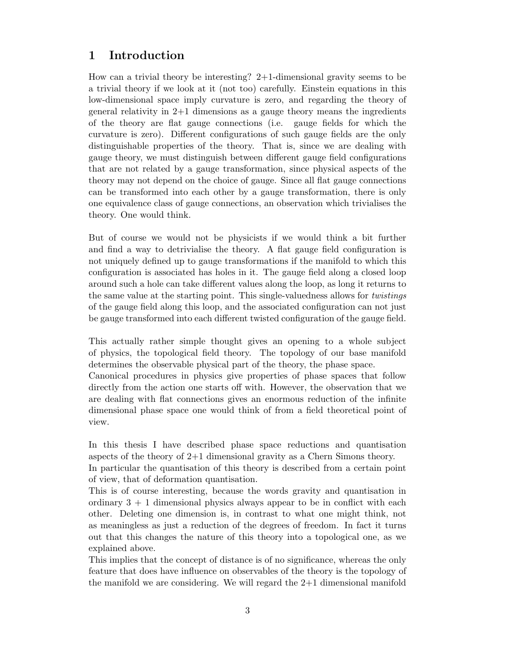# 1 Introduction

How can a trivial theory be interesting? 2+1-dimensional gravity seems to be a trivial theory if we look at it (not too) carefully. Einstein equations in this low-dimensional space imply curvature is zero, and regarding the theory of general relativity in  $2+1$  dimensions as a gauge theory means the ingredients of the theory are flat gauge connections (i.e. gauge fields for which the curvature is zero). Different configurations of such gauge fields are the only distinguishable properties of the theory. That is, since we are dealing with gauge theory, we must distinguish between different gauge field configurations that are not related by a gauge transformation, since physical aspects of the theory may not depend on the choice of gauge. Since all flat gauge connections can be transformed into each other by a gauge transformation, there is only one equivalence class of gauge connections, an observation which trivialises the theory. One would think.

But of course we would not be physicists if we would think a bit further and find a way to detrivialise the theory. A flat gauge field configuration is not uniquely defined up to gauge transformations if the manifold to which this configuration is associated has holes in it. The gauge field along a closed loop around such a hole can take different values along the loop, as long it returns to the same value at the starting point. This single-valuedness allows for twistings of the gauge field along this loop, and the associated configuration can not just be gauge transformed into each different twisted configuration of the gauge field.

This actually rather simple thought gives an opening to a whole subject of physics, the topological field theory. The topology of our base manifold determines the observable physical part of the theory, the phase space.

Canonical procedures in physics give properties of phase spaces that follow directly from the action one starts off with. However, the observation that we are dealing with flat connections gives an enormous reduction of the infinite dimensional phase space one would think of from a field theoretical point of view.

In this thesis I have described phase space reductions and quantisation aspects of the theory of 2+1 dimensional gravity as a Chern Simons theory.

In particular the quantisation of this theory is described from a certain point of view, that of deformation quantisation.

This is of course interesting, because the words gravity and quantisation in ordinary  $3 + 1$  dimensional physics always appear to be in conflict with each other. Deleting one dimension is, in contrast to what one might think, not as meaningless as just a reduction of the degrees of freedom. In fact it turns out that this changes the nature of this theory into a topological one, as we explained above.

This implies that the concept of distance is of no significance, whereas the only feature that does have influence on observables of the theory is the topology of the manifold we are considering. We will regard the 2+1 dimensional manifold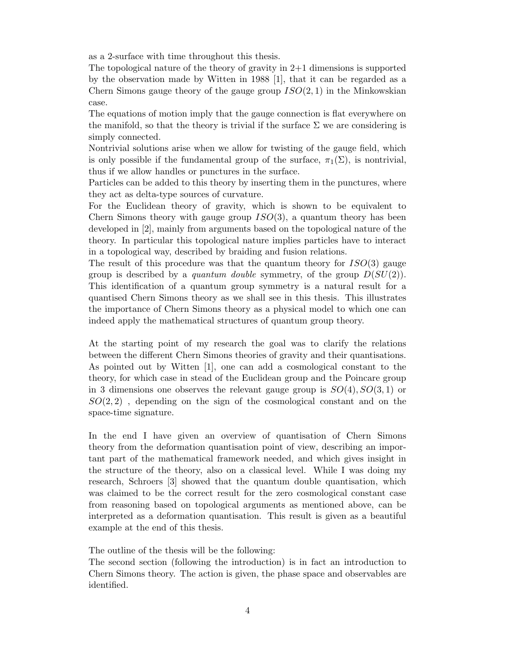as a 2-surface with time throughout this thesis.

The topological nature of the theory of gravity in  $2+1$  dimensions is supported by the observation made by Witten in 1988 [1], that it can be regarded as a Chern Simons gauge theory of the gauge group  $ISO(2, 1)$  in the Minkowskian case.

The equations of motion imply that the gauge connection is flat everywhere on the manifold, so that the theory is trivial if the surface  $\Sigma$  we are considering is simply connected.

Nontrivial solutions arise when we allow for twisting of the gauge field, which is only possible if the fundamental group of the surface,  $\pi_1(\Sigma)$ , is nontrivial, thus if we allow handles or punctures in the surface.

Particles can be added to this theory by inserting them in the punctures, where they act as delta-type sources of curvature.

For the Euclidean theory of gravity, which is shown to be equivalent to Chern Simons theory with gauge group  $ISO(3)$ , a quantum theory has been developed in [2], mainly from arguments based on the topological nature of the theory. In particular this topological nature implies particles have to interact in a topological way, described by braiding and fusion relations.

The result of this procedure was that the quantum theory for  $ISO(3)$  gauge group is described by a *quantum double* symmetry, of the group  $D(SU(2))$ . This identification of a quantum group symmetry is a natural result for a quantised Chern Simons theory as we shall see in this thesis. This illustrates the importance of Chern Simons theory as a physical model to which one can indeed apply the mathematical structures of quantum group theory.

At the starting point of my research the goal was to clarify the relations between the different Chern Simons theories of gravity and their quantisations. As pointed out by Witten [1], one can add a cosmological constant to the theory, for which case in stead of the Euclidean group and the Poincare group in 3 dimensions one observes the relevant gauge group is  $SO(4), SO(3, 1)$  or  $SO(2, 2)$ , depending on the sign of the cosmological constant and on the space-time signature.

In the end I have given an overview of quantisation of Chern Simons theory from the deformation quantisation point of view, describing an important part of the mathematical framework needed, and which gives insight in the structure of the theory, also on a classical level. While I was doing my research, Schroers [3] showed that the quantum double quantisation, which was claimed to be the correct result for the zero cosmological constant case from reasoning based on topological arguments as mentioned above, can be interpreted as a deformation quantisation. This result is given as a beautiful example at the end of this thesis.

The outline of the thesis will be the following:

The second section (following the introduction) is in fact an introduction to Chern Simons theory. The action is given, the phase space and observables are identified.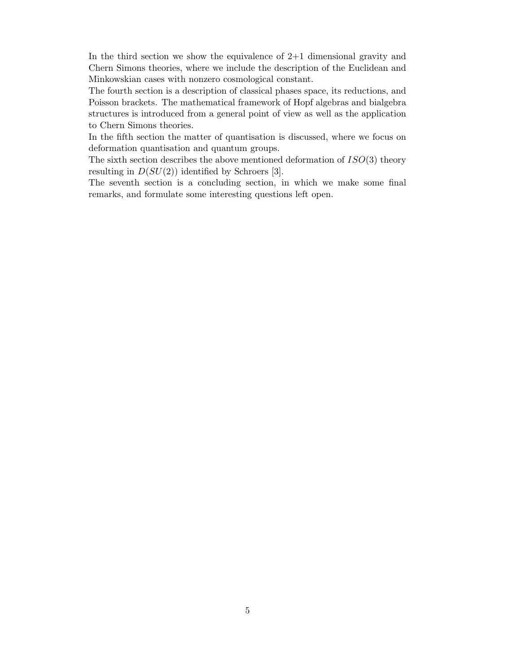In the third section we show the equivalence of  $2+1$  dimensional gravity and Chern Simons theories, where we include the description of the Euclidean and Minkowskian cases with nonzero cosmological constant.

The fourth section is a description of classical phases space, its reductions, and Poisson brackets. The mathematical framework of Hopf algebras and bialgebra structures is introduced from a general point of view as well as the application to Chern Simons theories.

In the fifth section the matter of quantisation is discussed, where we focus on deformation quantisation and quantum groups.

The sixth section describes the above mentioned deformation of  $ISO(3)$  theory resulting in  $D(SU(2))$  identified by Schroers [3].

The seventh section is a concluding section, in which we make some final remarks, and formulate some interesting questions left open.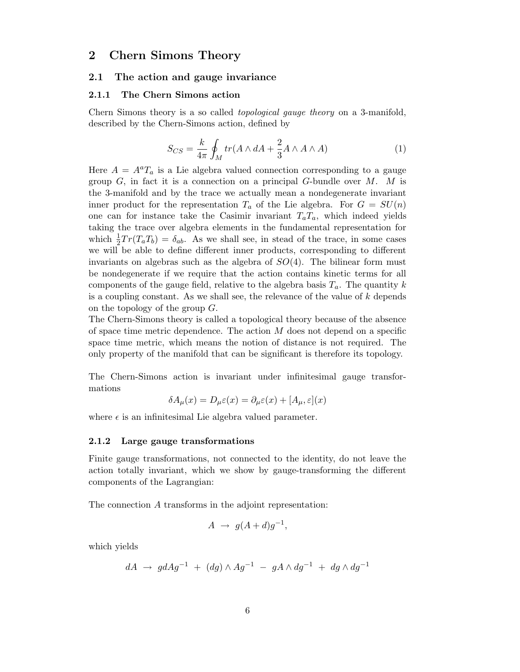# 2 Chern Simons Theory

#### 2.1 The action and gauge invariance

#### 2.1.1 The Chern Simons action

Chern Simons theory is a so called topological gauge theory on a 3-manifold, described by the Chern-Simons action, defined by

$$
S_{CS} = \frac{k}{4\pi} \oint_M tr(A \wedge dA + \frac{2}{3} A \wedge A \wedge A) \tag{1}
$$

Here  $A = A^a T_a$  is a Lie algebra valued connection corresponding to a gauge group  $G$ , in fact it is a connection on a principal  $G$ -bundle over  $M$ .  $M$  is the 3-manifold and by the trace we actually mean a nondegenerate invariant inner product for the representation  $T_a$  of the Lie algebra. For  $G = SU(n)$ one can for instance take the Casimir invariant  $T_aT_a$ , which indeed yields taking the trace over algebra elements in the fundamental representation for which  $\frac{1}{2}$  $\frac{1}{2}Tr(T_aT_b) = \delta_{ab}$ . As we shall see, in stead of the trace, in some cases we will be able to define different inner products, corresponding to different invariants on algebras such as the algebra of  $SO(4)$ . The bilinear form must be nondegenerate if we require that the action contains kinetic terms for all components of the gauge field, relative to the algebra basis  $T_a$ . The quantity k is a coupling constant. As we shall see, the relevance of the value of  $k$  depends on the topology of the group G.

The Chern-Simons theory is called a topological theory because of the absence of space time metric dependence. The action  $M$  does not depend on a specific space time metric, which means the notion of distance is not required. The only property of the manifold that can be significant is therefore its topology.

The Chern-Simons action is invariant under infinitesimal gauge transformations

$$
\delta A_{\mu}(x) = D_{\mu}\varepsilon(x) = \partial_{\mu}\varepsilon(x) + [A_{\mu}, \varepsilon](x)
$$

where  $\epsilon$  is an infinitesimal Lie algebra valued parameter.

#### 2.1.2 Large gauge transformations

Finite gauge transformations, not connected to the identity, do not leave the action totally invariant, which we show by gauge-transforming the different components of the Lagrangian:

The connection A transforms in the adjoint representation:

$$
A \rightarrow g(A+d)g^{-1},
$$

which yields

$$
dA \ \to \ g dA g^{-1} \ + \ (dg) \wedge A g^{-1} \ - \ gA \wedge dg^{-1} \ + \ dg \wedge dg^{-1}
$$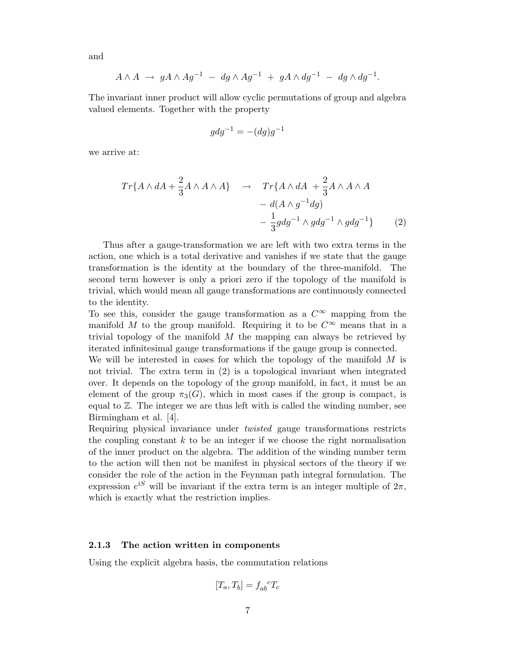and

$$
A \wedge A \rightarrow gA \wedge Ag^{-1} - dg \wedge Ag^{-1} + gA \wedge dg^{-1} - dg \wedge dg^{-1}.
$$

The invariant inner product will allow cyclic permutations of group and algebra valued elements. Together with the property

$$
g dg^{-1} = -(dg)g^{-1}
$$

we arrive at:

$$
Tr{A \wedge dA + \frac{2}{3}A \wedge A \wedge A} \rightarrow Tr{A \wedge dA + \frac{2}{3}A \wedge A \wedge A
$$
  
-  $d(A \wedge g^{-1}dg)$   
-  $\frac{1}{3}gdg^{-1} \wedge gdg^{-1} \wedge gdg^{-1}$  (2)

Thus after a gauge-transformation we are left with two extra terms in the action, one which is a total derivative and vanishes if we state that the gauge transformation is the identity at the boundary of the three-manifold. The second term however is only a priori zero if the topology of the manifold is trivial, which would mean all gauge transformations are continuously connected to the identity.

To see this, consider the gauge transformation as a  $C^{\infty}$  mapping from the manifold M to the group manifold. Requiring it to be  $C^{\infty}$  means that in a trivial topology of the manifold  $M$  the mapping can always be retrieved by iterated infinitesimal gauge transformations if the gauge group is connected.

We will be interested in cases for which the topology of the manifold  $M$  is not trivial. The extra term in (2) is a topological invariant when integrated over. It depends on the topology of the group manifold, in fact, it must be an element of the group  $\pi_3(G)$ , which in most cases if the group is compact, is equal to Z. The integer we are thus left with is called the winding number, see Birmingham et al. [4].

Requiring physical invariance under twisted gauge transformations restricts the coupling constant  $k$  to be an integer if we choose the right normalisation of the inner product on the algebra. The addition of the winding number term to the action will then not be manifest in physical sectors of the theory if we consider the role of the action in the Feynman path integral formulation. The expression  $e^{iS}$  will be invariant if the extra term is an integer multiple of  $2\pi$ , which is exactly what the restriction implies.

## 2.1.3 The action written in components

Using the explicit algebra basis, the commutation relations

$$
[T_a, T_b] = f_{ab}^{\ \ c} T_c
$$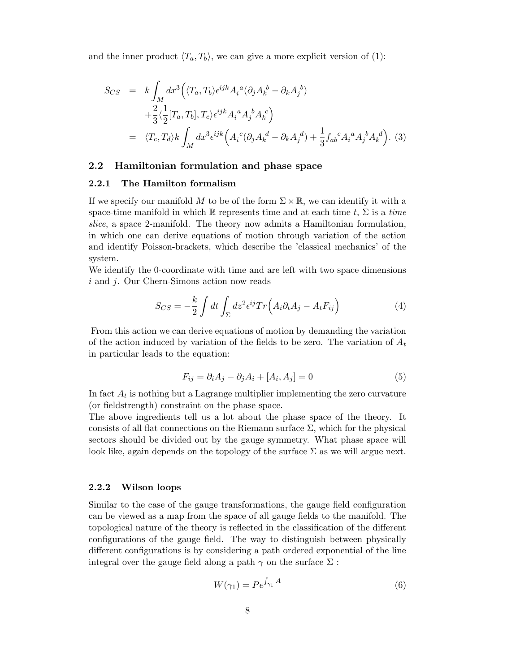and the inner product  $\langle T_a, T_b \rangle$ , we can give a more explicit version of (1):

$$
S_{CS} = k \int_M dx^3 \Big( \langle T_a, T_b \rangle \epsilon^{ijk} A_i{}^a (\partial_j A_k{}^b - \partial_k A_j{}^b) + \frac{2}{3} \langle \frac{1}{2} [T_a, T_b], T_c \rangle \epsilon^{ijk} A_i{}^a A_j{}^b A_k{}^c \Big)
$$
  
=  $\langle T_c, T_d \rangle k \int_M dx^3 \epsilon^{ijk} \Big( A_i{}^c (\partial_j A_k{}^d - \partial_k A_j{}^d) + \frac{1}{3} f_{ab}{}^c A_i{}^a A_j{}^b A_k{}^d \Big). \tag{3}$ 

## 2.2 Hamiltonian formulation and phase space

#### 2.2.1 The Hamilton formalism

If we specify our manifold M to be of the form  $\Sigma \times \mathbb{R}$ , we can identify it with a space-time manifold in which R represents time and at each time  $t, \Sigma$  is a time slice, a space 2-manifold. The theory now admits a Hamiltonian formulation, in which one can derive equations of motion through variation of the action and identify Poisson-brackets, which describe the 'classical mechanics' of the system.

We identify the 0-coordinate with time and are left with two space dimensions i and *j*. Our Chern-Simons action now reads

$$
S_{CS} = -\frac{k}{2} \int dt \int_{\Sigma} dz^2 \epsilon^{ij} Tr \left( A_i \partial_t A_j - A_t F_{ij} \right) \tag{4}
$$

From this action we can derive equations of motion by demanding the variation of the action induced by variation of the fields to be zero. The variation of  $A_t$ in particular leads to the equation:

$$
F_{ij} = \partial_i A_j - \partial_j A_i + [A_i, A_j] = 0
$$
\n<sup>(5)</sup>

In fact  $A_t$  is nothing but a Lagrange multiplier implementing the zero curvature (or fieldstrength) constraint on the phase space.

The above ingredients tell us a lot about the phase space of the theory. It consists of all flat connections on the Riemann surface  $\Sigma$ , which for the physical sectors should be divided out by the gauge symmetry. What phase space will look like, again depends on the topology of the surface  $\Sigma$  as we will argue next.

# 2.2.2 Wilson loops

Similar to the case of the gauge transformations, the gauge field configuration can be viewed as a map from the space of all gauge fields to the manifold. The topological nature of the theory is reflected in the classification of the different configurations of the gauge field. The way to distinguish between physically different configurations is by considering a path ordered exponential of the line integral over the gauge field along a path  $\gamma$  on the surface  $\Sigma$ :

$$
W(\gamma_1) = P e^{\int_{\gamma_1} A} \tag{6}
$$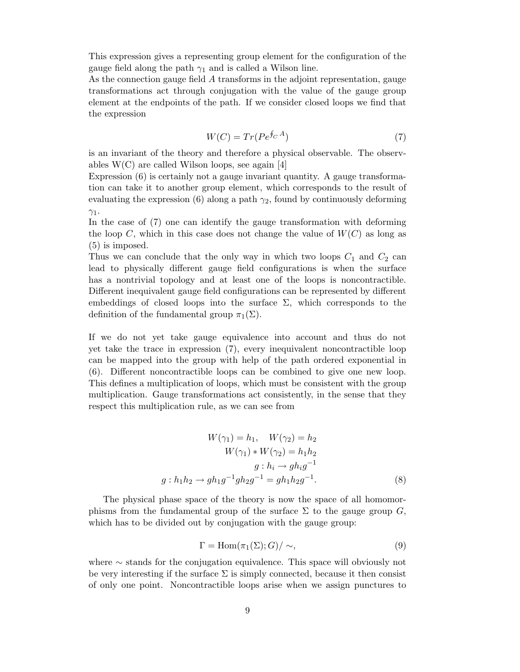This expression gives a representing group element for the configuration of the gauge field along the path  $\gamma_1$  and is called a Wilson line.

As the connection gauge field A transforms in the adjoint representation, gauge transformations act through conjugation with the value of the gauge group element at the endpoints of the path. If we consider closed loops we find that the expression

$$
W(C) = Tr(Pe^{\oint_C A})
$$
\n(7)

is an invariant of the theory and therefore a physical observable. The observables W(C) are called Wilson loops, see again [4]

Expression (6) is certainly not a gauge invariant quantity. A gauge transformation can take it to another group element, which corresponds to the result of evaluating the expression (6) along a path  $\gamma_2$ , found by continuously deforming  $\gamma_1$ .

In the case of (7) one can identify the gauge transformation with deforming the loop C, which in this case does not change the value of  $W(C)$  as long as (5) is imposed.

Thus we can conclude that the only way in which two loops  $C_1$  and  $C_2$  can lead to physically different gauge field configurations is when the surface has a nontrivial topology and at least one of the loops is noncontractible. Different inequivalent gauge field configurations can be represented by different embeddings of closed loops into the surface  $\Sigma$ , which corresponds to the definition of the fundamental group  $\pi_1(\Sigma)$ .

If we do not yet take gauge equivalence into account and thus do not yet take the trace in expression (7), every inequivalent noncontractible loop can be mapped into the group with help of the path ordered exponential in (6). Different noncontractible loops can be combined to give one new loop. This defines a multiplication of loops, which must be consistent with the group multiplication. Gauge transformations act consistently, in the sense that they respect this multiplication rule, as we can see from

$$
W(\gamma_1) = h_1, \quad W(\gamma_2) = h_2
$$
  
\n
$$
W(\gamma_1) * W(\gamma_2) = h_1 h_2
$$
  
\n
$$
g : h_i \to g h_i g^{-1}
$$
  
\n
$$
g : h_1 h_2 \to g h_1 g^{-1} g h_2 g^{-1} = g h_1 h_2 g^{-1}.
$$
\n(8)

The physical phase space of the theory is now the space of all homomorphisms from the fundamental group of the surface  $\Sigma$  to the gauge group  $G$ , which has to be divided out by conjugation with the gauge group:

$$
\Gamma = \text{Hom}(\pi_1(\Sigma); G) / \sim,
$$
\n(9)

where ∼ stands for the conjugation equivalence. This space will obviously not be very interesting if the surface  $\Sigma$  is simply connected, because it then consist of only one point. Noncontractible loops arise when we assign punctures to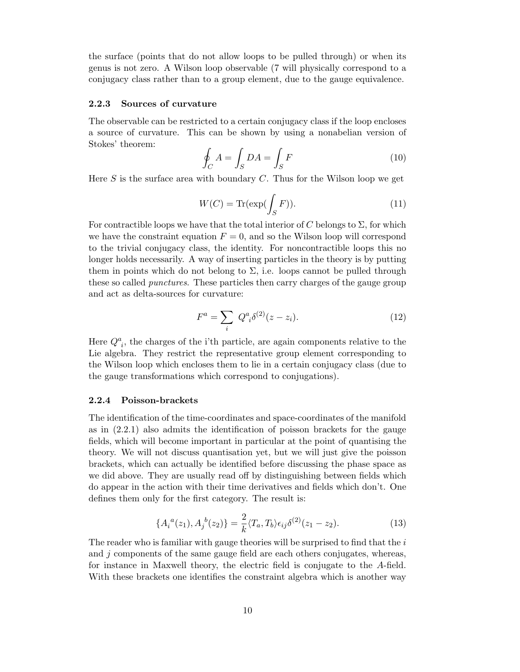the surface (points that do not allow loops to be pulled through) or when its genus is not zero. A Wilson loop observable (7 will physically correspond to a conjugacy class rather than to a group element, due to the gauge equivalence.

## 2.2.3 Sources of curvature

The observable can be restricted to a certain conjugacy class if the loop encloses a source of curvature. This can be shown by using a nonabelian version of Stokes' theorem:

$$
\oint_C A = \int_S DA = \int_S F \tag{10}
$$

Here S is the surface area with boundary  $C$ . Thus for the Wilson loop we get

$$
W(C) = \text{Tr}(\exp(\int_{S} F)).\tag{11}
$$

For contractible loops we have that the total interior of C belongs to  $\Sigma$ , for which we have the constraint equation  $F = 0$ , and so the Wilson loop will correspond to the trivial conjugacy class, the identity. For noncontractible loops this no longer holds necessarily. A way of inserting particles in the theory is by putting them in points which do not belong to  $\Sigma$ , i.e. loops cannot be pulled through these so called punctures. These particles then carry charges of the gauge group and act as delta-sources for curvature:

$$
F^{a} = \sum_{i} Q^{a}_{i} \delta^{(2)}(z - z_{i}).
$$
\n(12)

Here  $Q^a_{\ i}$ , the charges of the i'th particle, are again components relative to the Lie algebra. They restrict the representative group element corresponding to the Wilson loop which encloses them to lie in a certain conjugacy class (due to the gauge transformations which correspond to conjugations).

#### 2.2.4 Poisson-brackets

The identification of the time-coordinates and space-coordinates of the manifold as in (2.2.1) also admits the identification of poisson brackets for the gauge fields, which will become important in particular at the point of quantising the theory. We will not discuss quantisation yet, but we will just give the poisson brackets, which can actually be identified before discussing the phase space as we did above. They are usually read off by distinguishing between fields which do appear in the action with their time derivatives and fields which don't. One defines them only for the first category. The result is:

$$
\{A_i^a(z_1), A_j^b(z_2)\} = \frac{2}{k} \langle T_a, T_b \rangle \epsilon_{ij} \delta^{(2)}(z_1 - z_2). \tag{13}
$$

The reader who is familiar with gauge theories will be surprised to find that the  $i$ and j components of the same gauge field are each others conjugates, whereas, for instance in Maxwell theory, the electric field is conjugate to the A-field. With these brackets one identifies the constraint algebra which is another way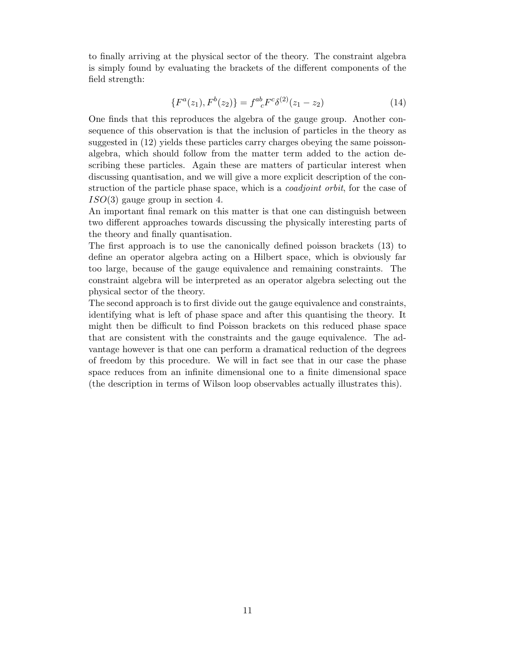to finally arriving at the physical sector of the theory. The constraint algebra is simply found by evaluating the brackets of the different components of the field strength:

$$
\{F^{a}(z_1), F^{b}(z_2)\} = f^{ab}_{\ \ c} F^{c} \delta^{(2)}(z_1 - z_2) \tag{14}
$$

One finds that this reproduces the algebra of the gauge group. Another consequence of this observation is that the inclusion of particles in the theory as suggested in (12) yields these particles carry charges obeying the same poissonalgebra, which should follow from the matter term added to the action describing these particles. Again these are matters of particular interest when discussing quantisation, and we will give a more explicit description of the construction of the particle phase space, which is a *coadjoint orbit*, for the case of  $ISO(3)$  gauge group in section 4.

An important final remark on this matter is that one can distinguish between two different approaches towards discussing the physically interesting parts of the theory and finally quantisation.

The first approach is to use the canonically defined poisson brackets (13) to define an operator algebra acting on a Hilbert space, which is obviously far too large, because of the gauge equivalence and remaining constraints. The constraint algebra will be interpreted as an operator algebra selecting out the physical sector of the theory.

The second approach is to first divide out the gauge equivalence and constraints, identifying what is left of phase space and after this quantising the theory. It might then be difficult to find Poisson brackets on this reduced phase space that are consistent with the constraints and the gauge equivalence. The advantage however is that one can perform a dramatical reduction of the degrees of freedom by this procedure. We will in fact see that in our case the phase space reduces from an infinite dimensional one to a finite dimensional space (the description in terms of Wilson loop observables actually illustrates this).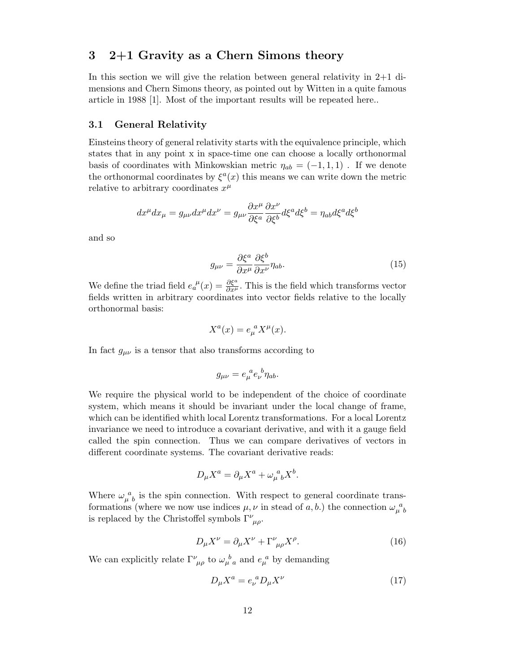# 3 2+1 Gravity as a Chern Simons theory

In this section we will give the relation between general relativity in 2+1 dimensions and Chern Simons theory, as pointed out by Witten in a quite famous article in 1988 [1]. Most of the important results will be repeated here..

## 3.1 General Relativity

Einsteins theory of general relativity starts with the equivalence principle, which states that in any point x in space-time one can choose a locally orthonormal basis of coordinates with Minkowskian metric  $\eta_{ab} = (-1, 1, 1)$ . If we denote the orthonormal coordinates by  $\xi^a(x)$  this means we can write down the metric relative to arbitrary coordinates  $x^{\mu}$ 

$$
dx^{\mu}dx_{\mu} = g_{\mu\nu}dx^{\mu}dx^{\nu} = g_{\mu\nu}\frac{\partial x^{\mu}}{\partial \xi^{a}}\frac{\partial x^{\nu}}{\partial \xi^{b}}d\xi^{a}d\xi^{b} = \eta_{ab}d\xi^{a}d\xi^{b}
$$

and so

$$
g_{\mu\nu} = \frac{\partial \xi^a}{\partial x^\mu} \frac{\partial \xi^b}{\partial x^\nu} \eta_{ab}.
$$
 (15)

We define the triad field  $e_a^{\mu}(x) = \frac{\partial \xi^a}{\partial x^{\mu}}$ . This is the field which transforms vector fields written in arbitrary coordinates into vector fields relative to the locally orthonormal basis:

$$
X^{a}(x) = e_{\mu}^{a} X^{\mu}(x).
$$

In fact  $g_{\mu\nu}$  is a tensor that also transforms according to

$$
g_{\mu\nu} = e_{\mu}^{\ \ a} e_{\nu}^{\ \ b} \eta_{ab}.
$$

We require the physical world to be independent of the choice of coordinate system, which means it should be invariant under the local change of frame, which can be identified whith local Lorentz transformations. For a local Lorentz invariance we need to introduce a covariant derivative, and with it a gauge field called the spin connection. Thus we can compare derivatives of vectors in different coordinate systems. The covariant derivative reads:

$$
D_{\mu}X^{a} = \partial_{\mu}X^{a} + \omega_{\mu}^{a}{}_{b}X^{b}.
$$

Where  $\omega_{\mu b}^{\ a}$  is the spin connection. With respect to general coordinate transformations (where we now use indices  $\mu, \nu$  in stead of a, b.) the connection  $\omega_{\mu \, b}^{\ a}$ is replaced by the Christoffel symbols  $\Gamma^{\nu}_{\mu\rho}$ .

$$
D_{\mu}X^{\nu} = \partial_{\mu}X^{\nu} + \Gamma^{\nu}_{\mu\rho}X^{\rho}.
$$
 (16)

We can explicitly relate  $\Gamma^{\nu}_{\mu\rho}$  to  $\omega^{\ b}_{\mu\ a}$  and  $e^{\ a}_{\mu}$  by demanding

$$
D_{\mu}X^{a} = e_{\nu}^{a}D_{\mu}X^{\nu}
$$
\n<sup>(17)</sup>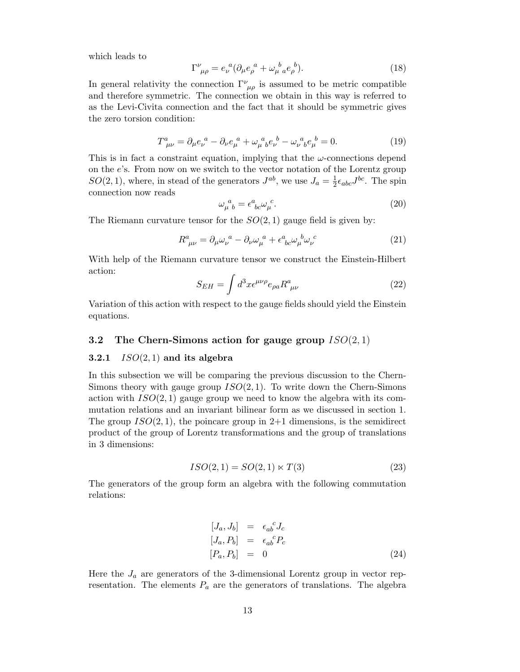which leads to

$$
\Gamma^{\nu}_{\ \mu\rho} = e_{\nu}^{\ a} (\partial_{\mu} e_{\rho}^{\ a} + \omega_{\mu}^{\ b}{}_{a} e_{\rho}^{\ b}). \tag{18}
$$

In general relativity the connection  $\Gamma^{\nu}_{\ \mu\rho}$  is assumed to be metric compatible and therefore symmetric. The connection we obtain in this way is referred to as the Levi-Civita connection and the fact that it should be symmetric gives the zero torsion condition:

$$
T^{a}_{\ \mu\nu} = \partial_{\mu}e_{\nu}^{a} - \partial_{\nu}e_{\mu}^{a} + \omega_{\mu}^{a}{}_{b}e_{\nu}^{b} - \omega_{\nu}^{a}{}_{b}e_{\mu}^{b} = 0. \tag{19}
$$

This is in fact a constraint equation, implying that the  $\omega$ -connections depend on the e's. From now on we switch to the vector notation of the Lorentz group  $SO(2,1)$ , where, in stead of the generators  $J^{ab}$ , we use  $J_a = \frac{1}{2}$  $\frac{1}{2} \epsilon_{abc} J^{bc}$ . The spin connection now reads

$$
\omega_{\mu}^{\ a}{}_{b} = \epsilon^{a}{}_{bc} \omega_{\mu}^{\ c}.\tag{20}
$$

The Riemann curvature tensor for the  $SO(2,1)$  gauge field is given by:

$$
R^{a}_{\ \mu\nu} = \partial_{\mu}\omega_{\nu}^{a} - \partial_{\nu}\omega_{\mu}^{a} + \epsilon^{a}_{\ bc}\omega_{\mu}^{b}\omega_{\nu}^{c}
$$
 (21)

With help of the Riemann curvature tensor we construct the Einstein-Hilbert action:

$$
S_{EH} = \int d^3x \epsilon^{\mu\nu\rho} e_{\rho a} R^a_{\ \mu\nu} \tag{22}
$$

Variation of this action with respect to the gauge fields should yield the Einstein equations.

# 3.2 The Chern-Simons action for gauge group  $ISO(2,1)$

#### 3.2.1  $ISO(2,1)$  and its algebra

In this subsection we will be comparing the previous discussion to the Chern-Simons theory with gauge group  $ISO(2,1)$ . To write down the Chern-Simons action with  $ISO(2,1)$  gauge group we need to know the algebra with its commutation relations and an invariant bilinear form as we discussed in section 1. The group  $ISO(2,1)$ , the poincare group in 2+1 dimensions, is the semidirect product of the group of Lorentz transformations and the group of translations in 3 dimensions:

$$
ISO(2,1) = SO(2,1) \ltimes T(3) \tag{23}
$$

The generators of the group form an algebra with the following commutation relations:

$$
[J_a, J_b] = \epsilon_{ab}^c J_c
$$
  
\n
$$
[J_a, P_b] = \epsilon_{ab}^c P_c
$$
  
\n
$$
[P_a, P_b] = 0
$$
\n(24)

Here the  $J_a$  are generators of the 3-dimensional Lorentz group in vector representation. The elements  $P_a$  are the generators of translations. The algebra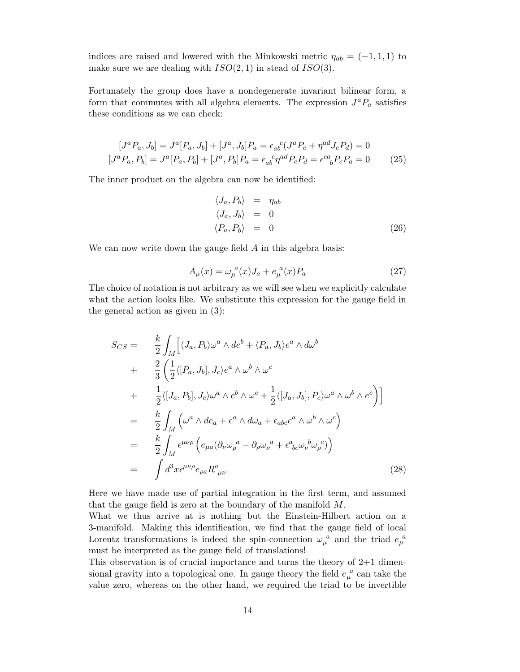indices are raised and lowered with the Minkowski metric  $\eta_{ab} = (-1, 1, 1)$  to make sure we are dealing with  $ISO(2, 1)$  in stead of  $ISO(3)$ .

Fortunately the group does have a nondegenerate invariant bilinear form, a form that commutes with all algebra elements. The expression  $J^a P_a$  satisfies these conditions as we can check:

$$
[J^{a}P_{a}, J_{b}] = J^{a}[P_{a}, J_{b}] + [J^{a}, J_{b}]P_{a} = \epsilon_{ab}{}^{c}(J^{a}P_{c} + \eta^{ad}J_{c}P_{d}) = 0
$$
  

$$
[J^{a}P_{a}, P_{b}] = J^{a}[P_{a}, P_{b}] + [J^{a}, P_{b}]P_{a} = \epsilon_{ab}{}^{c}\eta^{ad}P_{c}P_{d} = \epsilon^{ca}_{\ b}P_{c}P_{a} = 0
$$
 (25)

The inner product on the algebra can now be identified:

$$
\langle J_a, P_b \rangle = \eta_{ab} \langle J_a, J_b \rangle = 0 \langle P_a, P_b \rangle = 0
$$
\n(26)

We can now write down the gauge field A in this algebra basis:

$$
A_{\mu}(x) = \omega_{\mu}^{a}(x)J_{a} + e_{\mu}^{a}(x)P_{a}
$$
\n(27)

The choice of notation is not arbitrary as we will see when we explicitly calculate what the action looks like. We substitute this expression for the gauge field in the general action as given in (3):

$$
S_{CS} = \frac{k}{2} \int_M \left[ \langle J_a, P_b \rangle \omega^a \wedge de^b + \langle P_a, J_b \rangle e^a \wedge d\omega^b \right. \left. + \frac{2}{3} \left( \frac{1}{2} \langle [P_a, J_b], J_c \rangle e^a \wedge \omega^b \wedge \omega^c \right. \left. + \frac{1}{2} \langle [J_a, P_b], J_c \rangle \omega^a \wedge e^b \wedge \omega^c + \frac{1}{2} \langle [J_a, J_b], P_c \rangle \omega^a \wedge \omega^b \wedge e^c \right) \right] \left. = \frac{k}{2} \int_M \left( \omega^a \wedge de_a + e^a \wedge d\omega_a + \epsilon_{abc} e^a \wedge \omega^b \wedge \omega^c \right) \left. = \frac{k}{2} \int_M \epsilon^{\mu\nu\rho} \left( e_{\mu a} (\partial_\nu \omega_\rho^a - \partial_\rho \omega_\nu^a + \epsilon^a_{bc} \omega_\nu^b \omega_\rho^c) \right) \left. = \int d^3x \epsilon^{\mu\nu\rho} e_{\rho a} R^a_{\mu\nu} \right. \tag{28}
$$

Here we have made use of partial integration in the first term, and assumed that the gauge field is zero at the boundary of the manifold  $M$ .

What we thus arrive at is nothing but the Einstein-Hilbert action on a 3-manifold. Making this identification, we find that the gauge field of local Lorentz transformations is indeed the spin-connection  $\omega_{\mu}^{\ a}$  and the triad  $e_{\mu}^{\ a}$ must be interpreted as the gauge field of translations!

This observation is of crucial importance and turns the theory of  $2+1$  dimensional gravity into a topological one. In gauge theory the field  $e_{\mu}^{a}$  can take the value zero, whereas on the other hand, we required the triad to be invertible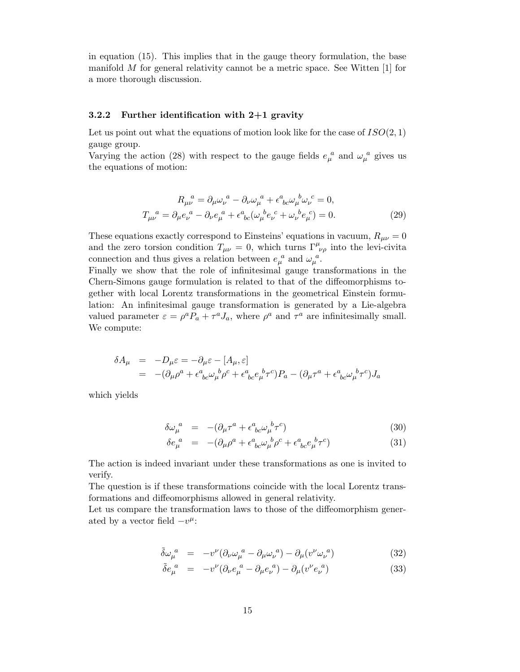in equation (15). This implies that in the gauge theory formulation, the base manifold  $M$  for general relativity cannot be a metric space. See Witten  $[1]$  for a more thorough discussion.

#### 3.2.2 Further identification with 2+1 gravity

Let us point out what the equations of motion look like for the case of  $ISO(2, 1)$ gauge group.

Varying the action (28) with respect to the gauge fields  $e_{\mu}^{a}$  and  $\omega_{\mu}^{a}$  gives us the equations of motion:

$$
R_{\mu\nu}^{\ \ a} = \partial_{\mu}\omega_{\nu}^{\ a} - \partial_{\nu}\omega_{\mu}^{\ a} + \epsilon^{a}_{\ bc}\omega_{\mu}^{\ b}\omega_{\nu}^{\ c} = 0,
$$
  

$$
T_{\mu\nu}^{\ \ a} = \partial_{\mu}e_{\nu}^{\ a} - \partial_{\nu}e_{\mu}^{\ a} + \epsilon^{a}_{\ bc}(\omega_{\mu}^{\ b}e_{\nu}^{\ c} + \omega_{\nu}^{\ b}e_{\mu}^{\ c}) = 0.
$$
 (29)

These equations exactly correspond to Einsteins' equations in vacuum,  $R_{\mu\nu} = 0$ and the zero torsion condition  $T_{\mu\nu} = 0$ , which turns  $\Gamma^{\mu}_{\nu\rho}$  into the levi-civita connection and thus gives a relation between  $e_{\mu}^{a}$  and  $\omega_{\mu}^{a}$ .

Finally we show that the role of infinitesimal gauge transformations in the Chern-Simons gauge formulation is related to that of the diffeomorphisms together with local Lorentz transformations in the geometrical Einstein formulation: An infinitesimal gauge transformation is generated by a Lie-algebra valued parameter  $\varepsilon = \rho^a P_a + \tau^a J_a$ , where  $\rho^a$  and  $\tau^a$  are infinitesimally small. We compute:

$$
\delta A_{\mu} = -D_{\mu}\varepsilon = -\partial_{\mu}\varepsilon - [A_{\mu}, \varepsilon]
$$
  
= 
$$
-(\partial_{\mu}\rho^{a} + \epsilon^{a}_{\ bc}\omega^{b}_{\mu}\rho^{c} + \epsilon^{a}_{\ bc}e^{b}_{\mu}\tau^{c})P_{a} - (\partial_{\mu}\tau^{a} + \epsilon^{a}_{\ bc}\omega^{b}_{\mu}\tau^{c})J_{a}
$$

which yields

$$
\delta\omega_{\mu}^{a} = -(\partial_{\mu}\tau^{a} + \epsilon^{a}_{\ bc}\omega_{\mu}^{b}\tau^{c})
$$
\n(30)

$$
\delta e_{\mu}^{a} = -(\partial_{\mu}\rho^{a} + \epsilon^{a}_{\ bc}\omega_{\mu}^{b}\rho^{c} + \epsilon^{a}_{\ bc}e_{\mu}^{b}\tau^{c})
$$
\n(31)

The action is indeed invariant under these transformations as one is invited to verify.

The question is if these transformations coincide with the local Lorentz transformations and diffeomorphisms allowed in general relativity.

Let us compare the transformation laws to those of the diffeomorphism generated by a vector field  $-v^{\mu}$ :

$$
\tilde{\delta}\omega_{\mu}^{a} = -v^{\nu}(\partial_{\nu}\omega_{\mu}^{a} - \partial_{\mu}\omega_{\nu}^{a}) - \partial_{\mu}(v^{\nu}\omega_{\nu}^{a})
$$
\n(32)

$$
\tilde{\delta}e_{\mu}^{a} = -v^{\nu}(\partial_{\nu}e_{\mu}^{a} - \partial_{\mu}e_{\nu}^{a}) - \partial_{\mu}(v^{\nu}e_{\nu}^{a})
$$
\n(33)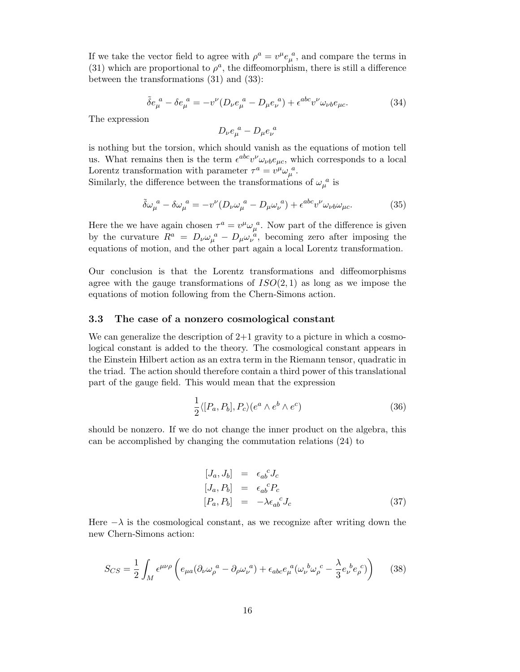If we take the vector field to agree with  $\rho^a = v^{\mu} e_{\mu}^{\ \ a}$ , and compare the terms in (31) which are proportional to  $\rho^a$ , the diffeomorphism, there is still a difference between the transformations (31) and (33):

$$
\tilde{\delta}e_{\mu}^{a} - \delta e_{\mu}^{a} = -v^{\nu}(D_{\nu}e_{\mu}^{a} - D_{\mu}e_{\nu}^{a}) + \epsilon^{abc}v^{\nu}\omega_{\nu b}e_{\mu c}.
$$
\n(34)

The expression

$$
D_{\nu}e_{\mu}^{a}-D_{\mu}e_{\nu}^{a}
$$

is nothing but the torsion, which should vanish as the equations of motion tell us. What remains then is the term  $\epsilon^{abc}v^{\nu}\omega_{\nu b}e_{\mu c}$ , which corresponds to a local Lorentz transformation with parameter  $\tau^a = v^\mu \omega_\mu^{\ \ a}$ .

Similarly, the difference between the transformations of  $\omega_{\mu}^{\ a}$  is

$$
\tilde{\delta}\omega_{\mu}^{a} - \delta\omega_{\mu}^{a} = -v^{\nu}(D_{\nu}\omega_{\mu}^{a} - D_{\mu}\omega_{\nu}^{a}) + \epsilon^{abc}v^{\nu}\omega_{\nu b}\omega_{\mu c}.
$$
\n(35)

Here the we have again chosen  $\tau^a = v^\mu \omega_\mu^a$ . Now part of the difference is given by the curvature  $R^a = D_\nu \omega_\mu^{\ \ a} - D_\mu \omega_\nu^{\ \ a}$ , becoming zero after imposing the equations of motion, and the other part again a local Lorentz transformation.

Our conclusion is that the Lorentz transformations and diffeomorphisms agree with the gauge transformations of  $ISO(2,1)$  as long as we impose the equations of motion following from the Chern-Simons action.

#### 3.3 The case of a nonzero cosmological constant

We can generalize the description of  $2+1$  gravity to a picture in which a cosmological constant is added to the theory. The cosmological constant appears in the Einstein Hilbert action as an extra term in the Riemann tensor, quadratic in the triad. The action should therefore contain a third power of this translational part of the gauge field. This would mean that the expression

$$
\frac{1}{2}\langle [P_a, P_b], P_c \rangle (e^a \wedge e^b \wedge e^c) \tag{36}
$$

should be nonzero. If we do not change the inner product on the algebra, this can be accomplished by changing the commutation relations (24) to

$$
[J_a, J_b] = \epsilon_{ab}^{\ \ c} J_c
$$
  
\n
$$
[J_a, P_b] = \epsilon_{ab}^{\ \ c} P_c
$$
  
\n
$$
[P_a, P_b] = -\lambda \epsilon_{ab}^{\ \ c} J_c
$$
\n(37)

Here  $-\lambda$  is the cosmological constant, as we recognize after writing down the new Chern-Simons action:

$$
S_{CS} = \frac{1}{2} \int_M \epsilon^{\mu\nu\rho} \left( e_{\mu a} (\partial_\nu \omega_\rho^{\ a} - \partial_\rho \omega_\nu^{\ a}) + \epsilon_{abc} e_\mu^{\ a} (\omega_\nu^{\ b} \omega_\rho^{\ c} - \frac{\lambda}{3} e_\nu^{\ b} e_\rho^{\ c}) \right) \tag{38}
$$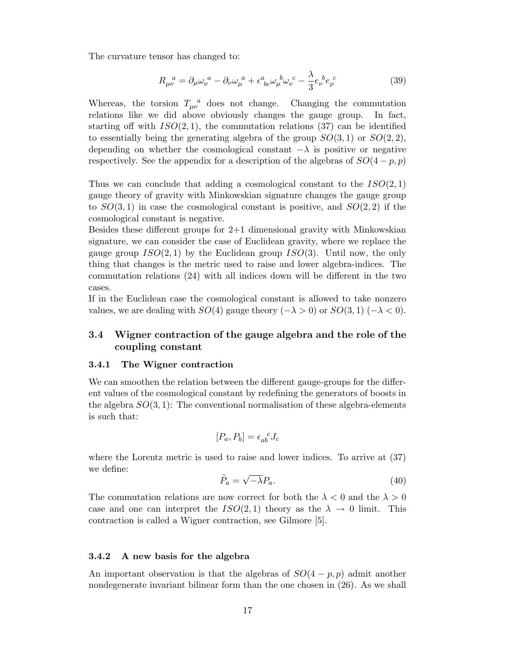The curvature tensor has changed to:

$$
R_{\mu\nu}^{\ \ a} = \partial_{\mu}\omega_{\nu}^{\ \ a} - \partial_{\nu}\omega_{\mu}^{\ \ a} + \epsilon^{a}_{\ bc}\omega_{\mu}^{\ b}\omega_{\nu}^{\ c} - \frac{\lambda}{3}e_{\nu}^{\ b}e_{\rho}^{\ c} \tag{39}
$$

Whereas, the torsion  $T_{\mu\nu}^a$  does not change. Changing the commutation relations like we did above obviously changes the gauge group. In fact, starting off with  $ISO(2,1)$ , the commutation relations (37) can be identified to essentially being the generating algebra of the group  $SO(3, 1)$  or  $SO(2, 2)$ , depending on whether the cosmological constant  $-\lambda$  is positive or negative respectively. See the appendix for a description of the algebras of  $SO(4-p, p)$ 

Thus we can conclude that adding a cosmological constant to the  $ISO(2, 1)$ gauge theory of gravity with Minkowskian signature changes the gauge group to  $SO(3,1)$  in case the cosmological constant is positive, and  $SO(2,2)$  if the cosmological constant is negative.

Besides these different groups for  $2+1$  dimensional gravity with Minkowskian signature, we can consider the case of Euclidean gravity, where we replace the gauge group  $ISO(2,1)$  by the Euclidean group  $ISO(3)$ . Until now, the only thing that changes is the metric used to raise and lower algebra-indices. The commutation relations (24) with all indices down will be different in the two cases.

If in the Euclidean case the cosmological constant is allowed to take nonzero values, we are dealing with  $SO(4)$  gauge theory  $(-\lambda > 0)$  or  $SO(3,1)$   $(-\lambda < 0)$ .

# 3.4 Wigner contraction of the gauge algebra and the role of the coupling constant

#### 3.4.1 The Wigner contraction

We can smoothen the relation between the different gauge-groups for the different values of the cosmological constant by redefining the generators of boosts in the algebra  $SO(3,1)$ : The conventional normalisation of these algebra-elements is such that:

$$
[P_a, P_b] = \epsilon_{ab}^{\ \ c} J_c
$$

where the Lorentz metric is used to raise and lower indices. To arrive at (37) we define:

$$
\tilde{P}_a = \sqrt{-\lambda} P_a. \tag{40}
$$

The commutation relations are now correct for both the  $\lambda < 0$  and the  $\lambda > 0$ case and one can interpret the  $ISO(2,1)$  theory as the  $\lambda \rightarrow 0$  limit. This contraction is called a Wigner contraction, see Gilmore [5].

#### 3.4.2 A new basis for the algebra

An important observation is that the algebras of  $SO(4-p,p)$  admit another nondegenerate invariant bilinear form than the one chosen in (26). As we shall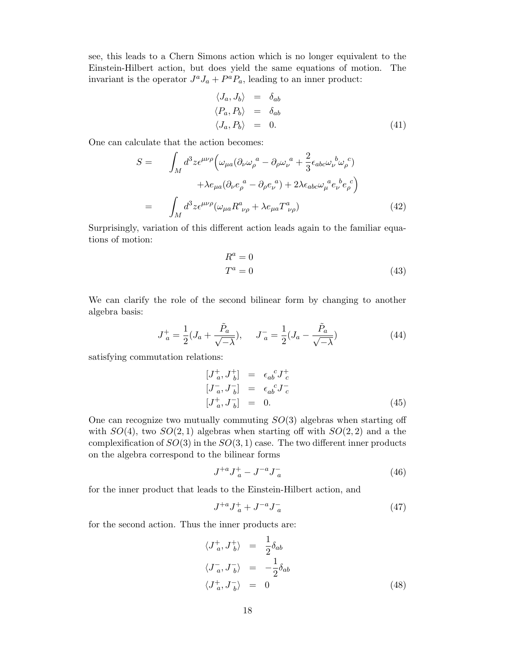see, this leads to a Chern Simons action which is no longer equivalent to the Einstein-Hilbert action, but does yield the same equations of motion. The invariant is the operator  $J^a J_a + P^a P_a$ , leading to an inner product:

$$
\langle J_a, J_b \rangle = \delta_{ab} \langle P_a, P_b \rangle = \delta_{ab} \langle J_a, P_b \rangle = 0.
$$
\n(41)

One can calculate that the action becomes:

$$
S = \int_M d^3 z \epsilon^{\mu\nu\rho} \Big( \omega_{\mu a} (\partial_\nu \omega_\rho^{\ a} - \partial_\rho \omega_\nu^{\ a} + \frac{2}{3} \epsilon_{abc} \omega_\nu^{\ b} \omega_\rho^{\ c)} + \lambda e_{\mu a} (\partial_\nu e_\rho^{\ a} - \partial_\rho e_\nu^{\ a}) + 2\lambda \epsilon_{abc} \omega_\mu^{\ a} e_\nu^{\ b} e_\rho^{\ c} \Big)
$$
  

$$
= \int_M d^3 z \epsilon^{\mu\nu\rho} (\omega_{\mu a} R^a_{\ \nu \rho} + \lambda e_{\mu a} T^a_{\ \nu \rho}) \tag{42}
$$

Surprisingly, variation of this different action leads again to the familiar equations of motion:

$$
R^a = 0
$$
  
\n
$$
T^a = 0
$$
\n(43)

We can clarify the role of the second bilinear form by changing to another algebra basis:

$$
J_a^+ = \frac{1}{2}(J_a + \frac{\tilde{P}_a}{\sqrt{-\lambda}}), \quad J_a^- = \frac{1}{2}(J_a - \frac{\tilde{P}_a}{\sqrt{-\lambda}})
$$
(44)

satisfying commutation relations:

$$
\begin{array}{rcl}\n[J_a^+, J_b^+] &=& \epsilon_{ab}{}^c J_c^+ \\
[J_a^-, J_b^-] &=& \epsilon_{ab}{}^c J_c^- \\
[J_a^+, J_b^-] &=& 0.\n\end{array} \tag{45}
$$

One can recognize two mutually commuting  $SO(3)$  algebras when starting off with  $SO(4)$ , two  $SO(2,1)$  algebras when starting off with  $SO(2,2)$  and a the complexification of  $SO(3)$  in the  $SO(3, 1)$  case. The two different inner products on the algebra correspond to the bilinear forms

$$
J^{+a}J^+_a - J^{-a}J^-_a \tag{46}
$$

for the inner product that leads to the Einstein-Hilbert action, and

$$
J^{+a}J^+_a + J^{-a}J^-_a \tag{47}
$$

for the second action. Thus the inner products are:

$$
\langle J_a^+, J_b^+ \rangle = \frac{1}{2} \delta_{ab}
$$
  

$$
\langle J_a^-, J_b^- \rangle = -\frac{1}{2} \delta_{ab}
$$
  

$$
\langle J_a^+, J_b^- \rangle = 0
$$
 (48)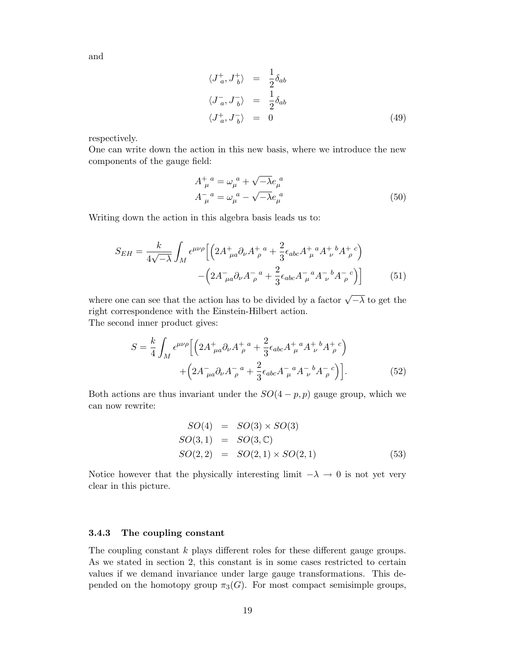and

$$
\langle J_a^+, J_b^+ \rangle = \frac{1}{2} \delta_{ab}
$$
  

$$
\langle J_a^-, J_b^- \rangle = \frac{1}{2} \delta_{ab}
$$
  

$$
\langle J_a^+, J_b^- \rangle = 0
$$
 (49)

respectively.

One can write down the action in this new basis, where we introduce the new components of the gauge field:

$$
A^+_{\mu}{}^a = \omega_{\mu}{}^a + \sqrt{-\lambda} e_{\mu}{}^a
$$
  

$$
A^-_{\mu}{}^a = \omega_{\mu}{}^a - \sqrt{-\lambda} e_{\mu}{}^a
$$
 (50)

Writing down the action in this algebra basis leads us to:

$$
S_{EH} = \frac{k}{4\sqrt{-\lambda}} \int_{M} \epsilon^{\mu\nu\rho} \left[ \left( 2A^{+}_{\mu a} \partial_{\nu} A^{+}_{\rho}{}^{a} + \frac{2}{3} \epsilon_{abc} A^{+}_{\mu}{}^{a} A^{+}_{\nu}{}^{b} A^{+}_{\rho}{}^{c} \right) - \left( 2A^{-}_{\mu a} \partial_{\nu} A^{-}_{\rho}{}^{a} + \frac{2}{3} \epsilon_{abc} A^{-}_{\mu}{}^{a} A^{-}_{\nu}{}^{b} A^{-}_{\rho}{}^{c} \right) \right]
$$
(51)

where one can see that the action has to be divided by a factor  $\sqrt{-\lambda}$  to get the right correspondence with the Einstein-Hilbert action. The second inner product gives:

$$
S = \frac{k}{4} \int_{M} \epsilon^{\mu\nu\rho} \Big[ \Big( 2A^{+}_{\mu a} \partial_{\nu} A^{+}_{\rho}{}^{a} + \frac{2}{3} \epsilon_{abc} A^{+}_{\mu}{}^{a} A^{+}_{\nu}{}^{b} A^{+}_{\rho}{}^{c} \Big) + \Big( 2A^{-}_{\mu a} \partial_{\nu} A^{-}_{\rho}{}^{a} + \frac{2}{3} \epsilon_{abc} A^{-}_{\mu}{}^{a} A^{-}_{\nu}{}^{b} A^{-}_{\rho}{}^{c} \Big) \Big]. \tag{52}
$$

Both actions are thus invariant under the  $SO(4-p,p)$  gauge group, which we can now rewrite:

$$
SO(4) = SO(3) \times SO(3)
$$
  
\n
$$
SO(3,1) = SO(3,\mathbb{C})
$$
  
\n
$$
SO(2,2) = SO(2,1) \times SO(2,1)
$$
 (53)

Notice however that the physically interesting limit  $-\lambda \to 0$  is not yet very clear in this picture.

#### 3.4.3 The coupling constant

The coupling constant k plays different roles for these different gauge groups. As we stated in section 2, this constant is in some cases restricted to certain values if we demand invariance under large gauge transformations. This depended on the homotopy group  $\pi_3(G)$ . For most compact semisimple groups,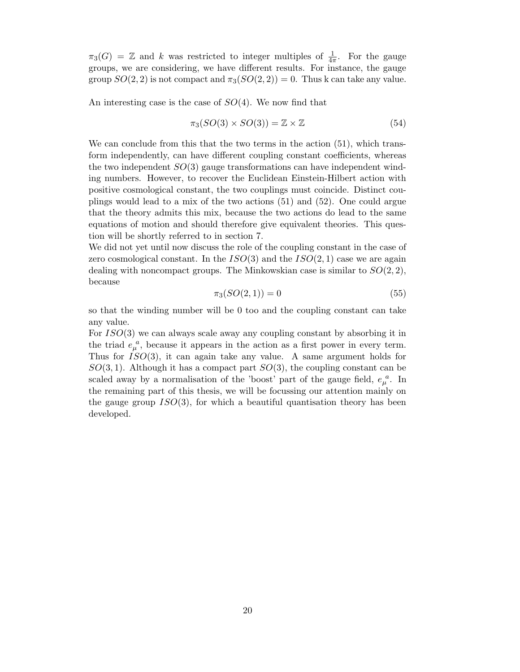$\pi_3(G) = \mathbb{Z}$  and k was restricted to integer multiples of  $\frac{1}{4\pi}$ . For the gauge groups, we are considering, we have different results. For instance, the gauge group  $SO(2, 2)$  is not compact and  $\pi_3(SO(2, 2)) = 0$ . Thus k can take any value.

An interesting case is the case of  $SO(4)$ . We now find that

$$
\pi_3(SO(3) \times SO(3)) = \mathbb{Z} \times \mathbb{Z} \tag{54}
$$

We can conclude from this that the two terms in the action  $(51)$ , which transform independently, can have different coupling constant coefficients, whereas the two independent  $SO(3)$  gauge transformations can have independent winding numbers. However, to recover the Euclidean Einstein-Hilbert action with positive cosmological constant, the two couplings must coincide. Distinct couplings would lead to a mix of the two actions (51) and (52). One could argue that the theory admits this mix, because the two actions do lead to the same equations of motion and should therefore give equivalent theories. This question will be shortly referred to in section 7.

We did not yet until now discuss the role of the coupling constant in the case of zero cosmological constant. In the  $ISO(3)$  and the  $ISO(2, 1)$  case we are again dealing with noncompact groups. The Minkowskian case is similar to  $SO(2, 2)$ , because

$$
\pi_3(SO(2,1)) = 0 \tag{55}
$$

so that the winding number will be 0 too and the coupling constant can take any value.

For  $ISO(3)$  we can always scale away any coupling constant by absorbing it in the triad  $e_{\mu}^{a}$ , because it appears in the action as a first power in every term. Thus for  $ISO(3)$ , it can again take any value. A same argument holds for  $SO(3,1)$ . Although it has a compact part  $SO(3)$ , the coupling constant can be scaled away by a normalisation of the 'boost' part of the gauge field,  $e_{\mu}^{a}$ . In the remaining part of this thesis, we will be focussing our attention mainly on the gauge group  $ISO(3)$ , for which a beautiful quantisation theory has been developed.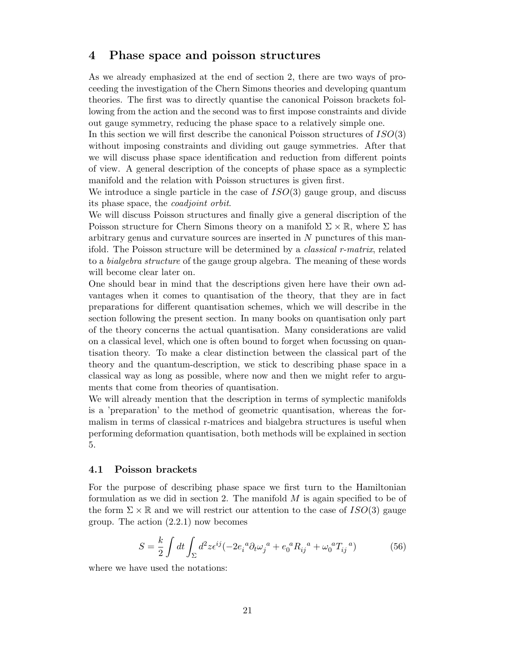# 4 Phase space and poisson structures

As we already emphasized at the end of section 2, there are two ways of proceeding the investigation of the Chern Simons theories and developing quantum theories. The first was to directly quantise the canonical Poisson brackets following from the action and the second was to first impose constraints and divide out gauge symmetry, reducing the phase space to a relatively simple one.

In this section we will first describe the canonical Poisson structures of  $ISO(3)$ without imposing constraints and dividing out gauge symmetries. After that we will discuss phase space identification and reduction from different points of view. A general description of the concepts of phase space as a symplectic manifold and the relation with Poisson structures is given first.

We introduce a single particle in the case of  $ISO(3)$  gauge group, and discuss its phase space, the coadjoint orbit.

We will discuss Poisson structures and finally give a general discription of the Poisson structure for Chern Simons theory on a manifold  $\Sigma \times \mathbb{R}$ , where  $\Sigma$  has arbitrary genus and curvature sources are inserted in N punctures of this manifold. The Poisson structure will be determined by a classical r-matrix, related to a bialgebra structure of the gauge group algebra. The meaning of these words will become clear later on.

One should bear in mind that the descriptions given here have their own advantages when it comes to quantisation of the theory, that they are in fact preparations for different quantisation schemes, which we will describe in the section following the present section. In many books on quantisation only part of the theory concerns the actual quantisation. Many considerations are valid on a classical level, which one is often bound to forget when focussing on quantisation theory. To make a clear distinction between the classical part of the theory and the quantum-description, we stick to describing phase space in a classical way as long as possible, where now and then we might refer to arguments that come from theories of quantisation.

We will already mention that the description in terms of symplectic manifolds is a 'preparation' to the method of geometric quantisation, whereas the formalism in terms of classical r-matrices and bialgebra structures is useful when performing deformation quantisation, both methods will be explained in section 5.

#### 4.1 Poisson brackets

For the purpose of describing phase space we first turn to the Hamiltonian formulation as we did in section 2. The manifold  $M$  is again specified to be of the form  $\Sigma \times \mathbb{R}$  and we will restrict our attention to the case of  $ISO(3)$  gauge group. The action (2.2.1) now becomes

$$
S = \frac{k}{2} \int dt \int_{\Sigma} d^2 z \epsilon^{ij} (-2e_i{}^a \partial_t \omega_j{}^a + e_0{}^a R_{ij}{}^a + \omega_0{}^a T_{ij}{}^a)
$$
 (56)

where we have used the notations: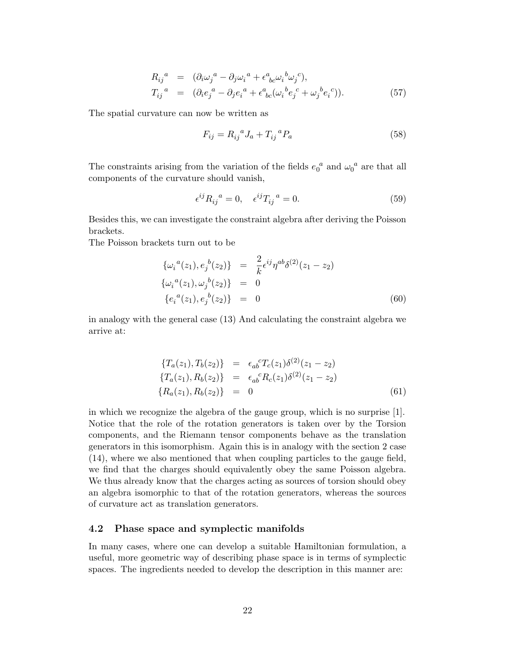$$
R_{ij}^a = (\partial_i \omega_j^a - \partial_j \omega_i^a + \epsilon^a_{bc} \omega_i^b \omega_j^c),
$$
  
\n
$$
T_{ij}^a = (\partial_i e_j^a - \partial_j e_i^a + \epsilon^a_{bc} (\omega_i^b e_j^c + \omega_j^b e_i^c)).
$$
\n(57)

The spatial curvature can now be written as

$$
F_{ij} = R_{ij}{}^{a} J_a + T_{ij}{}^{a} P_a \tag{58}
$$

The constraints arising from the variation of the fields  $e_0^a$  and  $\omega_0^a$  are that all components of the curvature should vanish,

$$
\epsilon^{ij} R_{ij}{}^a = 0, \quad \epsilon^{ij} T_{ij}{}^a = 0. \tag{59}
$$

Besides this, we can investigate the constraint algebra after deriving the Poisson brackets.

The Poisson brackets turn out to be

$$
\{\omega_i{}^a(z_1), e_j{}^b(z_2)\} = \frac{2}{k} \epsilon^{ij} \eta^{ab} \delta^{(2)}(z_1 - z_2)
$$
  

$$
\{\omega_i{}^a(z_1), \omega_j{}^b(z_2)\} = 0
$$
  

$$
\{e_i{}^a(z_1), e_j{}^b(z_2)\} = 0
$$
 (60)

in analogy with the general case (13) And calculating the constraint algebra we arrive at:

$$
\begin{aligned}\n\{T_a(z_1), T_b(z_2)\} &= \epsilon_{ab}{}^c T_c(z_1) \delta^{(2)}(z_1 - z_2) \\
\{T_a(z_1), R_b(z_2)\} &= \epsilon_{ab}{}^c R_c(z_1) \delta^{(2)}(z_1 - z_2) \\
\{R_a(z_1), R_b(z_2)\} &= 0\n\end{aligned} \tag{61}
$$

in which we recognize the algebra of the gauge group, which is no surprise [1]. Notice that the role of the rotation generators is taken over by the Torsion components, and the Riemann tensor components behave as the translation generators in this isomorphism. Again this is in analogy with the section 2 case (14), where we also mentioned that when coupling particles to the gauge field, we find that the charges should equivalently obey the same Poisson algebra. We thus already know that the charges acting as sources of torsion should obey an algebra isomorphic to that of the rotation generators, whereas the sources of curvature act as translation generators.

## 4.2 Phase space and symplectic manifolds

In many cases, where one can develop a suitable Hamiltonian formulation, a useful, more geometric way of describing phase space is in terms of symplectic spaces. The ingredients needed to develop the description in this manner are: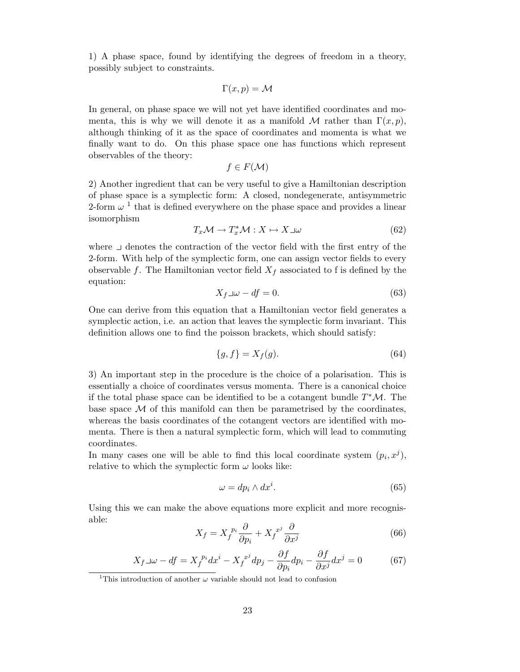1) A phase space, found by identifying the degrees of freedom in a theory, possibly subject to constraints.

$$
\Gamma(x,p) = \mathcal{M}
$$

In general, on phase space we will not yet have identified coordinates and momenta, this is why we will denote it as a manifold M rather than  $\Gamma(x, p)$ , although thinking of it as the space of coordinates and momenta is what we finally want to do. On this phase space one has functions which represent observables of the theory:

 $f \in F(\mathcal{M})$ 

2) Another ingredient that can be very useful to give a Hamiltonian description of phase space is a symplectic form: A closed, nondegenerate, antisymmetric 2-form  $\omega^{-1}$  that is defined everywhere on the phase space and provides a linear isomorphism

$$
T_x \mathcal{M} \to T_x^* \mathcal{M} : X \mapsto X \sqcup \omega \tag{62}
$$

where  $\Box$  denotes the contraction of the vector field with the first entry of the 2-form. With help of the symplectic form, one can assign vector fields to every observable f. The Hamiltonian vector field  $X_f$  associated to f is defined by the equation:

$$
X_f \lrcorner \omega - df = 0. \tag{63}
$$

One can derive from this equation that a Hamiltonian vector field generates a symplectic action, i.e. an action that leaves the symplectic form invariant. This definition allows one to find the poisson brackets, which should satisfy:

$$
\{g, f\} = X_f(g). \tag{64}
$$

3) An important step in the procedure is the choice of a polarisation. This is essentially a choice of coordinates versus momenta. There is a canonical choice if the total phase space can be identified to be a cotangent bundle  $T^{\ast}\mathcal{M}$ . The base space  $\mathcal M$  of this manifold can then be parametrised by the coordinates, whereas the basis coordinates of the cotangent vectors are identified with momenta. There is then a natural symplectic form, which will lead to commuting coordinates.

In many cases one will be able to find this local coordinate system  $(p_i, x^j)$ , relative to which the symplectic form  $\omega$  looks like:

$$
\omega = dp_i \wedge dx^i. \tag{65}
$$

Using this we can make the above equations more explicit and more recognisable:

$$
X_f = X_f^{p_i} \frac{\partial}{\partial p_i} + X_f^{x^j} \frac{\partial}{\partial x^j} \tag{66}
$$

$$
X_f \lrcorner \omega - df = X_f^{p_i} dx^i - X_f^{x^j} dp_j - \frac{\partial f}{\partial p_i} dp_i - \frac{\partial f}{\partial x^j} dx^j = 0 \tag{67}
$$

<sup>&</sup>lt;sup>1</sup>This introduction of another  $\omega$  variable should not lead to confusion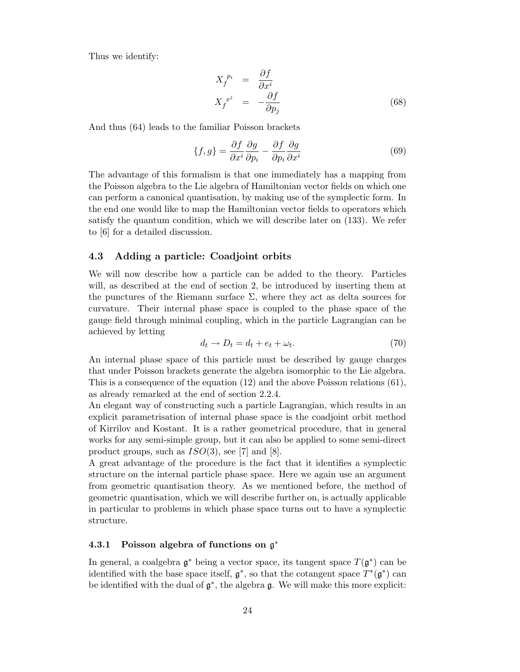Thus we identify:

$$
X_f^{p_i} = \frac{\partial f}{\partial x^i}
$$
  

$$
X_f^{x^j} = -\frac{\partial f}{\partial p_j}
$$
 (68)

And thus (64) leads to the familiar Poisson brackets

$$
\{f,g\} = \frac{\partial f}{\partial x^i} \frac{\partial g}{\partial p_i} - \frac{\partial f}{\partial p_i} \frac{\partial g}{\partial x^i} \tag{69}
$$

The advantage of this formalism is that one immediately has a mapping from the Poisson algebra to the Lie algebra of Hamiltonian vector fields on which one can perform a canonical quantisation, by making use of the symplectic form. In the end one would like to map the Hamiltonian vector fields to operators which satisfy the quantum condition, which we will describe later on (133). We refer to [6] for a detailed discussion.

# 4.3 Adding a particle: Coadjoint orbits

We will now describe how a particle can be added to the theory. Particles will, as described at the end of section 2, be introduced by inserting them at the punctures of the Riemann surface  $\Sigma$ , where they act as delta sources for curvature. Their internal phase space is coupled to the phase space of the gauge field through minimal coupling, which in the particle Lagrangian can be achieved by letting

$$
d_t \to D_t = d_t + e_t + \omega_t. \tag{70}
$$

An internal phase space of this particle must be described by gauge charges that under Poisson brackets generate the algebra isomorphic to the Lie algebra. This is a consequence of the equation (12) and the above Poisson relations (61), as already remarked at the end of section 2.2.4.

An elegant way of constructing such a particle Lagrangian, which results in an explicit parametrisation of internal phase space is the coadjoint orbit method of Kirrilov and Kostant. It is a rather geometrical procedure, that in general works for any semi-simple group, but it can also be applied to some semi-direct product groups, such as  $ISO(3)$ , see [7] and [8].

A great advantage of the procedure is the fact that it identifies a symplectic structure on the internal particle phase space. Here we again use an argument from geometric quantisation theory. As we mentioned before, the method of geometric quantisation, which we will describe further on, is actually applicable in particular to problems in which phase space turns out to have a symplectic structure.

# 4.3.1 Poisson algebra of functions on  $\mathfrak{g}^*$

In general, a coalgebra  $\mathfrak{g}^*$  being a vector space, its tangent space  $T(\mathfrak{g}^*)$  can be identified with the base space itself,  $\mathfrak{g}^*$ , so that the cotangent space  $T^*(\mathfrak{g}^*)$  can be identified with the dual of  $\mathfrak{g}^*$ , the algebra  $\mathfrak{g}$ . We will make this more explicit: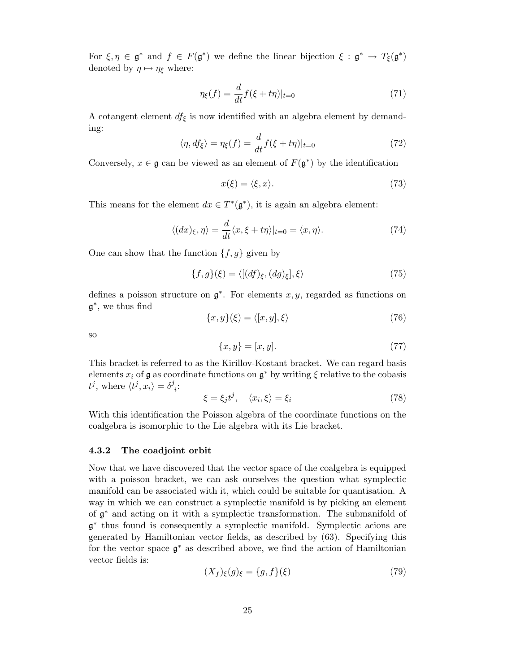For  $\xi, \eta \in \mathfrak{g}^*$  and  $f \in F(\mathfrak{g}^*)$  we define the linear bijection  $\xi : \mathfrak{g}^* \to T_{\xi}(\mathfrak{g}^*)$ denoted by  $\eta \mapsto \eta_{\xi}$  where:

$$
\eta_{\xi}(f) = \frac{d}{dt} f(\xi + t\eta)|_{t=0} \tag{71}
$$

A cotangent element  $df_{\xi}$  is now identified with an algebra element by demanding:

$$
\langle \eta, df_{\xi} \rangle = \eta_{\xi}(f) = \frac{d}{dt} f(\xi + t\eta)|_{t=0}
$$
\n(72)

Conversely,  $x \in \mathfrak{g}$  can be viewed as an element of  $F(\mathfrak{g}^*)$  by the identification

$$
x(\xi) = \langle \xi, x \rangle. \tag{73}
$$

This means for the element  $dx \in T^*(\mathfrak{g}^*)$ , it is again an algebra element:

$$
\langle (dx)\xi, \eta \rangle = \frac{d}{dt} \langle x, \xi + t\eta \rangle |_{t=0} = \langle x, \eta \rangle. \tag{74}
$$

One can show that the function  $\{f, g\}$  given by

$$
\{f,g\}(\xi) = \langle [(df)_{\xi}, (dg)_{\xi}], \xi \rangle \tag{75}
$$

defines a poisson structure on  $\mathfrak{g}^*$ . For elements x, y, regarded as functions on g ∗ , we thus find

$$
\{x, y\}(\xi) = \langle [x, y], \xi \rangle \tag{76}
$$

so

$$
\{x, y\} = [x, y].
$$
\n(77)

This bracket is referred to as the Kirillov-Kostant bracket. We can regard basis elements  $x_i$  of  $\mathfrak g$  as coordinate functions on  $\mathfrak g^*$  by writing  $\xi$  relative to the cobasis  $t^j$ , where  $\langle t^j, x_i \rangle = \delta^j$ i :

$$
\xi = \xi_j t^j, \quad \langle x_i, \xi \rangle = \xi_i \tag{78}
$$

With this identification the Poisson algebra of the coordinate functions on the coalgebra is isomorphic to the Lie algebra with its Lie bracket.

#### 4.3.2 The coadjoint orbit

Now that we have discovered that the vector space of the coalgebra is equipped with a poisson bracket, we can ask ourselves the question what symplectic manifold can be associated with it, which could be suitable for quantisation. A way in which we can construct a symplectic manifold is by picking an element of g <sup>∗</sup> and acting on it with a symplectic transformation. The submanifold of g ∗ thus found is consequently a symplectic manifold. Symplectic acions are generated by Hamiltonian vector fields, as described by (63). Specifying this for the vector space g <sup>∗</sup> as described above, we find the action of Hamiltonian vector fields is:

$$
(X_f)_{\xi}(g)_{\xi} = \{g, f\}(\xi)
$$
\n<sup>(79)</sup>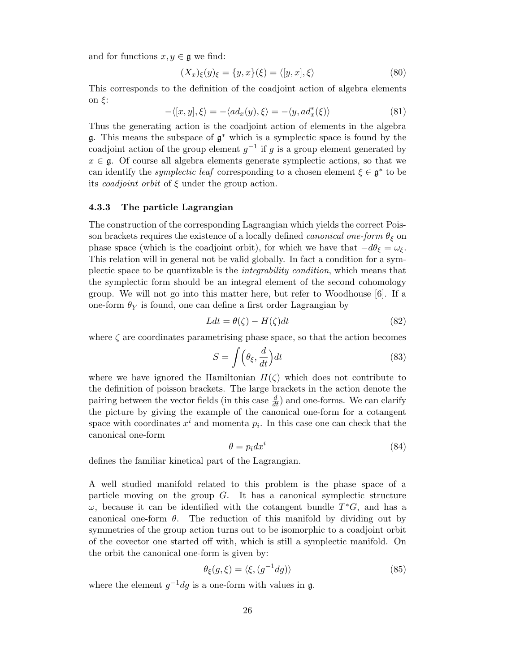and for functions  $x, y \in \mathfrak{g}$  we find:

$$
(X_x)_{\xi}(y)_{\xi} = \{y, x\}(\xi) = \langle [y, x], \xi \rangle \tag{80}
$$

This corresponds to the definition of the coadjoint action of algebra elements on ξ:

$$
-\langle [x, y], \xi \rangle = -\langle ad_x(y), \xi \rangle = -\langle y, ad_x^*(\xi) \rangle \tag{81}
$$

Thus the generating action is the coadjoint action of elements in the algebra  $\mathfrak g$ . This means the subspace of  $\mathfrak g^*$  which is a symplectic space is found by the coadjoint action of the group element  $g^{-1}$  if g is a group element generated by  $x \in \mathfrak{g}$ . Of course all algebra elements generate symplectic actions, so that we can identify the *symplectic leaf* corresponding to a chosen element  $\xi \in \mathfrak{g}^*$  to be its *coadjoint orbit* of  $\xi$  under the group action.

#### 4.3.3 The particle Lagrangian

The construction of the corresponding Lagrangian which yields the correct Poisson brackets requires the existence of a locally defined *canonical one-form*  $\theta_{\xi}$  on phase space (which is the coadjoint orbit), for which we have that  $-d\theta_{\xi} = \omega_{\xi}$ . This relation will in general not be valid globally. In fact a condition for a symplectic space to be quantizable is the integrability condition, which means that the symplectic form should be an integral element of the second cohomology group. We will not go into this matter here, but refer to Woodhouse [6]. If a one-form  $\theta_Y$  is found, one can define a first order Lagrangian by

$$
Ldt = \theta(\zeta) - H(\zeta)dt\tag{82}
$$

where  $\zeta$  are coordinates parametrising phase space, so that the action becomes

$$
S = \int \left(\theta_{\xi}, \frac{d}{dt}\right) dt \tag{83}
$$

where we have ignored the Hamiltonian  $H(\zeta)$  which does not contribute to the definition of poisson brackets. The large brackets in the action denote the pairing between the vector fields (in this case  $\frac{d}{dt}$ ) and one-forms. We can clarify the picture by giving the example of the canonical one-form for a cotangent space with coordinates  $x^i$  and momenta  $p_i$ . In this case one can check that the canonical one-form

$$
\theta = p_i dx^i \tag{84}
$$

defines the familiar kinetical part of the Lagrangian.

A well studied manifold related to this problem is the phase space of a particle moving on the group  $G$ . It has a canonical symplectic structure  $\omega$ , because it can be identified with the cotangent bundle  $T^*G$ , and has a canonical one-form  $\theta$ . The reduction of this manifold by dividing out by symmetries of the group action turns out to be isomorphic to a coadjoint orbit of the covector one started off with, which is still a symplectic manifold. On the orbit the canonical one-form is given by:

$$
\theta_{\xi}(g,\xi) = \langle \xi, (g^{-1}dg) \rangle \tag{85}
$$

where the element  $g^{-1}dg$  is a one-form with values in  $g$ .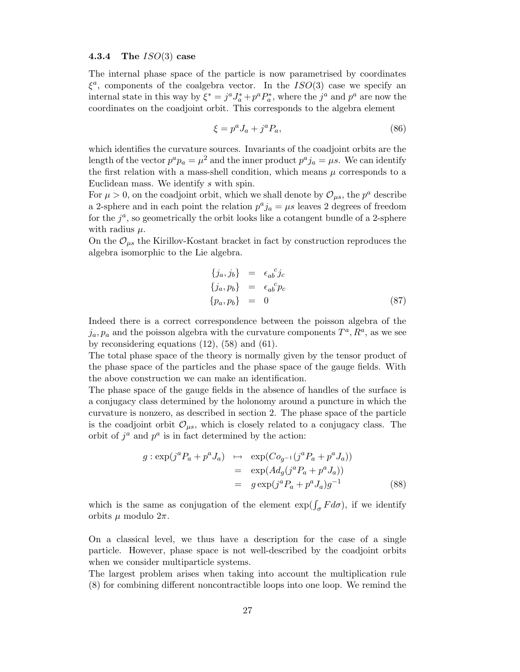## 4.3.4 The  $ISO(3)$  case

The internal phase space of the particle is now parametrised by coordinates  $\xi^a$ , components of the coalgebra vector. In the  $ISO(3)$  case we specify an internal state in this way by  $\xi^* = j^a J_a^* + p^a P_a^*$ , where the  $j^a$  and  $p^a$  are now the coordinates on the coadjoint orbit. This corresponds to the algebra element

$$
\xi = p^a J_a + j^a P_a,\tag{86}
$$

which identifies the curvature sources. Invariants of the coadjoint orbits are the length of the vector  $p^a p_a = \mu^2$  and the inner product  $p^a j_a = \mu s$ . We can identify the first relation with a mass-shell condition, which means  $\mu$  corresponds to a Euclidean mass. We identify s with spin.

For  $\mu > 0$ , on the coadjoint orbit, which we shall denote by  $\mathcal{O}_{\mu s}$ , the  $p^a$  describe a 2-sphere and in each point the relation  $p^a j_a = \mu s$  leaves 2 degrees of freedom for the  $j^a$ , so geometrically the orbit looks like a cotangent bundle of a 2-sphere with radius  $\mu$ .

On the  $\mathcal{O}_{\mu s}$  the Kirillov-Kostant bracket in fact by construction reproduces the algebra isomorphic to the Lie algebra.

$$
\begin{aligned}\n\{j_a, j_b\} &= \epsilon_{ab}^c j_c \\
\{j_a, p_b\} &= \epsilon_{ab}^c p_c \\
\{p_a, p_b\} &= 0\n\end{aligned}
$$
\n(87)

Indeed there is a correct correspondence between the poisson algebra of the  $j_a, p_a$  and the poisson algebra with the curvature components  $T^a, R^a$ , as we see by reconsidering equations (12), (58) and (61).

The total phase space of the theory is normally given by the tensor product of the phase space of the particles and the phase space of the gauge fields. With the above construction we can make an identification.

The phase space of the gauge fields in the absence of handles of the surface is a conjugacy class determined by the holonomy around a puncture in which the curvature is nonzero, as described in section 2. The phase space of the particle is the coadjoint orbit  $\mathcal{O}_{\mu s}$ , which is closely related to a conjugacy class. The orbit of  $j^a$  and  $p^a$  is in fact determined by the action:

$$
g: \exp(j^{a}P_{a} + p^{a}J_{a}) \mapsto \exp(Co_{g^{-1}}(j^{a}P_{a} + p^{a}J_{a}))
$$
  
= 
$$
\exp(Ad_{g}(j^{a}P_{a} + p^{a}J_{a}))
$$
  
= 
$$
g \exp(j^{a}P_{a} + p^{a}J_{a})g^{-1}
$$
(88)

which is the same as conjugation of the element  $\exp(\int_{\sigma} F d\sigma)$ , if we identify orbits  $\mu$  modulo  $2\pi$ .

On a classical level, we thus have a description for the case of a single particle. However, phase space is not well-described by the coadjoint orbits when we consider multiparticle systems.

The largest problem arises when taking into account the multiplication rule (8) for combining different noncontractible loops into one loop. We remind the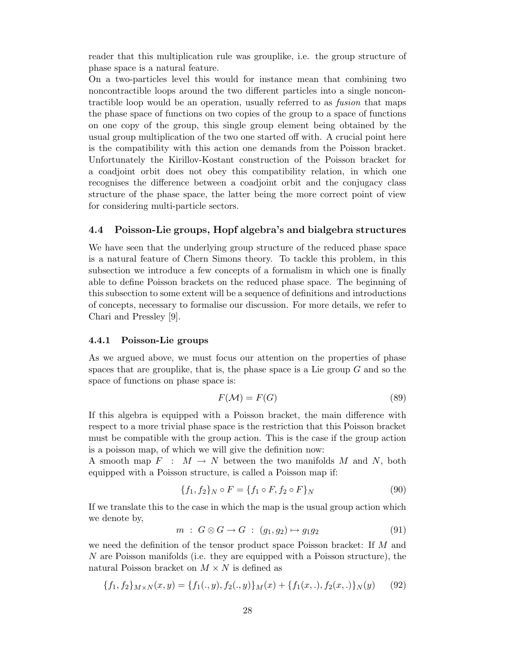reader that this multiplication rule was grouplike, i.e. the group structure of phase space is a natural feature.

On a two-particles level this would for instance mean that combining two noncontractible loops around the two different particles into a single noncontractible loop would be an operation, usually referred to as fusion that maps the phase space of functions on two copies of the group to a space of functions on one copy of the group, this single group element being obtained by the usual group multiplication of the two one started off with. A crucial point here is the compatibility with this action one demands from the Poisson bracket. Unfortunately the Kirillov-Kostant construction of the Poisson bracket for a coadjoint orbit does not obey this compatibility relation, in which one recognises the difference between a coadjoint orbit and the conjugacy class structure of the phase space, the latter being the more correct point of view for considering multi-particle sectors.

#### 4.4 Poisson-Lie groups, Hopf algebra's and bialgebra structures

We have seen that the underlying group structure of the reduced phase space is a natural feature of Chern Simons theory. To tackle this problem, in this subsection we introduce a few concepts of a formalism in which one is finally able to define Poisson brackets on the reduced phase space. The beginning of this subsection to some extent will be a sequence of definitions and introductions of concepts, necessary to formalise our discussion. For more details, we refer to Chari and Pressley [9].

#### 4.4.1 Poisson-Lie groups

As we argued above, we must focus our attention on the properties of phase spaces that are grouplike, that is, the phase space is a Lie group  $G$  and so the space of functions on phase space is:

$$
F(\mathcal{M}) = F(G) \tag{89}
$$

If this algebra is equipped with a Poisson bracket, the main difference with respect to a more trivial phase space is the restriction that this Poisson bracket must be compatible with the group action. This is the case if the group action is a poisson map, of which we will give the definition now:

A smooth map  $F : M \to N$  between the two manifolds M and N, both equipped with a Poisson structure, is called a Poisson map if:

$$
\{f_1, f_2\}_N \circ F = \{f_1 \circ F, f_2 \circ F\}_N \tag{90}
$$

If we translate this to the case in which the map is the usual group action which we denote by,

$$
m : G \otimes G \to G : (g_1, g_2) \mapsto g_1 g_2 \tag{91}
$$

we need the definition of the tensor product space Poisson bracket: If M and N are Poisson manifolds (i.e. they are equipped with a Poisson structure), the natural Poisson bracket on  $M \times N$  is defined as

$$
\{f_1, f_2\}_{M \times N}(x, y) = \{f_1(., y), f_2(., y)\}_M(x) + \{f_1(x, .), f_2(x, .)\}_N(y) \tag{92}
$$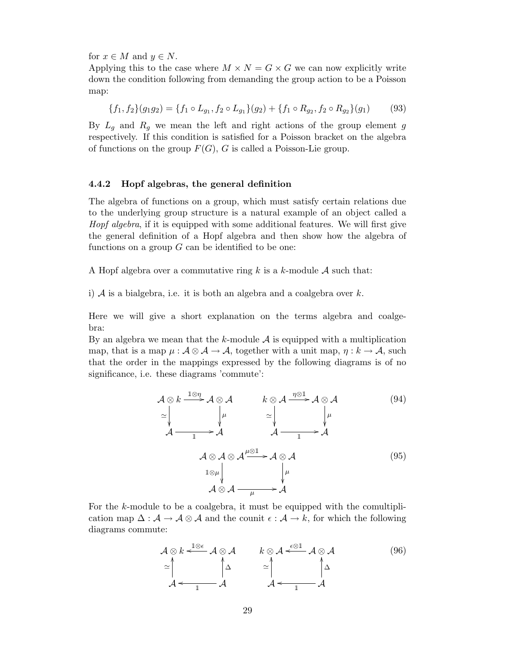for  $x \in M$  and  $y \in N$ .

Applying this to the case where  $M \times N = G \times G$  we can now explicitly write down the condition following from demanding the group action to be a Poisson map:

$$
\{f_1, f_2\}(g_1g_2) = \{f_1 \circ L_{g_1}, f_2 \circ L_{g_1}\}(g_2) + \{f_1 \circ R_{g_2}, f_2 \circ R_{g_2}\}(g_1)
$$
(93)

By  $L_q$  and  $R_q$  we mean the left and right actions of the group element g respectively. If this condition is satisfied for a Poisson bracket on the algebra of functions on the group  $F(G)$ , G is called a Poisson-Lie group.

#### 4.4.2 Hopf algebras, the general definition

The algebra of functions on a group, which must satisfy certain relations due to the underlying group structure is a natural example of an object called a Hopf algebra, if it is equipped with some additional features. We will first give the general definition of a Hopf algebra and then show how the algebra of functions on a group  $G$  can be identified to be one:

A Hopf algebra over a commutative ring k is a k-module  $A$  such that:

i)  $A$  is a bialgebra, i.e. it is both an algebra and a coalgebra over  $k$ .

Here we will give a short explanation on the terms algebra and coalgebra:

By an algebra we mean that the k-module  $A$  is equipped with a multiplication map, that is a map  $\mu : \mathcal{A} \otimes \mathcal{A} \to \mathcal{A}$ , together with a unit map,  $\eta : k \to \mathcal{A}$ , such that the order in the mappings expressed by the following diagrams is of no significance, i.e. these diagrams 'commute':

$$
\mathcal{A} \otimes k \xrightarrow{\mathbb{1} \otimes \eta} \mathcal{A} \otimes \mathcal{A} \qquad k \otimes \mathcal{A} \xrightarrow{\eta \otimes 1} \mathcal{A} \otimes \mathcal{A} \qquad (94)
$$
\n
$$
\simeq \downarrow \qquad \downarrow \qquad \searrow \downarrow \qquad \downarrow \qquad \downarrow \qquad \downarrow \qquad (94)
$$
\n
$$
\mathcal{A} \xrightarrow{\eta} \mathcal{A} \qquad \mathcal{A} \xrightarrow{\eta} \mathcal{A} \qquad \downarrow \qquad \downarrow \qquad \downarrow \qquad \downarrow \qquad (95)
$$
\n
$$
\mathcal{A} \otimes \mathcal{A} \otimes \mathcal{A} \xrightarrow{\mathbb{1} \otimes \mu} \downarrow \qquad \downarrow \qquad \downarrow \qquad (95)
$$

For the k-module to be a coalgebra, it must be equipped with the comultiplication map  $\Delta : \mathcal{A} \to \mathcal{A} \otimes \mathcal{A}$  and the counit  $\epsilon : \mathcal{A} \to k$ , for which the following diagrams commute:

$$
\mathcal{A} \otimes k \xleftarrow{\mathbb{1} \otimes \epsilon} \mathcal{A} \otimes \mathcal{A} \qquad k \otimes \mathcal{A} \xleftarrow{\epsilon \otimes \mathbb{1}} \mathcal{A} \otimes \mathcal{A} \qquad (96)
$$
\n
$$
\simeq \int_{\mathcal{A}}^{\Delta} \int_{\Delta}^{\Delta} \simeq \int_{\mathcal{A}}^{\Delta} \int_{\Delta}^{\Delta}
$$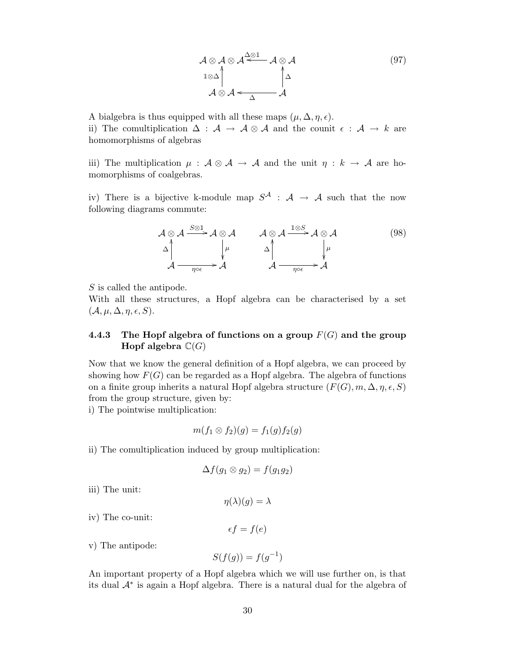$$
\mathcal{A} \otimes \mathcal{A} \otimes \mathcal{A} \stackrel{\triangle \otimes 1}{\longrightarrow} \mathcal{A} \otimes \mathcal{A}
$$
\n
$$
\downarrow{1 \otimes \Delta} \qquad \qquad \downarrow{1 \otimes \Delta} \qquad \qquad (97)
$$
\n
$$
\mathcal{A} \otimes \mathcal{A} \leftarrow \qquad \qquad \mathcal{A}
$$

A bialgebra is thus equipped with all these maps  $(\mu, \Delta, \eta, \epsilon)$ . ii) The comultiplication  $\Delta$  :  $\mathcal{A} \to \mathcal{A} \otimes \mathcal{A}$  and the counit  $\epsilon : \mathcal{A} \to k$  are homomorphisms of algebras

iii) The multiplication  $\mu : A \otimes A \rightarrow A$  and the unit  $\eta : k \rightarrow A$  are homomorphisms of coalgebras.

iv) There is a bijective k-module map  $S^{\mathcal{A}}$  :  $\mathcal{A} \rightarrow \mathcal{A}$  such that the now following diagrams commute:

$$
\mathcal{A} \otimes \mathcal{A} \xrightarrow{\mathcal{S} \otimes \mathbb{I}} \mathcal{A} \otimes \mathcal{A} \qquad \mathcal{A} \otimes \mathcal{A} \xrightarrow{\mathbb{I} \otimes S} \mathcal{A} \otimes \mathcal{A} \qquad (98)
$$
\n
$$
\Delta \Big|_{\mathcal{A} \xrightarrow{\eta \circ \epsilon}} \mathcal{A} \qquad \Delta \Big|_{\mathcal{A} \xrightarrow{\eta \circ \epsilon}} \Delta \Big|_{\mathcal{A} \xrightarrow{\eta \circ \epsilon}} \mathcal{A} \qquad (98)
$$

S is called the antipode.

With all these structures, a Hopf algebra can be characterised by a set  $(\mathcal{A}, \mu, \Delta, \eta, \epsilon, S).$ 

# 4.4.3 The Hopf algebra of functions on a group  $F(G)$  and the group Hopf algebra  $\mathbb{C}(G)$

Now that we know the general definition of a Hopf algebra, we can proceed by showing how  $F(G)$  can be regarded as a Hopf algebra. The algebra of functions on a finite group inherits a natural Hopf algebra structure  $(F(G), m, \Delta, \eta, \epsilon, S)$ from the group structure, given by:

i) The pointwise multiplication:

$$
m(f_1 \otimes f_2)(g) = f_1(g)f_2(g)
$$

ii) The comultiplication induced by group multiplication:

$$
\Delta f(g_1 \otimes g_2) = f(g_1 g_2)
$$

iii) The unit:

 $\eta(\lambda)(q) = \lambda$ 

iv) The co-unit:

$$
\epsilon f = f(e)
$$

v) The antipode:

$$
S(f(g)) = f(g^{-1})
$$

An important property of a Hopf algebra which we will use further on, is that its dual  $\mathcal{A}^*$  is again a Hopf algebra. There is a natural dual for the algebra of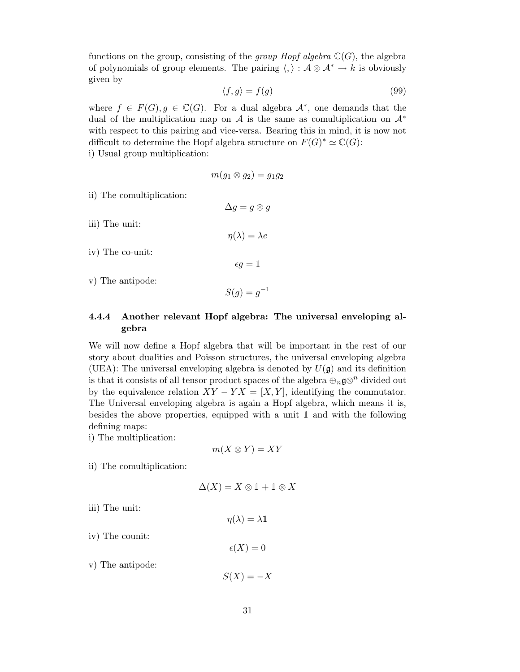functions on the group, consisting of the *group Hopf algebra*  $\mathbb{C}(G)$ , the algebra of polynomials of group elements. The pairing  $\langle, \rangle : A \otimes A^* \to k$  is obviously given by

$$
\langle f, g \rangle = f(g) \tag{99}
$$

where  $f \in F(G)$ ,  $g \in \mathbb{C}(G)$ . For a dual algebra  $\mathcal{A}^*$ , one demands that the dual of the multiplication map on A is the same as comultiplication on  $\mathcal{A}^*$ with respect to this pairing and vice-versa. Bearing this in mind, it is now not difficult to determine the Hopf algebra structure on  $F(G)^* \simeq \mathbb{C}(G)$ :

i) Usual group multiplication:

$$
m(g_1\otimes g_2)=g_1g_2
$$

 $\Delta g = g \otimes g$ 

ii) The comultiplication:

iii) The unit:

$$
\eta(\lambda) = \lambda e
$$

iv) The co-unit:

 $\epsilon q = 1$ 

v) The antipode:

$$
S(g) = g^{-1}
$$

# 4.4.4 Another relevant Hopf algebra: The universal enveloping algebra

We will now define a Hopf algebra that will be important in the rest of our story about dualities and Poisson structures, the universal enveloping algebra (UEA): The universal enveloping algebra is denoted by  $U(\mathfrak{g})$  and its definition is that it consists of all tensor product spaces of the algebra  $\bigoplus_{n\in\mathbb{Z}}\mathfrak{g}\otimes^n$  divided out by the equivalence relation  $XY - YX = [X, Y]$ , identifying the commutator. The Universal enveloping algebra is again a Hopf algebra, which means it is, besides the above properties, equipped with a unit  $\mathbbm{1}$  and with the following defining maps:

i) The multiplication:

$$
m(X\otimes Y)=XY
$$

ii) The comultiplication:

$$
\Delta(X)=X\otimes\mathbb{1}+\mathbb{1}\otimes X
$$

iii) The unit:

 $\eta(\lambda) = \lambda \mathbb{1}$ 

iv) The counit:

$$
\epsilon(X)=0
$$

v) The antipode:

 $S(X) = -X$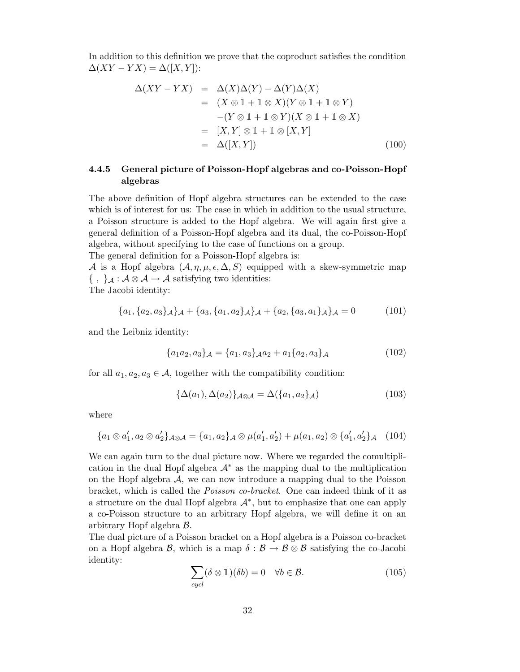In addition to this definition we prove that the coproduct satisfies the condition  $\Delta(XY - YX) = \Delta([X, Y])$ :

$$
\Delta(XY - YX) = \Delta(X)\Delta(Y) - \Delta(Y)\Delta(X)
$$
  
\n
$$
= (X \otimes 1 + 1 \otimes X)(Y \otimes 1 + 1 \otimes Y)
$$
  
\n
$$
-(Y \otimes 1 + 1 \otimes Y)(X \otimes 1 + 1 \otimes X)
$$
  
\n
$$
= [X, Y] \otimes 1 + 1 \otimes [X, Y]
$$
  
\n
$$
= \Delta([X, Y]) \qquad (100)
$$

# 4.4.5 General picture of Poisson-Hopf algebras and co-Poisson-Hopf algebras

The above definition of Hopf algebra structures can be extended to the case which is of interest for us: The case in which in addition to the usual structure, a Poisson structure is added to the Hopf algebra. We will again first give a general definition of a Poisson-Hopf algebra and its dual, the co-Poisson-Hopf algebra, without specifying to the case of functions on a group.

The general definition for a Poisson-Hopf algebra is:

A is a Hopf algebra  $(A, \eta, \mu, \epsilon, \Delta, S)$  equipped with a skew-symmetric map  $\{ , \}$ <sub>A</sub> :  $A \otimes A \rightarrow A$  satisfying two identities:

The Jacobi identity:

$$
\{a_1, \{a_2, a_3\}\mathcal{A}\}\mathcal{A} + \{a_3, \{a_1, a_2\}\mathcal{A}\}\mathcal{A} + \{a_2, \{a_3, a_1\}\mathcal{A}\}\mathcal{A} = 0 \tag{101}
$$

and the Leibniz identity:

$$
\{a_1 a_2, a_3\}_{\mathcal{A}} = \{a_1, a_3\}_{\mathcal{A}} a_2 + a_1 \{a_2, a_3\}_{\mathcal{A}}
$$
(102)

for all  $a_1, a_2, a_3 \in \mathcal{A}$ , together with the compatibility condition:

$$
\{\Delta(a_1), \Delta(a_2)\}_{\mathcal{A}\otimes\mathcal{A}} = \Delta(\{a_1, a_2\}_{\mathcal{A}})
$$
\n(103)

where

$$
\{a_1 \otimes a_1', a_2 \otimes a_2'\}\mathcal{A} \otimes \mathcal{A} = \{a_1, a_2\}\mathcal{A} \otimes \mu(a_1', a_2') + \mu(a_1, a_2) \otimes \{a_1', a_2'\}\mathcal{A} \quad (104)
$$

We can again turn to the dual picture now. Where we regarded the comultiplication in the dual Hopf algebra  $A^*$  as the mapping dual to the multiplication on the Hopf algebra  $A$ , we can now introduce a mapping dual to the Poisson bracket, which is called the Poisson co-bracket. One can indeed think of it as a structure on the dual Hopf algebra  $\mathcal{A}^*$ , but to emphasize that one can apply a co-Poisson structure to an arbitrary Hopf algebra, we will define it on an arbitrary Hopf algebra B.

The dual picture of a Poisson bracket on a Hopf algebra is a Poisson co-bracket on a Hopf algebra  $\mathcal{B}$ , which is a map  $\delta : \mathcal{B} \to \mathcal{B} \otimes \mathcal{B}$  satisfying the co-Jacobi identity:

$$
\sum_{cycl} (\delta \otimes 1)(\delta b) = 0 \quad \forall b \in \mathcal{B}.
$$
 (105)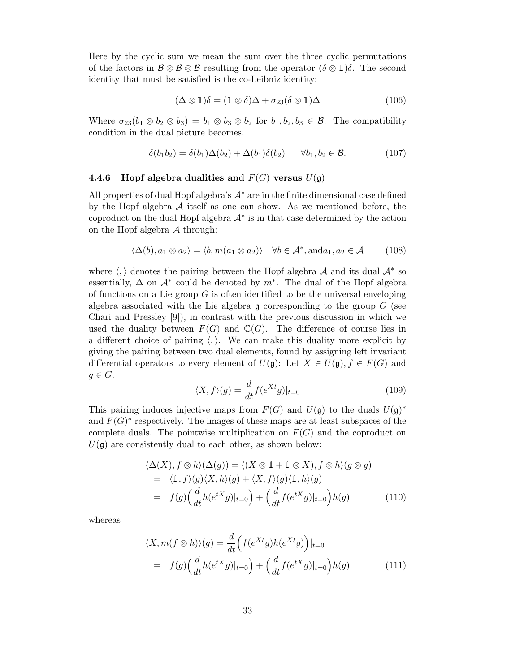Here by the cyclic sum we mean the sum over the three cyclic permutations of the factors in  $\mathcal{B} \otimes \mathcal{B} \otimes \mathcal{B}$  resulting from the operator  $(\delta \otimes \mathbb{1})\delta$ . The second identity that must be satisfied is the co-Leibniz identity:

$$
(\Delta \otimes 1)\delta = (1 \otimes \delta)\Delta + \sigma_{23}(\delta \otimes 1)\Delta \tag{106}
$$

Where  $\sigma_{23}(b_1 \otimes b_2 \otimes b_3) = b_1 \otimes b_3 \otimes b_2$  for  $b_1, b_2, b_3 \in \mathcal{B}$ . The compatibility condition in the dual picture becomes:

$$
\delta(b_1b_2) = \delta(b_1)\Delta(b_2) + \Delta(b_1)\delta(b_2) \qquad \forall b_1, b_2 \in \mathcal{B}.\tag{107}
$$

## 4.4.6 Hopf algebra dualities and  $F(G)$  versus  $U(\mathfrak{g})$

All properties of dual Hopf algebra's  $A^*$  are in the finite dimensional case defined by the Hopf algebra  $A$  itself as one can show. As we mentioned before, the coproduct on the dual Hopf algebra  $\mathcal{A}^*$  is in that case determined by the action on the Hopf algebra  $A$  through:

$$
\langle \Delta(b), a_1 \otimes a_2 \rangle = \langle b, m(a_1 \otimes a_2) \rangle \quad \forall b \in \mathcal{A}^*, \text{and} a_1, a_2 \in \mathcal{A} \tag{108}
$$

where  $\langle,\rangle$  denotes the pairing between the Hopf algebra  ${\mathcal A}$  and its dual  ${\mathcal A}^*$  so essentially,  $\Delta$  on  $\mathcal{A}^*$  could be denoted by  $m^*$ . The dual of the Hopf algebra of functions on a Lie group  $G$  is often identified to be the universal enveloping algebra associated with the Lie algebra  $\mathfrak g$  corresponding to the group  $G$  (see Chari and Pressley [9]), in contrast with the previous discussion in which we used the duality between  $F(G)$  and  $\mathbb{C}(G)$ . The difference of course lies in a different choice of pairing  $\langle , \rangle$ . We can make this duality more explicit by giving the pairing between two dual elements, found by assigning left invariant differential operators to every element of  $U(\mathfrak{g})$ : Let  $X \in U(\mathfrak{g})$ ,  $f \in F(G)$  and  $g \in G$ .

$$
\langle X, f \rangle(g) = \frac{d}{dt} f(e^{Xt}g)|_{t=0} \tag{109}
$$

This pairing induces injective maps from  $F(G)$  and  $U(\mathfrak{g})$  to the duals  $U(\mathfrak{g})^*$ and  $F(G)^*$  respectively. The images of these maps are at least subspaces of the complete duals. The pointwise multiplication on  $F(G)$  and the coproduct on  $U(\mathfrak{g})$  are consistently dual to each other, as shown below:

$$
\langle \Delta(X), f \otimes h \rangle (\Delta(g)) = \langle (X \otimes 1 + 1 \otimes X), f \otimes h \rangle (g \otimes g)
$$
  
=  $\langle 1, f \rangle (g) \langle X, h \rangle (g) + \langle X, f \rangle (g) \langle 1, h \rangle (g)$   
=  $f(g) \Big( \frac{d}{dt} h(e^{tX}g)|_{t=0} \Big) + \Big( \frac{d}{dt} f(e^{tX}g)|_{t=0} \Big) h(g)$  (110)

whereas

$$
\langle X, m(f \otimes h) \rangle(g) = \frac{d}{dt} \Big( f(e^{Xt}g) h(e^{Xt}g) \Big) |_{t=0}
$$
  
=  $f(g) \Big( \frac{d}{dt} h(e^{tX}g) |_{t=0} \Big) + \Big( \frac{d}{dt} f(e^{tX}g) |_{t=0} \Big) h(g)$  (111)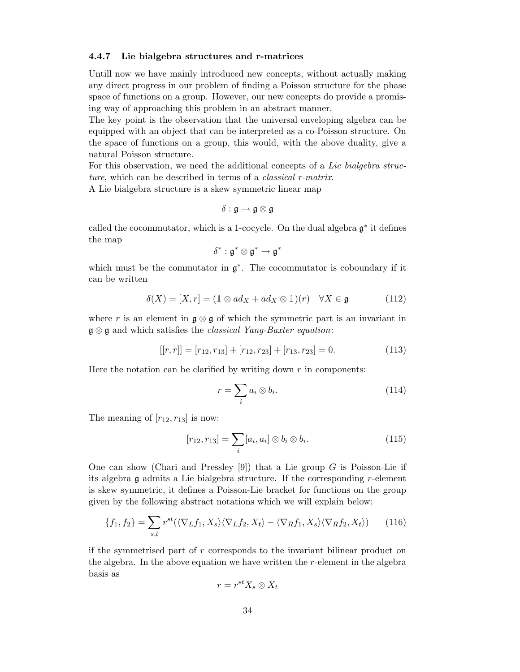#### 4.4.7 Lie bialgebra structures and r-matrices

Untill now we have mainly introduced new concepts, without actually making any direct progress in our problem of finding a Poisson structure for the phase space of functions on a group. However, our new concepts do provide a promising way of approaching this problem in an abstract manner.

The key point is the observation that the universal enveloping algebra can be equipped with an object that can be interpreted as a co-Poisson structure. On the space of functions on a group, this would, with the above duality, give a natural Poisson structure.

For this observation, we need the additional concepts of a Lie bialgebra structure, which can be described in terms of a *classical r-matrix*.

A Lie bialgebra structure is a skew symmetric linear map

$$
\delta: \mathfrak{g} \to \mathfrak{g} \otimes \mathfrak{g}
$$

called the cocommutator, which is a 1-cocycle. On the dual algebra  $\mathfrak{g}^*$  it defines the map

$$
\delta^*:\mathfrak{g}^*\otimes\mathfrak{g}^*\to\mathfrak{g}^*
$$

which must be the commutator in  $\mathfrak{g}^*$ . The cocommutator is coboundary if it can be written

$$
\delta(X) = [X, r] = (1 \otimes ad_X + ad_X \otimes 1)(r) \quad \forall X \in \mathfrak{g} \tag{112}
$$

where r is an element in  $\mathfrak{g} \otimes \mathfrak{g}$  of which the symmetric part is an invariant in  $\mathfrak{g} \otimes \mathfrak{g}$  and which satisfies the *classical Yang-Baxter equation*:

$$
[[r,r]] = [r_{12}, r_{13}] + [r_{12}, r_{23}] + [r_{13}, r_{23}] = 0.
$$
 (113)

Here the notation can be clarified by writing down  $r$  in components:

$$
r = \sum_{i} a_i \otimes b_i. \tag{114}
$$

The meaning of  $[r_{12}, r_{13}]$  is now:

$$
[r_{12}, r_{13}] = \sum_{i} [a_i, a_i] \otimes b_i \otimes b_i.
$$
 (115)

One can show (Chari and Pressley [9]) that a Lie group  $G$  is Poisson-Lie if its algebra  $\mathfrak g$  admits a Lie bialgebra structure. If the corresponding r-element is skew symmetric, it defines a Poisson-Lie bracket for functions on the group given by the following abstract notations which we will explain below:

$$
\{f_1, f_2\} = \sum_{s,t} r^{st} (\langle \nabla_L f_1, X_s \rangle \langle \nabla_L f_2, X_t \rangle - \langle \nabla_R f_1, X_s \rangle \langle \nabla_R f_2, X_t \rangle) \tag{116}
$$

if the symmetrised part of r corresponds to the invariant bilinear product on the algebra. In the above equation we have written the  $r$ -element in the algebra basis as

$$
r = r^{st} X_s \otimes X_t
$$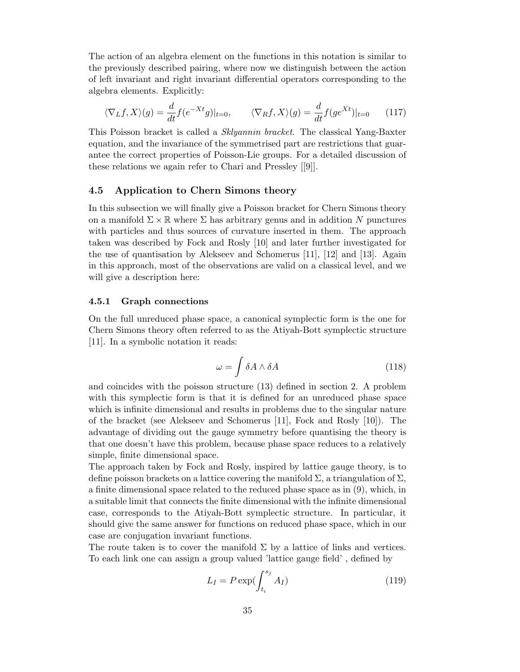The action of an algebra element on the functions in this notation is similar to the previously described pairing, where now we distinguish between the action of left invariant and right invariant differential operators corresponding to the algebra elements. Explicitly:

$$
\langle \nabla_L f, X \rangle(g) = \frac{d}{dt} f(e^{-Xt}g)|_{t=0}, \qquad \langle \nabla_R f, X \rangle(g) = \frac{d}{dt} f(ge^{Xt})|_{t=0} \qquad (117)
$$

This Poisson bracket is called a Sklyannin bracket. The classical Yang-Baxter equation, and the invariance of the symmetrised part are restrictions that guarantee the correct properties of Poisson-Lie groups. For a detailed discussion of these relations we again refer to Chari and Pressley [[9]].

# 4.5 Application to Chern Simons theory

In this subsection we will finally give a Poisson bracket for Chern Simons theory on a manifold  $\Sigma \times \mathbb{R}$  where  $\Sigma$  has arbitrary genus and in addition N punctures with particles and thus sources of curvature inserted in them. The approach taken was described by Fock and Rosly [10] and later further investigated for the use of quantisation by Alekseev and Schomerus [11], [12] and [13]. Again in this approach, most of the observations are valid on a classical level, and we will give a description here:

#### 4.5.1 Graph connections

On the full unreduced phase space, a canonical symplectic form is the one for Chern Simons theory often referred to as the Atiyah-Bott symplectic structure [11]. In a symbolic notation it reads:

$$
\omega = \int \delta A \wedge \delta A \tag{118}
$$

and coincides with the poisson structure (13) defined in section 2. A problem with this symplectic form is that it is defined for an unreduced phase space which is infinite dimensional and results in problems due to the singular nature of the bracket (see Alekseev and Schomerus [11], Fock and Rosly [10]). The advantage of dividing out the gauge symmetry before quantising the theory is that one doesn't have this problem, because phase space reduces to a relatively simple, finite dimensional space.

The approach taken by Fock and Rosly, inspired by lattice gauge theory, is to define poisson brackets on a lattice covering the manifold  $\Sigma$ , a triangulation of  $\Sigma$ , a finite dimensional space related to the reduced phase space as in (9), which, in a suitable limit that connects the finite dimensional with the infinite dimensional case, corresponds to the Atiyah-Bott symplectic structure. In particular, it should give the same answer for functions on reduced phase space, which in our case are conjugation invariant functions.

The route taken is to cover the manifold  $\Sigma$  by a lattice of links and vertices. To each link one can assign a group valued 'lattice gauge field' , defined by

$$
L_I = P \exp(\int_{t_i}^{s_j} A_I) \tag{119}
$$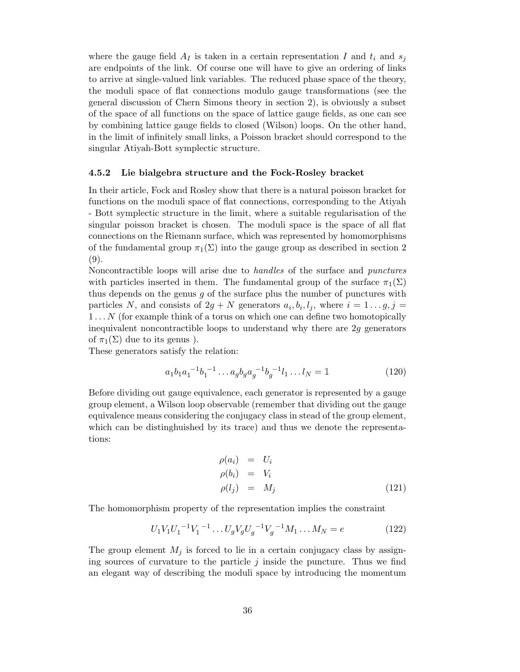where the gauge field  $A_I$  is taken in a certain representation I and  $t_i$  and  $s_j$ are endpoints of the link. Of course one will have to give an ordering of links to arrive at single-valued link variables. The reduced phase space of the theory, the moduli space of flat connections modulo gauge transformations (see the general discussion of Chern Simons theory in section 2), is obviously a subset of the space of all functions on the space of lattice gauge fields, as one can see by combining lattice gauge fields to closed (Wilson) loops. On the other hand, in the limit of infinitely small links, a Poisson bracket should correspond to the singular Atiyah-Bott symplectic structure.

## 4.5.2 Lie bialgebra structure and the Fock-Rosley bracket

In their article, Fock and Rosley show that there is a natural poisson bracket for functions on the moduli space of flat connections, corresponding to the Atiyah - Bott symplectic structure in the limit, where a suitable regularisation of the singular poisson bracket is chosen. The moduli space is the space of all flat connections on the Riemann surface, which was represented by homomorphisms of the fundamental group  $\pi_1(\Sigma)$  into the gauge group as described in section 2 (9).

Noncontractible loops will arise due to handles of the surface and punctures with particles inserted in them. The fundamental group of the surface  $\pi_1(\Sigma)$ thus depends on the genus  $g$  of the surface plus the number of punctures with particles N, and consists of  $2g + N$  generators  $a_i, b_i, l_j$ , where  $i = 1...g, j =$  $1...N$  (for example think of a torus on which one can define two homotopically inequivalent noncontractible loops to understand why there are 2g generators of  $\pi_1(\Sigma)$  due to its genus).

These generators satisfy the relation:

$$
a_1b_1a_1^{-1}b_1^{-1}\dots a_g b_g a_g^{-1}b_g^{-1}l_1\dots l_N = \mathbb{1}
$$
\n(120)

Before dividing out gauge equivalence, each generator is represented by a gauge group element, a Wilson loop observable (remember that dividing out the gauge equivalence means considering the conjugacy class in stead of the group element, which can be distinghuished by its trace) and thus we denote the representations:

$$
\rho(a_i) = U_i \n\rho(b_i) = V_i \n\rho(l_j) = M_j
$$
\n(121)

The homomorphism property of the representation implies the constraint

$$
U_1 V_1 U_1^{-1} V_1^{-1} \dots U_g V_g U_g^{-1} V_g^{-1} M_1 \dots M_N = e \tag{122}
$$

The group element  $M_j$  is forced to lie in a certain conjugacy class by assigning sources of curvature to the particle  $j$  inside the puncture. Thus we find an elegant way of describing the moduli space by introducing the momentum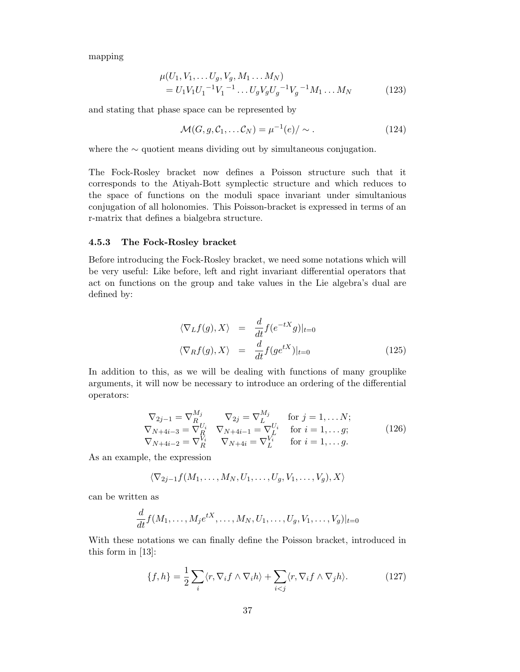mapping

$$
\mu(U_1, V_1, \dots U_g, V_g, M_1 \dots M_N)
$$
  
=  $U_1 V_1 U_1^{-1} V_1^{-1} \dots U_g V_g U_g^{-1} V_g^{-1} M_1 \dots M_N$  (123)

and stating that phase space can be represented by

$$
\mathcal{M}(G, g, \mathcal{C}_1, \dots \mathcal{C}_N) = \mu^{-1}(e) / \sim.
$$
 (124)

where the ∼ quotient means dividing out by simultaneous conjugation.

The Fock-Rosley bracket now defines a Poisson structure such that it corresponds to the Atiyah-Bott symplectic structure and which reduces to the space of functions on the moduli space invariant under simultanious conjugation of all holonomies. This Poisson-bracket is expressed in terms of an r-matrix that defines a bialgebra structure.

## 4.5.3 The Fock-Rosley bracket

Before introducing the Fock-Rosley bracket, we need some notations which will be very useful: Like before, left and right invariant differential operators that act on functions on the group and take values in the Lie algebra's dual are defined by:

$$
\langle \nabla_L f(g), X \rangle = \frac{d}{dt} f(e^{-tX}g)|_{t=0}
$$
  

$$
\langle \nabla_R f(g), X \rangle = \frac{d}{dt} f(g e^{tX})|_{t=0}
$$
 (125)

In addition to this, as we will be dealing with functions of many grouplike arguments, it will now be necessary to introduce an ordering of the differential operators:

$$
\nabla_{2j-1} = \nabla_{R}^{M_j} \nabla_{2j} = \nabla_{L}^{M_j} \quad \text{for } j = 1, ... N; \n\nabla_{N+4i-3} = \nabla_{R}^{U_i} \nabla_{N+4i-1} = \nabla_{L}^{U_i} \quad \text{for } i = 1, ... g; \n\nabla_{N+4i-2} = \nabla_{R}^{V_i} \nabla_{N+4i} = \nabla_{L}^{V_i} \quad \text{for } i = 1, ... g.
$$
\n(126)

As an example, the expression

$$
\langle \nabla_{2j-1} f(M_1,\ldots,M_N,U_1,\ldots,U_g,V_1,\ldots,V_g),X\rangle
$$

can be written as

$$
\frac{d}{dt}f(M_1,\ldots,M_j e^{tX},\ldots,M_N,U_1,\ldots,U_g,V_1,\ldots,V_g)|_{t=0}
$$

With these notations we can finally define the Poisson bracket, introduced in this form in [13]:

$$
\{f, h\} = \frac{1}{2} \sum_{i} \langle r, \nabla_i f \wedge \nabla_i h \rangle + \sum_{i < j} \langle r, \nabla_i f \wedge \nabla_j h \rangle. \tag{127}
$$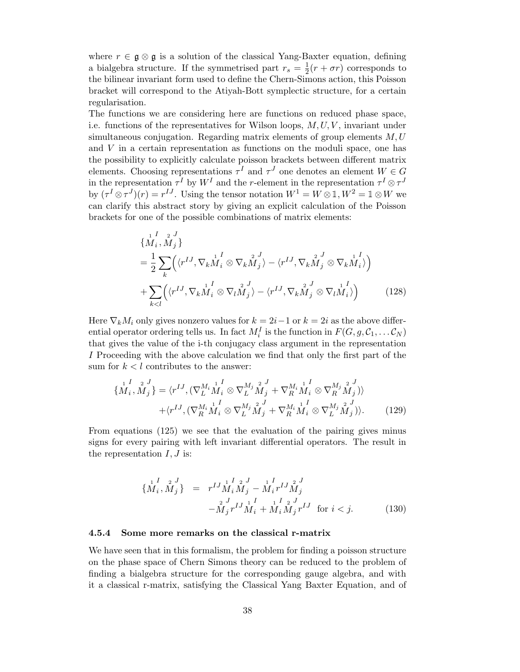where  $r \in \mathfrak{g} \otimes \mathfrak{g}$  is a solution of the classical Yang-Baxter equation, defining a bialgebra structure. If the symmetrised part  $r_s = \frac{1}{2}$  $\frac{1}{2}(r + \sigma r)$  corresponds to the bilinear invariant form used to define the Chern-Simons action, this Poisson bracket will correspond to the Atiyah-Bott symplectic structure, for a certain regularisation.

The functions we are considering here are functions on reduced phase space, i.e. functions of the representatives for Wilson loops,  $M, U, V$ , invariant under simultaneous conjugation. Regarding matrix elements of group elements  $M, U$ and  $V$  in a certain representation as functions on the moduli space, one has the possibility to explicitly calculate poisson brackets between different matrix elements. Choosing representations  $\tau^I$  and  $\tau^J$  one denotes an element  $W \in G$ in the representation  $\tau^I$  by  $W^I$  and the r-element in the representation  $\tau^I \otimes \tau^J$ by  $(\tau^I \otimes \tau^J)(r) = r^{IJ}$ . Using the tensor notation  $W^1 = W \otimes \mathbb{1}, W^2 = \mathbb{1} \otimes W$  we can clarify this abstract story by giving an explicit calculation of the Poisson brackets for one of the possible combinations of matrix elements:

$$
\begin{aligned}\n\{\stackrel{1}{M}_{i}, \stackrel{1}{M}_{j}\} \\
&= \frac{1}{2} \sum_{k} \left( \langle r^{IJ}, \nabla_{k} \stackrel{1}{M}_{i}^{I} \otimes \nabla_{k} \stackrel{2}{M}_{j}^{J} \rangle - \langle r^{IJ}, \nabla_{k} \stackrel{2}{M}_{j}^{J} \otimes \nabla_{k} \stackrel{1}{M}_{i}^{I} \rangle \right) \\
&+ \sum_{k < l} \left( \langle r^{IJ}, \nabla_{k} \stackrel{1}{M}_{i}^{I} \otimes \nabla_{l} \stackrel{2}{M}_{j}^{J} \rangle - \langle r^{IJ}, \nabla_{k} \stackrel{2}{M}_{j}^{J} \otimes \nabla_{l} \stackrel{1}{M}_{i}^{I} \rangle \right)\n\end{aligned} \tag{128}
$$

Here  $\nabla_k M_i$  only gives nonzero values for  $k = 2i-1$  or  $k = 2i$  as the above differential operator ordering tells us. In fact  $M_i^I$  is the function in  $F(G, g, \mathcal{C}_1, \dots \mathcal{C}_N)$ that gives the value of the i-th conjugacy class argument in the representation I Proceeding with the above calculation we find that only the first part of the sum for  $k < l$  contributes to the answer:

$$
\{M_i, M_j\} = \langle r^{IJ}, (\nabla_L^{M_i} \mathbf{M}_i^I \otimes \nabla_L^{M_j} \mathbf{M}_j^I + \nabla_R^{M_i} \mathbf{M}_i^I \otimes \nabla_R^{M_j} \mathbf{M}_j^I) \rangle + \langle r^{IJ}, (\nabla_R^{M_i} \mathbf{M}_i^I \otimes \nabla_L^{M_j} \mathbf{M}_j^I + \nabla_R^{M_i} \mathbf{M}_i^I \otimes \nabla_L^{M_j} \mathbf{M}_j^I) \rangle.
$$
 (129)

From equations (125) we see that the evaluation of the pairing gives minus signs for every pairing with left invariant differential operators. The result in the representation  $I, J$  is:

$$
\{M_i, M_j\} = r^{IJ} M_i M_j - M_i r^{IJ} M_j^2
$$
  

$$
-M_j r^{IJ} M_i + M_i M_j r^{IJ} G_j
$$
 for  $i < j.$  (130)

#### 4.5.4 Some more remarks on the classical r-matrix

We have seen that in this formalism, the problem for finding a poisson structure on the phase space of Chern Simons theory can be reduced to the problem of finding a bialgebra structure for the corresponding gauge algebra, and with it a classical r-matrix, satisfying the Classical Yang Baxter Equation, and of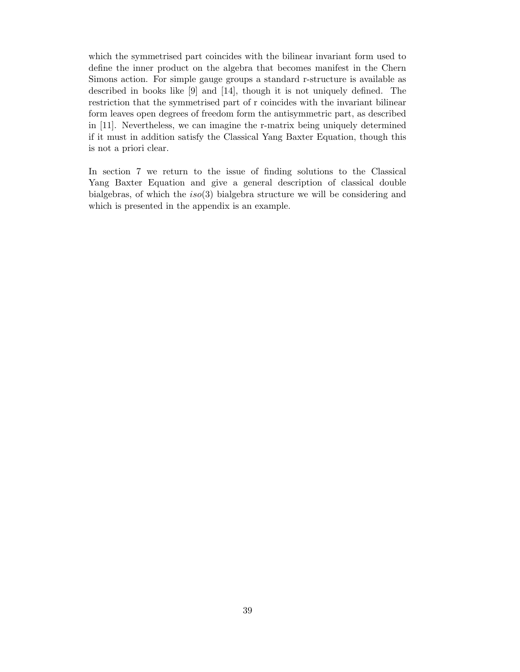which the symmetrised part coincides with the bilinear invariant form used to define the inner product on the algebra that becomes manifest in the Chern Simons action. For simple gauge groups a standard r-structure is available as described in books like [9] and [14], though it is not uniquely defined. The restriction that the symmetrised part of r coincides with the invariant bilinear form leaves open degrees of freedom form the antisymmetric part, as described in [11]. Nevertheless, we can imagine the r-matrix being uniquely determined if it must in addition satisfy the Classical Yang Baxter Equation, though this is not a priori clear.

In section 7 we return to the issue of finding solutions to the Classical Yang Baxter Equation and give a general description of classical double bialgebras, of which the  $iso(3)$  bialgebra structure we will be considering and which is presented in the appendix is an example.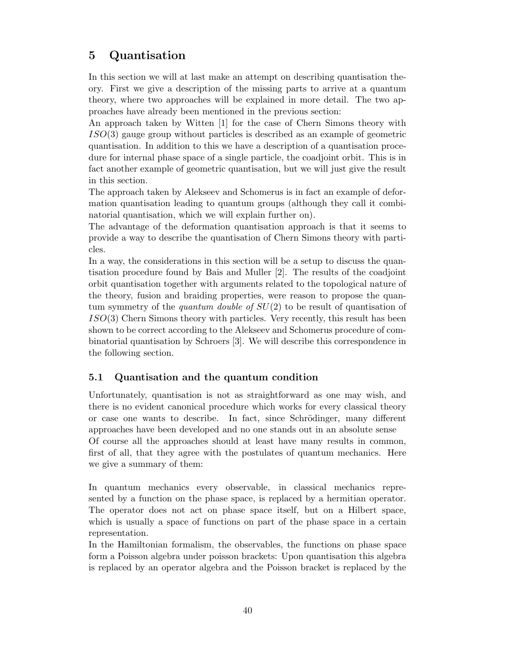# 5 Quantisation

In this section we will at last make an attempt on describing quantisation theory. First we give a description of the missing parts to arrive at a quantum theory, where two approaches will be explained in more detail. The two approaches have already been mentioned in the previous section:

An approach taken by Witten [1] for the case of Chern Simons theory with  $ISO(3)$  gauge group without particles is described as an example of geometric quantisation. In addition to this we have a description of a quantisation procedure for internal phase space of a single particle, the coadjoint orbit. This is in fact another example of geometric quantisation, but we will just give the result in this section.

The approach taken by Alekseev and Schomerus is in fact an example of deformation quantisation leading to quantum groups (although they call it combinatorial quantisation, which we will explain further on).

The advantage of the deformation quantisation approach is that it seems to provide a way to describe the quantisation of Chern Simons theory with particles.

In a way, the considerations in this section will be a setup to discuss the quantisation procedure found by Bais and Muller [2]. The results of the coadjoint orbit quantisation together with arguments related to the topological nature of the theory, fusion and braiding properties, were reason to propose the quantum symmetry of the *quantum double of*  $SU(2)$  to be result of quantisation of ISO(3) Chern Simons theory with particles. Very recently, this result has been shown to be correct according to the Alekseev and Schomerus procedure of combinatorial quantisation by Schroers [3]. We will describe this correspondence in the following section.

# 5.1 Quantisation and the quantum condition

Unfortunately, quantisation is not as straightforward as one may wish, and there is no evident canonical procedure which works for every classical theory or case one wants to describe. In fact, since Schrödinger, many different approaches have been developed and no one stands out in an absolute sense Of course all the approaches should at least have many results in common, first of all, that they agree with the postulates of quantum mechanics. Here we give a summary of them:

In quantum mechanics every observable, in classical mechanics represented by a function on the phase space, is replaced by a hermitian operator. The operator does not act on phase space itself, but on a Hilbert space, which is usually a space of functions on part of the phase space in a certain representation.

In the Hamiltonian formalism, the observables, the functions on phase space form a Poisson algebra under poisson brackets: Upon quantisation this algebra is replaced by an operator algebra and the Poisson bracket is replaced by the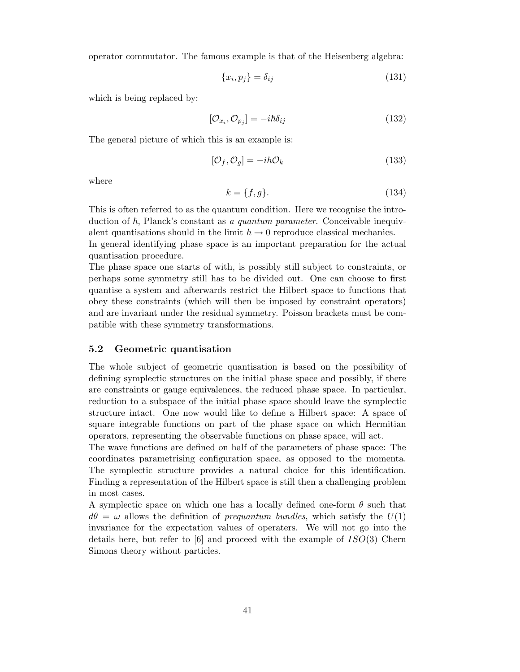operator commutator. The famous example is that of the Heisenberg algebra:

$$
\{x_i, p_j\} = \delta_{ij} \tag{131}
$$

which is being replaced by:

$$
[\mathcal{O}_{x_i}, \mathcal{O}_{p_j}] = -i\hbar \delta_{ij} \tag{132}
$$

The general picture of which this is an example is:

$$
[\mathcal{O}_f, \mathcal{O}_g] = -i\hbar \mathcal{O}_k \tag{133}
$$

where

$$
k = \{f, g\}.\tag{134}
$$

This is often referred to as the quantum condition. Here we recognise the introduction of  $\hbar$ , Planck's constant as a quantum parameter. Conceivable inequivalent quantisations should in the limit  $\hbar \to 0$  reproduce classical mechanics.

In general identifying phase space is an important preparation for the actual quantisation procedure.

The phase space one starts of with, is possibly still subject to constraints, or perhaps some symmetry still has to be divided out. One can choose to first quantise a system and afterwards restrict the Hilbert space to functions that obey these constraints (which will then be imposed by constraint operators) and are invariant under the residual symmetry. Poisson brackets must be compatible with these symmetry transformations.

# 5.2 Geometric quantisation

The whole subject of geometric quantisation is based on the possibility of defining symplectic structures on the initial phase space and possibly, if there are constraints or gauge equivalences, the reduced phase space. In particular, reduction to a subspace of the initial phase space should leave the symplectic structure intact. One now would like to define a Hilbert space: A space of square integrable functions on part of the phase space on which Hermitian operators, representing the observable functions on phase space, will act.

The wave functions are defined on half of the parameters of phase space: The coordinates parametrising configuration space, as opposed to the momenta. The symplectic structure provides a natural choice for this identification. Finding a representation of the Hilbert space is still then a challenging problem in most cases.

A symplectic space on which one has a locally defined one-form  $\theta$  such that  $d\theta = \omega$  allows the definition of prequantum bundles, which satisfy the  $U(1)$ invariance for the expectation values of operaters. We will not go into the details here, but refer to [6] and proceed with the example of  $ISO(3)$  Chern Simons theory without particles.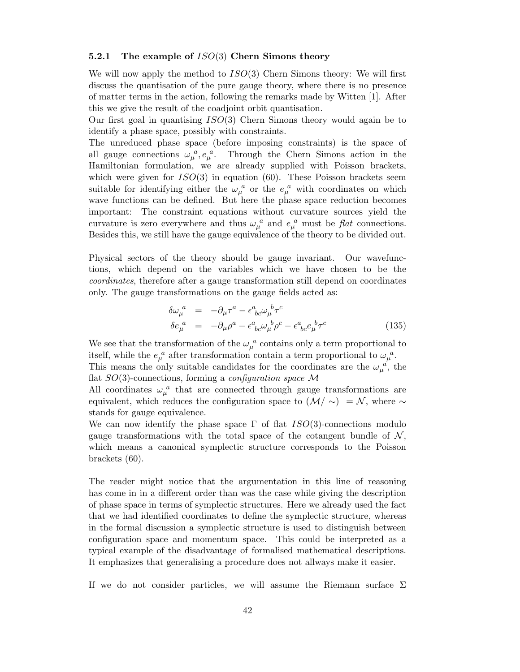## 5.2.1 The example of  $ISO(3)$  Chern Simons theory

We will now apply the method to  $ISO(3)$  Chern Simons theory: We will first discuss the quantisation of the pure gauge theory, where there is no presence of matter terms in the action, following the remarks made by Witten [1]. After this we give the result of the coadjoint orbit quantisation.

Our first goal in quantising  $ISO(3)$  Chern Simons theory would again be to identify a phase space, possibly with constraints.

The unreduced phase space (before imposing constraints) is the space of all gauge connections  $\omega_{\mu}^{\ a}$ ,  $e_{\mu}^{\ a}$ . Through the Chern Simons action in the Hamiltonian formulation, we are already supplied with Poisson brackets, which were given for  $ISO(3)$  in equation (60). These Poisson brackets seem suitable for identifying either the  $\omega_{\mu}^{\ a}$  or the  $e_{\mu}^{\ a}$  with coordinates on which wave functions can be defined. But here the phase space reduction becomes important: The constraint equations without curvature sources yield the curvature is zero everywhere and thus  $\omega_{\mu}^{a}$  and  $e_{\mu}^{a}$  must be flat connections. Besides this, we still have the gauge equivalence of the theory to be divided out.

Physical sectors of the theory should be gauge invariant. Our wavefunctions, which depend on the variables which we have chosen to be the coordinates, therefore after a gauge transformation still depend on coordinates only. The gauge transformations on the gauge fields acted as:

$$
\delta\omega_{\mu}^{a} = -\partial_{\mu}\tau^{a} - \epsilon^{a}_{\ bc}\omega_{\mu}^{b}\tau^{c}
$$
\n
$$
\delta e_{\mu}^{a} = -\partial_{\mu}\rho^{a} - \epsilon^{a}_{\ bc}\omega_{\mu}^{b}\rho^{c} - \epsilon^{a}_{\ bc}e_{\mu}^{b}\tau^{c}
$$
\n(135)

We see that the transformation of the  $\omega_{\mu}^{\ a}$  contains only a term proportional to itself, while the  $e_{\mu}^{a}$  after transformation contain a term proportional to  $\omega_{\mu}^{a}$ . This means the only suitable candidates for the coordinates are the  $\omega_{\mu}^{\ a}$ , the flat  $SO(3)$ -connections, forming a *configuration space* M

All coordinates  $\omega_{\mu}^{\ a}$  that are connected through gauge transformations are equivalent, which reduces the configuration space to  $(\mathcal{M}/\sim) = \mathcal{N}$ , where  $\sim$ stands for gauge equivalence.

We can now identify the phase space  $\Gamma$  of flat  $ISO(3)$ -connections modulo gauge transformations with the total space of the cotangent bundle of  $\mathcal{N}$ , which means a canonical symplectic structure corresponds to the Poisson brackets (60).

The reader might notice that the argumentation in this line of reasoning has come in in a different order than was the case while giving the description of phase space in terms of symplectic structures. Here we already used the fact that we had identified coordinates to define the symplectic structure, whereas in the formal discussion a symplectic structure is used to distinguish between configuration space and momentum space. This could be interpreted as a typical example of the disadvantage of formalised mathematical descriptions. It emphasizes that generalising a procedure does not allways make it easier.

If we do not consider particles, we will assume the Riemann surface  $\Sigma$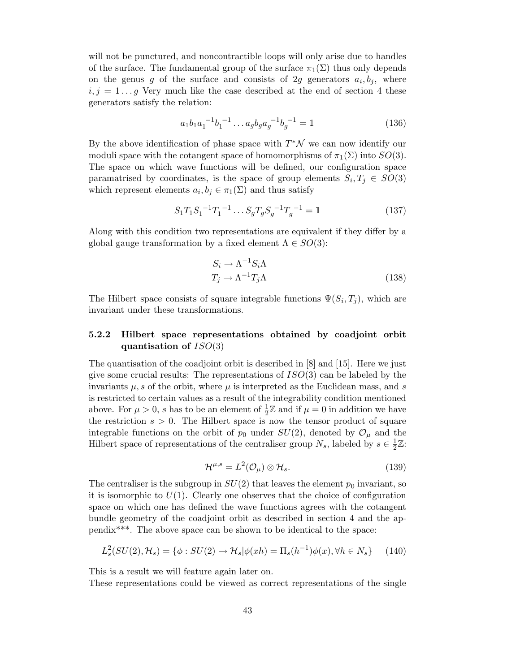will not be punctured, and noncontractible loops will only arise due to handles of the surface. The fundamental group of the surface  $\pi_1(\Sigma)$  thus only depends on the genus  $g$  of the surface and consists of 2 $g$  generators  $a_i, b_j$ , where  $i, j = 1 \ldots q$  Very much like the case described at the end of section 4 these generators satisfy the relation:

$$
a_1b_1a_1^{-1}b_1^{-1}\dots a_gb_ga_g^{-1}b_g^{-1} = \mathbb{1}
$$
 (136)

By the above identification of phase space with  $T^*\mathcal{N}$  we can now identify our moduli space with the cotangent space of homomorphisms of  $\pi_1(\Sigma)$  into  $SO(3)$ . The space on which wave functions will be defined, our configuration space paramatrised by coordinates, is the space of group elements  $S_i, T_j \in SO(3)$ which represent elements  $a_i, b_j \in \pi_1(\Sigma)$  and thus satisfy

$$
S_1 T_1 S_1^{-1} T_1^{-1} \dots S_g T_g S_g^{-1} T_g^{-1} = \mathbb{1}
$$
\n(137)

Along with this condition two representations are equivalent if they differ by a global gauge transformation by a fixed element  $\Lambda \in SO(3)$ :

$$
S_i \to \Lambda^{-1} S_i \Lambda
$$
  
\n
$$
T_j \to \Lambda^{-1} T_j \Lambda
$$
\n(138)

The Hilbert space consists of square integrable functions  $\Psi(S_i, T_j)$ , which are invariant under these transformations.

# 5.2.2 Hilbert space representations obtained by coadjoint orbit quantisation of  $ISO(3)$

The quantisation of the coadjoint orbit is described in [8] and [15]. Here we just give some crucial results: The representations of  $ISO(3)$  can be labeled by the invariants  $\mu$ , s of the orbit, where  $\mu$  is interpreted as the Euclidean mass, and s is restricted to certain values as a result of the integrability condition mentioned above. For  $\mu > 0$ , s has to be an element of  $\frac{1}{2}\mathbb{Z}$  and if  $\mu = 0$  in addition we have the restriction  $s > 0$ . The Hilbert space is now the tensor product of square integrable functions on the orbit of  $p_0$  under  $SU(2)$ , denoted by  $\mathcal{O}_{\mu}$  and the Hilbert space of representations of the centraliser group  $N_s$ , labeled by  $s \in \frac{1}{2}$  $\frac{1}{2}\mathbb{Z}$ :

$$
\mathcal{H}^{\mu,s} = L^2(\mathcal{O}_\mu) \otimes \mathcal{H}_s. \tag{139}
$$

The centraliser is the subgroup in  $SU(2)$  that leaves the element  $p_0$  invariant, so it is isomorphic to  $U(1)$ . Clearly one observes that the choice of configuration space on which one has defined the wave functions agrees with the cotangent bundle geometry of the coadjoint orbit as described in section 4 and the appendix\*\*\*. The above space can be shown to be identical to the space:

$$
L_s^2(SU(2), \mathcal{H}_s) = \{ \phi : SU(2) \to \mathcal{H}_s | \phi(xh) = \Pi_s(h^{-1})\phi(x), \forall h \in N_s \} \tag{140}
$$

This is a result we will feature again later on.

These representations could be viewed as correct representations of the single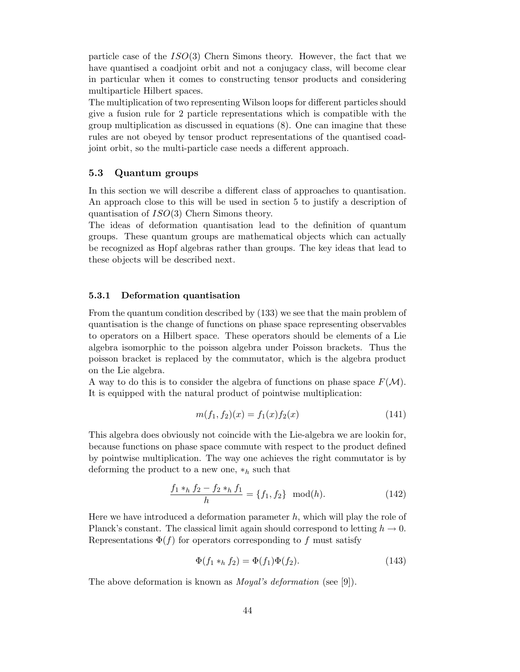particle case of the ISO(3) Chern Simons theory. However, the fact that we have quantised a coadjoint orbit and not a conjugacy class, will become clear in particular when it comes to constructing tensor products and considering multiparticle Hilbert spaces.

The multiplication of two representing Wilson loops for different particles should give a fusion rule for 2 particle representations which is compatible with the group multiplication as discussed in equations (8). One can imagine that these rules are not obeyed by tensor product representations of the quantised coadjoint orbit, so the multi-particle case needs a different approach.

## 5.3 Quantum groups

In this section we will describe a different class of approaches to quantisation. An approach close to this will be used in section 5 to justify a description of quantisation of ISO(3) Chern Simons theory.

The ideas of deformation quantisation lead to the definition of quantum groups. These quantum groups are mathematical objects which can actually be recognized as Hopf algebras rather than groups. The key ideas that lead to these objects will be described next.

#### 5.3.1 Deformation quantisation

From the quantum condition described by (133) we see that the main problem of quantisation is the change of functions on phase space representing observables to operators on a Hilbert space. These operators should be elements of a Lie algebra isomorphic to the poisson algebra under Poisson brackets. Thus the poisson bracket is replaced by the commutator, which is the algebra product on the Lie algebra.

A way to do this is to consider the algebra of functions on phase space  $F(\mathcal{M})$ . It is equipped with the natural product of pointwise multiplication:

$$
m(f_1, f_2)(x) = f_1(x)f_2(x)
$$
\n(141)

This algebra does obviously not coincide with the Lie-algebra we are lookin for, because functions on phase space commute with respect to the product defined by pointwise multiplication. The way one achieves the right commutator is by deforming the product to a new one,  $*_h$  such that

$$
\frac{f_1 *_{h} f_2 - f_2 *_{h} f_1}{h} = \{f_1, f_2\} \mod(h). \tag{142}
$$

Here we have introduced a deformation parameter  $h$ , which will play the role of Planck's constant. The classical limit again should correspond to letting  $h \to 0$ . Representations  $\Phi(f)$  for operators corresponding to f must satisfy

$$
\Phi(f_1 *_h f_2) = \Phi(f_1)\Phi(f_2). \tag{143}
$$

The above deformation is known as *Moyal's deformation* (see [9]).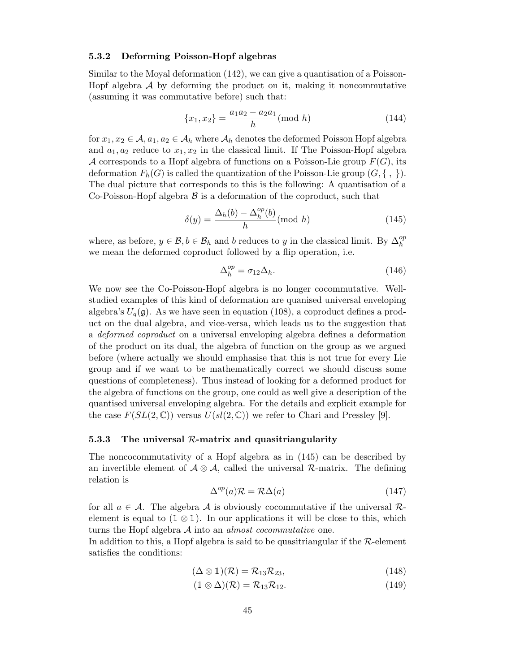#### 5.3.2 Deforming Poisson-Hopf algebras

Similar to the Moyal deformation (142), we can give a quantisation of a Poisson-Hopf algebra  $A$  by deforming the product on it, making it noncommutative (assuming it was commutative before) such that:

$$
\{x_1, x_2\} = \frac{a_1 a_2 - a_2 a_1}{h} \text{(mod } h\text{)}
$$
 (144)

for  $x_1, x_2 \in A$ ,  $a_1, a_2 \in A_h$  where  $A_h$  denotes the deformed Poisson Hopf algebra and  $a_1, a_2$  reduce to  $x_1, x_2$  in the classical limit. If The Poisson-Hopf algebra A corresponds to a Hopf algebra of functions on a Poisson-Lie group  $F(G)$ , its deformation  $F_h(G)$  is called the quantization of the Poisson-Lie group  $(G, \{ , \} ).$ The dual picture that corresponds to this is the following: A quantisation of a Co-Poisson-Hopf algebra  $\beta$  is a deformation of the coproduct, such that

$$
\delta(y) = \frac{\Delta_h(b) - \Delta_h^{op}(b)}{h} \text{(mod } h)
$$
\n(145)

where, as before,  $y \in \mathcal{B}$ ,  $b \in \mathcal{B}_h$  and b reduces to y in the classical limit. By  $\Delta_h^{op}$ h we mean the deformed coproduct followed by a flip operation, i.e.

$$
\Delta_h^{op} = \sigma_{12} \Delta_h. \tag{146}
$$

We now see the Co-Poisson-Hopf algebra is no longer cocommutative. Wellstudied examples of this kind of deformation are quanised universal enveloping algebra's  $U_q(\mathfrak{g})$ . As we have seen in equation (108), a coproduct defines a product on the dual algebra, and vice-versa, which leads us to the suggestion that a deformed coproduct on a universal enveloping algebra defines a deformation of the product on its dual, the algebra of function on the group as we argued before (where actually we should emphasise that this is not true for every Lie group and if we want to be mathematically correct we should discuss some questions of completeness). Thus instead of looking for a deformed product for the algebra of functions on the group, one could as well give a description of the quantised universal enveloping algebra. For the details and explicit example for the case  $F(SL(2,\mathbb{C}))$  versus  $U(sl(2,\mathbb{C}))$  we refer to Chari and Pressley [9].

## 5.3.3 The universal  $R$ -matrix and quasitriangularity

The noncocommutativity of a Hopf algebra as in (145) can be described by an invertible element of  $\mathcal{A} \otimes \mathcal{A}$ , called the universal  $\mathcal{R}$ -matrix. The defining relation is

$$
\Delta^{op}(a)\mathcal{R} = \mathcal{R}\Delta(a) \tag{147}
$$

for all  $a \in \mathcal{A}$ . The algebra  $\mathcal A$  is obviously cocommutative if the universal  $\mathcal R$ element is equal to  $(1 \otimes 1)$ . In our applications it will be close to this, which turns the Hopf algebra  $A$  into an *almost cocommutative* one.

In addition to this, a Hopf algebra is said to be quasitriangular if the  $\mathcal{R}\text{-element}$ satisfies the conditions:

$$
(\Delta \otimes 1)(\mathcal{R}) = \mathcal{R}_{13} \mathcal{R}_{23}, \tag{148}
$$

$$
(\mathbb{1} \otimes \Delta)(\mathcal{R}) = \mathcal{R}_{13} \mathcal{R}_{12}.
$$
 (149)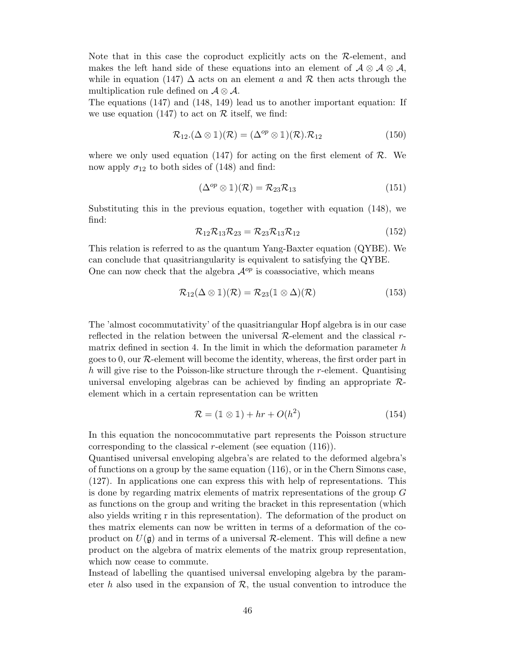Note that in this case the coproduct explicitly acts on the  $\mathcal{R}\text{-element}$ , and makes the left hand side of these equations into an element of  $\mathcal{A} \otimes \mathcal{A} \otimes \mathcal{A}$ , while in equation (147)  $\Delta$  acts on an element a and R then acts through the multiplication rule defined on  $\mathcal{A} \otimes \mathcal{A}$ .

The equations (147) and (148, 149) lead us to another important equation: If we use equation (147) to act on  $\mathcal R$  itself, we find:

$$
\mathcal{R}_{12}.(\Delta \otimes 1)(\mathcal{R}) = (\Delta^{op} \otimes 1)(\mathcal{R}).\mathcal{R}_{12}
$$
\n(150)

where we only used equation  $(147)$  for acting on the first element of R. We now apply  $\sigma_{12}$  to both sides of (148) and find:

$$
(\Delta^{op} \otimes 1)(\mathcal{R}) = \mathcal{R}_{23} \mathcal{R}_{13} \tag{151}
$$

Substituting this in the previous equation, together with equation (148), we find:

$$
\mathcal{R}_{12}\mathcal{R}_{13}\mathcal{R}_{23} = \mathcal{R}_{23}\mathcal{R}_{13}\mathcal{R}_{12} \tag{152}
$$

This relation is referred to as the quantum Yang-Baxter equation (QYBE). We can conclude that quasitriangularity is equivalent to satisfying the QYBE. One can now check that the algebra  $\mathcal{A}^{op}$  is coassociative, which means

$$
\mathcal{R}_{12}(\Delta \otimes 1)(\mathcal{R}) = \mathcal{R}_{23}(1 \otimes \Delta)(\mathcal{R}) \tag{153}
$$

The 'almost cocommutativity' of the quasitriangular Hopf algebra is in our case reflected in the relation between the universal  $R$ -element and the classical  $r$ matrix defined in section 4. In the limit in which the deformation parameter  $h$ goes to 0, our  $R$ -element will become the identity, whereas, the first order part in h will give rise to the Poisson-like structure through the r-element. Quantising universal enveloping algebras can be achieved by finding an appropriate  $\mathcal{R}$ element which in a certain representation can be written

$$
\mathcal{R} = (1 \otimes 1) + hr + O(h^2) \tag{154}
$$

In this equation the noncocommutative part represents the Poisson structure corresponding to the classical r-element (see equation  $(116)$ ).

Quantised universal enveloping algebra's are related to the deformed algebra's of functions on a group by the same equation  $(116)$ , or in the Chern Simons case, (127). In applications one can express this with help of representations. This is done by regarding matrix elements of matrix representations of the group G as functions on the group and writing the bracket in this representation (which also yields writing r in this representation). The deformation of the product on thes matrix elements can now be written in terms of a deformation of the coproduct on  $U(\mathfrak{g})$  and in terms of a universal R-element. This will define a new product on the algebra of matrix elements of the matrix group representation, which now cease to commute.

Instead of labelling the quantised universal enveloping algebra by the parameter h also used in the expansion of  $\mathcal{R}$ , the usual convention to introduce the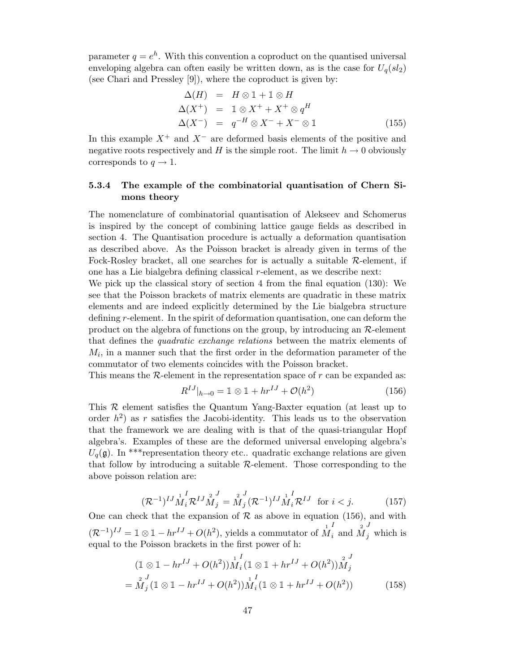parameter  $q = e^h$ . With this convention a coproduct on the quantised universal enveloping algebra can often easily be written down, as is the case for  $U_q(sl_2)$ (see Chari and Pressley [9]), where the coproduct is given by:

$$
\Delta(H) = H \otimes 1 + 1 \otimes H
$$
  
\n
$$
\Delta(X^+) = 1 \otimes X^+ + X^+ \otimes q^H
$$
  
\n
$$
\Delta(X^-) = q^{-H} \otimes X^- + X^- \otimes 1
$$
\n(155)

In this example  $X^+$  and  $X^-$  are deformed basis elements of the positive and negative roots respectively and H is the simple root. The limit  $h \to 0$  obviously corresponds to  $q \to 1$ .

# 5.3.4 The example of the combinatorial quantisation of Chern Simons theory

The nomenclature of combinatorial quantisation of Alekseev and Schomerus is inspired by the concept of combining lattice gauge fields as described in section 4. The Quantisation procedure is actually a deformation quantisation as described above. As the Poisson bracket is already given in terms of the Fock-Rosley bracket, all one searches for is actually a suitable  $\mathcal{R}$ -element, if one has a Lie bialgebra defining classical r-element, as we describe next:

We pick up the classical story of section 4 from the final equation (130): We see that the Poisson brackets of matrix elements are quadratic in these matrix elements and are indeed explicitly determined by the Lie bialgebra structure defining r-element. In the spirit of deformation quantisation, one can deform the product on the algebra of functions on the group, by introducing an  $\mathcal{R}\text{-element}$ that defines the quadratic exchange relations between the matrix elements of  $M_i$ , in a manner such that the first order in the deformation parameter of the commutator of two elements coincides with the Poisson bracket.

This means the  $R$ -element in the representation space of  $r$  can be expanded as:

$$
R^{IJ}|_{h \to 0} = \mathbb{1} \otimes \mathbb{1} + hr^{IJ} + \mathcal{O}(h^2)
$$
 (156)

This R element satisfies the Quantum Yang-Baxter equation (at least up to order  $h^2$ ) as r satisfies the Jacobi-identity. This leads us to the observation that the framework we are dealing with is that of the quasi-triangular Hopf algebra's. Examples of these are the deformed universal enveloping algebra's  $U_q(\mathfrak{g})$ . In \*\*\* representation theory etc.. quadratic exchange relations are given that follow by introducing a suitable  $R$ -element. Those corresponding to the above poisson relation are:

$$
(\mathcal{R}^{-1})^{IJ} \stackrel{1}{M}_i^I \mathcal{R}^{IJ} \stackrel{2}{M}_j^J = \stackrel{2}{M}_j^I (\mathcal{R}^{-1})^{IJ} \stackrel{1}{M}_i^I \mathcal{R}^{IJ} \text{ for } i < j. \tag{157}
$$

One can check that the expansion of  $R$  as above in equation (156), and with  $(\mathcal{R}^{-1})^{IJ} = \mathbb{1} \otimes \mathbb{1} - hr^{IJ} + O(h^2)$ , yields a commutator of  $\stackrel{1}{M}$ I  $\int_{i}^{1}$  and  $\int_{M}^{2}$ J  $_j$  which is equal to the Poisson brackets in the first power of h:

$$
(1 \otimes 1 - hr^{IJ} + O(h^2))\stackrel{1}{M}_i^I (1 \otimes 1 + hr^{IJ} + O(h^2))\stackrel{2}{M}_j^J
$$
  
=  $\stackrel{2}{M}_j^J (1 \otimes 1 - hr^{IJ} + O(h^2))\stackrel{1}{M}_i^I (1 \otimes 1 + hr^{IJ} + O(h^2))$  (158)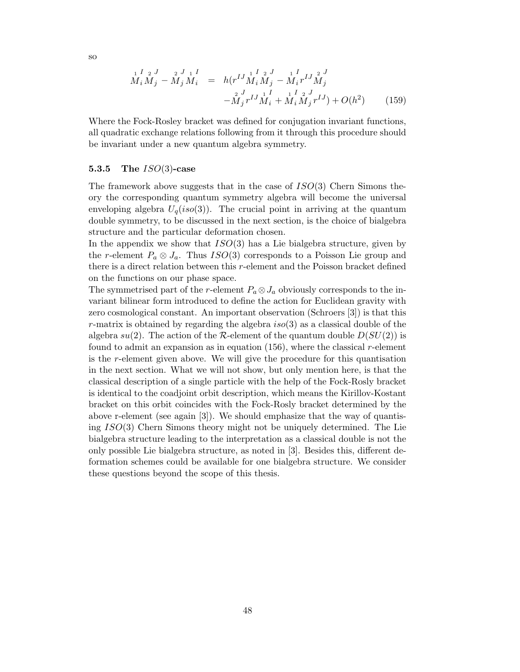$$
M_i M_j - M_j M_i = h(r^{IJ} M_i M_j - M_i r^{IJ} M_j^2
$$
  

$$
-M_j r^{IJ} M_i + M_i M_j r^{IJ} M_j
$$
  

$$
-M_j r^{IJ} M_i + M_i M_j r^{IJ} + O(h^2)
$$
 (159)

Where the Fock-Rosley bracket was defined for conjugation invariant functions, all quadratic exchange relations following from it through this procedure should be invariant under a new quantum algebra symmetry.

## 5.3.5 The  $ISO(3)$ -case

The framework above suggests that in the case of  $ISO(3)$  Chern Simons theory the corresponding quantum symmetry algebra will become the universal enveloping algebra  $U_q(iso(3))$ . The crucial point in arriving at the quantum double symmetry, to be discussed in the next section, is the choice of bialgebra structure and the particular deformation chosen.

In the appendix we show that  $ISO(3)$  has a Lie bialgebra structure, given by the r-element  $P_a \otimes J_a$ . Thus  $ISO(3)$  corresponds to a Poisson Lie group and there is a direct relation between this  $r$ -element and the Poisson bracket defined on the functions on our phase space.

The symmetrised part of the r-element  $P_a \otimes J_a$  obviously corresponds to the invariant bilinear form introduced to define the action for Euclidean gravity with zero cosmological constant. An important observation (Schroers [3]) is that this r-matrix is obtained by regarding the algebra  $iso(3)$  as a classical double of the algebra  $su(2)$ . The action of the R-element of the quantum double  $D(SU(2))$  is found to admit an expansion as in equation  $(156)$ , where the classical r-element is the r-element given above. We will give the procedure for this quantisation in the next section. What we will not show, but only mention here, is that the classical description of a single particle with the help of the Fock-Rosly bracket is identical to the coadjoint orbit description, which means the Kirillov-Kostant bracket on this orbit coincides with the Fock-Rosly bracket determined by the above r-element (see again [3]). We should emphasize that the way of quantising ISO(3) Chern Simons theory might not be uniquely determined. The Lie bialgebra structure leading to the interpretation as a classical double is not the only possible Lie bialgebra structure, as noted in [3]. Besides this, different deformation schemes could be available for one bialgebra structure. We consider these questions beyond the scope of this thesis.

so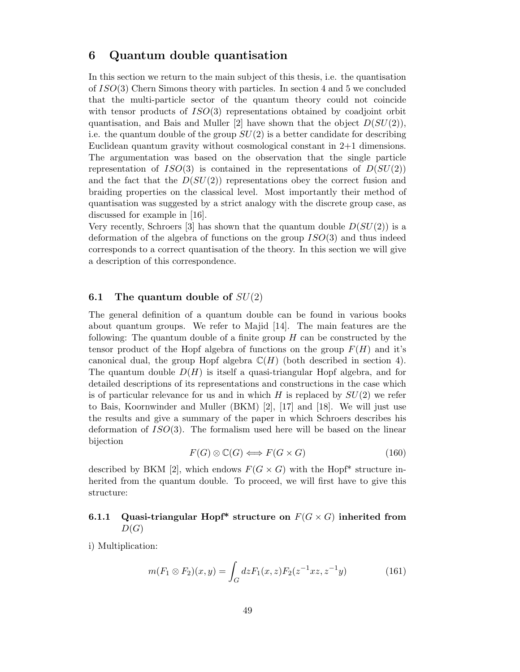# 6 Quantum double quantisation

In this section we return to the main subject of this thesis, i.e. the quantisation of ISO(3) Chern Simons theory with particles. In section 4 and 5 we concluded that the multi-particle sector of the quantum theory could not coincide with tensor products of  $ISO(3)$  representations obtained by coadjoint orbit quantisation, and Bais and Muller [2] have shown that the object  $D(SU(2))$ , i.e. the quantum double of the group  $SU(2)$  is a better candidate for describing Euclidean quantum gravity without cosmological constant in 2+1 dimensions. The argumentation was based on the observation that the single particle representation of  $ISO(3)$  is contained in the representations of  $D(SU(2))$ and the fact that the  $D(SU(2))$  representations obey the correct fusion and braiding properties on the classical level. Most importantly their method of quantisation was suggested by a strict analogy with the discrete group case, as discussed for example in [16].

Very recently, Schroers [3] has shown that the quantum double  $D(SU(2))$  is a deformation of the algebra of functions on the group  $ISO(3)$  and thus indeed corresponds to a correct quantisation of the theory. In this section we will give a description of this correspondence.

## 6.1 The quantum double of  $SU(2)$

The general definition of a quantum double can be found in various books about quantum groups. We refer to Majid [14]. The main features are the following: The quantum double of a finite group  $H$  can be constructed by the tensor product of the Hopf algebra of functions on the group  $F(H)$  and it's canonical dual, the group Hopf algebra  $\mathbb{C}(H)$  (both described in section 4). The quantum double  $D(H)$  is itself a quasi-triangular Hopf algebra, and for detailed descriptions of its representations and constructions in the case which is of particular relevance for us and in which  $H$  is replaced by  $SU(2)$  we refer to Bais, Koornwinder and Muller (BKM) [2], [17] and [18]. We will just use the results and give a summary of the paper in which Schroers describes his deformation of  $ISO(3)$ . The formalism used here will be based on the linear bijection

$$
F(G) \otimes \mathbb{C}(G) \Longleftrightarrow F(G \times G) \tag{160}
$$

described by BKM [2], which endows  $F(G \times G)$  with the Hopf<sup>\*</sup> structure inherited from the quantum double. To proceed, we will first have to give this structure:

# 6.1.1 Quasi-triangular Hopf\* structure on  $F(G \times G)$  inherited from  $D(G)$

i) Multiplication:

$$
m(F_1 \otimes F_2)(x, y) = \int_G dz F_1(x, z) F_2(z^{-1}xz, z^{-1}y) \tag{161}
$$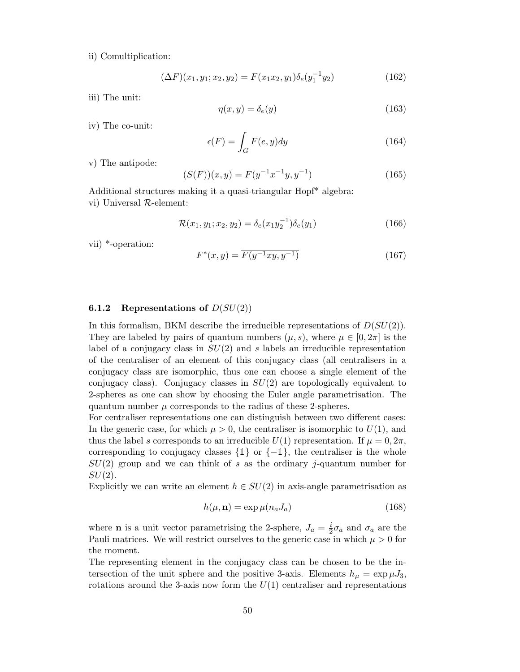ii) Comultiplication:

$$
(\Delta F)(x_1, y_1; x_2, y_2) = F(x_1 x_2, y_1) \delta_e(y_1^{-1} y_2)
$$
\n(162)

iii) The unit:

$$
\eta(x, y) = \delta_e(y) \tag{163}
$$

iv) The co-unit:

$$
\epsilon(F) = \int_{G} F(e, y) dy \tag{164}
$$

v) The antipode:

$$
(S(F))(x, y) = F(y^{-1}x^{-1}y, y^{-1})
$$
\n(165)

Additional structures making it a quasi-triangular Hopf\* algebra:

vi) Universal R-element:

$$
\mathcal{R}(x_1, y_1; x_2, y_2) = \delta_e(x_1 y_2^{-1}) \delta_e(y_1)
$$
\n(166)

vii) \*-operation:

$$
F^*(x,y) = \overline{F(y^{-1}xy, y^{-1})}
$$
\n(167)

#### **6.1.2** Representations of  $D(SU(2))$

In this formalism, BKM describe the irreducible representations of  $D(SU(2))$ . They are labeled by pairs of quantum numbers  $(\mu, s)$ , where  $\mu \in [0, 2\pi]$  is the label of a conjugacy class in  $SU(2)$  and s labels an irreducible representation of the centraliser of an element of this conjugacy class (all centralisers in a conjugacy class are isomorphic, thus one can choose a single element of the conjugacy class). Conjugacy classes in  $SU(2)$  are topologically equivalent to 2-spheres as one can show by choosing the Euler angle parametrisation. The quantum number  $\mu$  corresponds to the radius of these 2-spheres.

For centraliser representations one can distinguish between two different cases: In the generic case, for which  $\mu > 0$ , the centraliser is isomorphic to  $U(1)$ , and thus the label s corresponds to an irreducible  $U(1)$  representation. If  $\mu = 0, 2\pi$ , corresponding to conjugacy classes  $\{\mathbb{1}\}$  or  $\{-\mathbb{1}\},$  the centraliser is the whole  $SU(2)$  group and we can think of s as the ordinary j-quantum number for  $SU(2)$ .

Explicitly we can write an element  $h \in SU(2)$  in axis-angle parametrisation as

$$
h(\mu, \mathbf{n}) = \exp \mu(n_a J_a) \tag{168}
$$

where **n** is a unit vector parametrising the 2-sphere,  $J_a = \frac{i}{2}$  $\frac{i}{2}\sigma_a$  and  $\sigma_a$  are the Pauli matrices. We will restrict ourselves to the generic case in which  $\mu > 0$  for the moment.

The representing element in the conjugacy class can be chosen to be the intersection of the unit sphere and the positive 3-axis. Elements  $h_{\mu} = \exp{\mu J_3}$ , rotations around the 3-axis now form the  $U(1)$  centraliser and representations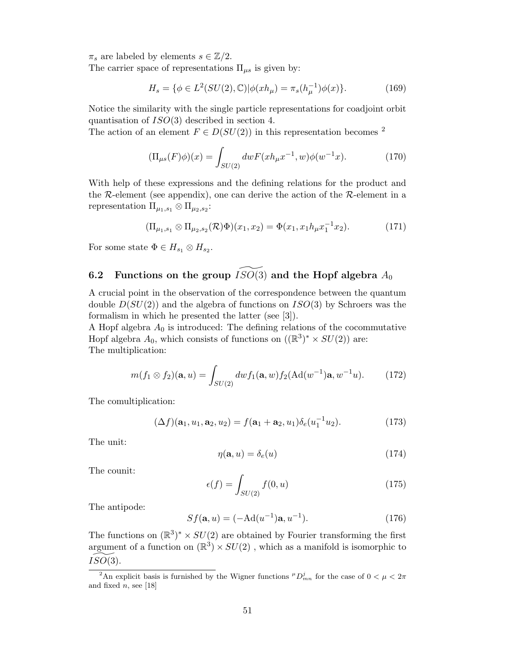$\pi_s$  are labeled by elements  $s \in \mathbb{Z}/2$ .

The carrier space of representations  $\Pi_{\mu s}$  is given by:

$$
H_s = \{ \phi \in L^2(SU(2), \mathbb{C}) | \phi(xh_\mu) = \pi_s(h_\mu^{-1})\phi(x) \}. \tag{169}
$$

Notice the similarity with the single particle representations for coadjoint orbit quantisation of ISO(3) described in section 4.

The action of an element  $F \in D(SU(2))$  in this representation becomes <sup>2</sup>

$$
(\Pi_{\mu s}(F)\phi)(x) = \int_{SU(2)} dw F(xh_{\mu}x^{-1}, w)\phi(w^{-1}x). \tag{170}
$$

With help of these expressions and the defining relations for the product and the  $R$ -element (see appendix), one can derive the action of the  $R$ -element in a representation  $\Pi_{\mu_1,s_1} \otimes \Pi_{\mu_2,s_2}$ :

$$
(\Pi_{\mu_1,s_1} \otimes \Pi_{\mu_2,s_2}(\mathcal{R}) \Phi)(x_1,x_2) = \Phi(x_1,x_1 h_\mu x_1^{-1} x_2).
$$
 (171)

For some state  $\Phi \in H_{s_1} \otimes H_{s_2}$ .

# 6.2 Functions on the group  $ISO(3)$  and the Hopf algebra  $A_0$

A crucial point in the observation of the correspondence between the quantum double  $D(SU(2))$  and the algebra of functions on  $ISO(3)$  by Schroers was the formalism in which he presented the latter (see [3]).

A Hopf algebra  $A_0$  is introduced: The defining relations of the cocommutative Hopf algebra  $A_0$ , which consists of functions on  $((\mathbb{R}^3)^* \times SU(2))$  are: The multiplication:

$$
m(f_1 \otimes f_2)(\mathbf{a}, u) = \int_{SU(2)} dw f_1(\mathbf{a}, w) f_2(\mathrm{Ad}(w^{-1})\mathbf{a}, w^{-1}u). \tag{172}
$$

The comultiplication:

$$
(\Delta f)(\mathbf{a}_1, u_1, \mathbf{a}_2, u_2) = f(\mathbf{a}_1 + \mathbf{a}_2, u_1) \delta_e(u_1^{-1} u_2).
$$
 (173)

The unit:

$$
\eta(\mathbf{a}, u) = \delta_e(u) \tag{174}
$$

The counit:

$$
\epsilon(f) = \int_{SU(2)} f(0, u) \tag{175}
$$

The antipode:

$$
Sf(\mathbf{a}, u) = (-\text{Ad}(u^{-1})\mathbf{a}, u^{-1}).
$$
\n(176)

The functions on  $(\mathbb{R}^3)^* \times SU(2)$  are obtained by Fourier transforming the first argument of a function on  $(\mathbb{R}^3) \times SU(2)$ , which as a manifold is isomorphic to  $ISO(3)$ .

<sup>&</sup>lt;sup>2</sup>An explicit basis is furnished by the Wigner functions  $^{\mu}D_{mn}^{j}$  for the case of  $0 < \mu < 2\pi$ and fixed  $n$ , see [18]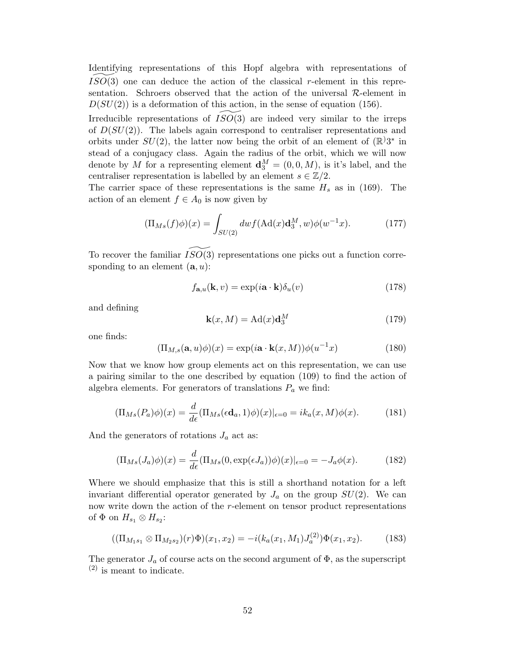Identifying representations of this Hopf algebra with representations of  $ISO(3)$  one can deduce the action of the classical r-element in this representation. Schroers observed that the action of the universal  $\mathcal{R}$ -element in  $D(SU(2))$  is a deformation of this action, in the sense of equation (156).

Irreducible representations of  $ISO(3)$  are indeed very similar to the irreps of  $D(SU(2))$ . The labels again correspond to centraliser representations and orbits under  $SU(2)$ , the latter now being the orbit of an element of  $(\mathbb{R}^23^*$  in stead of a conjugacy class. Again the radius of the orbit, which we will now denote by M for a representing element  $\mathbf{d}_{3}^{M} = (0, 0, M)$ , is it's label, and the centraliser representation is labelled by an element  $s \in \mathbb{Z}/2$ .

The carrier space of these representations is the same  $H_s$  as in (169). The action of an element  $f \in A_0$  is now given by

$$
(\Pi_{Ms}(f)\phi)(x) = \int_{SU(2)} dw f(\text{Ad}(x)\textbf{d}_3^M, w)\phi(w^{-1}x). \tag{177}
$$

To recover the familiar  $ISO(3)$  representations one picks out a function corresponding to an element  $(a, u)$ :

$$
f_{\mathbf{a},u}(\mathbf{k},v) = \exp(i\mathbf{a}\cdot\mathbf{k})\delta_u(v)
$$
 (178)

and defining

$$
\mathbf{k}(x,M) = \mathrm{Ad}(x)\mathbf{d}_3^M\tag{179}
$$

one finds:

$$
(\Pi_{M,s}(\mathbf{a},u)\phi)(x) = \exp(i\mathbf{a}\cdot\mathbf{k}(x,M))\phi(u^{-1}x)
$$
\n(180)

Now that we know how group elements act on this representation, we can use a pairing similar to the one described by equation (109) to find the action of algebra elements. For generators of translations  $P_a$  we find:

$$
(\Pi_{Ms}(P_a)\phi)(x) = \frac{d}{d\epsilon}(\Pi_{Ms}(\epsilon \mathbf{d}_a, 1)\phi)(x)|_{\epsilon=0} = ik_a(x, M)\phi(x). \tag{181}
$$

And the generators of rotations  $J_a$  act as:

$$
(\Pi_{Ms}(J_a)\phi)(x) = \frac{d}{d\epsilon}(\Pi_{Ms}(0, \exp(\epsilon J_a))\phi)(x)|_{\epsilon=0} = -J_a\phi(x). \tag{182}
$$

Where we should emphasize that this is still a shorthand notation for a left invariant differential operator generated by  $J_a$  on the group  $SU(2)$ . We can now write down the action of the r-element on tensor product representations of  $\Phi$  on  $H_{s_1} \otimes H_{s_2}$ :

$$
((\Pi_{M_1s_1} \otimes \Pi_{M_2s_2})(r)\Phi)(x_1, x_2) = -i(k_a(x_1, M_1)J_a^{(2)})\Phi(x_1, x_2). \tag{183}
$$

The generator  $J_a$  of course acts on the second argument of  $\Phi$ , as the superscript  $(2)$  is meant to indicate.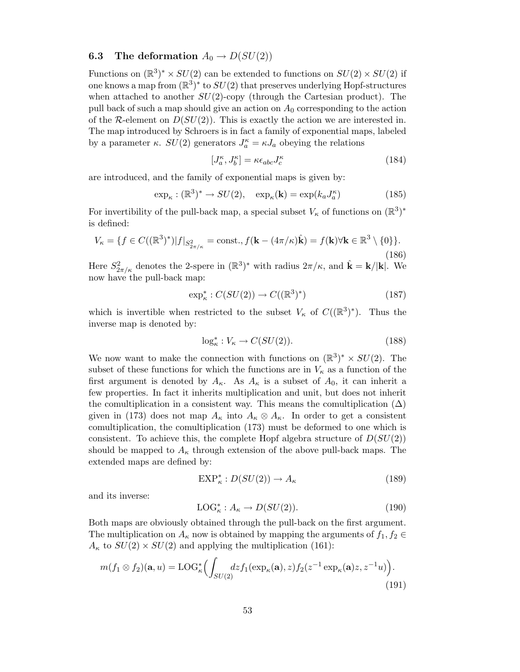# **6.3** The deformation  $A_0 \rightarrow D(SU(2))$

Functions on  $(\mathbb{R}^3)^* \times SU(2)$  can be extended to functions on  $SU(2) \times SU(2)$  if one knows a map from  $(\mathbb{R}^3)^*$  to  $SU(2)$  that preserves underlying Hopf-structures when attached to another  $SU(2)$ -copy (through the Cartesian product). The pull back of such a map should give an action on  $A_0$  corresponding to the action of the R-element on  $D(SU(2))$ . This is exactly the action we are interested in. The map introduced by Schroers is in fact a family of exponential maps, labeled by a parameter  $\kappa$ .  $SU(2)$  generators  $J_a^{\kappa} = \kappa J_a$  obeying the relations

$$
[J_a^{\kappa}, J_b^{\kappa}] = \kappa \epsilon_{abc} J_c^{\kappa} \tag{184}
$$

are introduced, and the family of exponential maps is given by:

$$
\exp_{\kappa} : (\mathbb{R}^3)^* \to SU(2), \quad \exp_{\kappa}(\mathbf{k}) = \exp(k_a J_a^{\kappa}) \tag{185}
$$

For invertibility of the pull-back map, a special subset  $V_{\kappa}$  of functions on  $(\mathbb{R}^3)^*$ is defined:

$$
V_{\kappa} = \{ f \in C((\mathbb{R}^3)^*) | f |_{S^2_{2\pi/\kappa}} = \text{const.}, f(\mathbf{k} - (4\pi/\kappa)\hat{\mathbf{k}}) = f(\mathbf{k}) \forall \mathbf{k} \in \mathbb{R}^3 \setminus \{0\} \}. \tag{186}
$$

Here  $S^2_{2\pi/\kappa}$  denotes the 2-spere in  $(\mathbb{R}^3)^*$  with radius  $2\pi/\kappa$ , and  $\hat{\mathbf{k}} = \mathbf{k}/|\mathbf{k}|$ . We now have the pull-back map:

$$
\exp_{\kappa}^* : C(SU(2)) \to C((\mathbb{R}^3)^*)
$$
\n
$$
(187)
$$

which is invertible when restricted to the subset  $V_{\kappa}$  of  $C((\mathbb{R}^{3})^{*})$ . Thus the inverse map is denoted by:

$$
\log_{\kappa}^* : V_{\kappa} \to C(SU(2)). \tag{188}
$$

We now want to make the connection with functions on  $(\mathbb{R}^3)^* \times SU(2)$ . The subset of these functions for which the functions are in  $V_{\kappa}$  as a function of the first argument is denoted by  $A_{\kappa}$ . As  $A_{\kappa}$  is a subset of  $A_0$ , it can inherit a few properties. In fact it inherits multiplication and unit, but does not inherit the comultiplication in a consistent way. This means the comultiplication  $(\Delta)$ given in (173) does not map  $A_{\kappa}$  into  $A_{\kappa} \otimes A_{\kappa}$ . In order to get a consistent comultiplication, the comultiplication (173) must be deformed to one which is consistent. To achieve this, the complete Hopf algebra structure of  $D(SU(2))$ should be mapped to  $A_{\kappa}$  through extension of the above pull-back maps. The extended maps are defined by:

$$
EXP_{\kappa}^*: D(SU(2)) \to A_{\kappa}
$$
\n(189)

and its inverse:

$$
LOG_{\kappa}^*: A_{\kappa} \to D(SU(2)). \tag{190}
$$

Both maps are obviously obtained through the pull-back on the first argument. The multiplication on  $A_{\kappa}$  now is obtained by mapping the arguments of  $f_1, f_2 \in$  $A_{\kappa}$  to  $SU(2) \times SU(2)$  and applying the multiplication (161):

$$
m(f_1 \otimes f_2)(\mathbf{a}, u) = \text{LOG}_{\kappa}^* \Big( \int_{SU(2)} dz f_1(\exp_{\kappa}(\mathbf{a}), z) f_2(z^{-1} \exp_{\kappa}(\mathbf{a}) z, z^{-1} u) \Big). \tag{191}
$$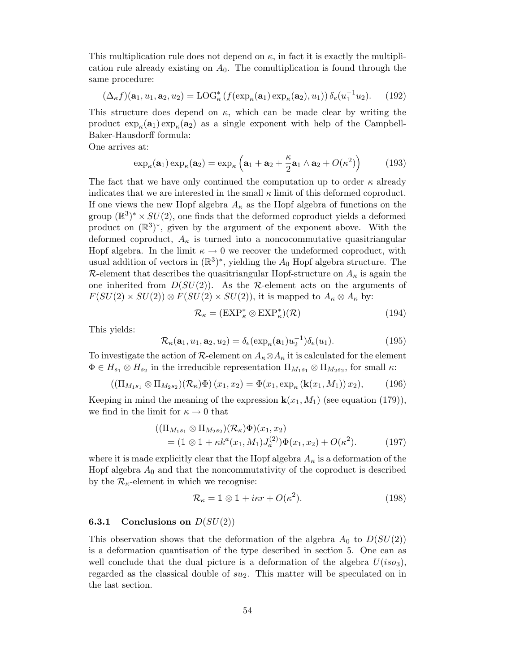This multiplication rule does not depend on  $\kappa$ , in fact it is exactly the multiplication rule already existing on  $A_0$ . The comultiplication is found through the same procedure:

$$
(\Delta_{\kappa} f)(\mathbf{a}_1, u_1, \mathbf{a}_2, u_2) = \text{LOG}_{\kappa}^* \left( f(\exp_{\kappa}(\mathbf{a}_1) \exp_{\kappa}(\mathbf{a}_2), u_1) \right) \delta_e(u_1^{-1} u_2). \tag{192}
$$

This structure does depend on  $\kappa$ , which can be made clear by writing the product  $\exp_{\kappa}(\mathbf{a}_1) \exp_{\kappa}(\mathbf{a}_2)$  as a single exponent with help of the Campbell-Baker-Hausdorff formula:

One arrives at:

$$
\exp_{\kappa}(\mathbf{a}_1)\exp_{\kappa}(\mathbf{a}_2)=\exp_{\kappa}\left(\mathbf{a}_1+\mathbf{a}_2+\frac{\kappa}{2}\mathbf{a}_1\wedge\mathbf{a}_2+O(\kappa^2)\right) \tag{193}
$$

The fact that we have only continued the computation up to order  $\kappa$  already indicates that we are interested in the small  $\kappa$  limit of this deformed coproduct. If one views the new Hopf algebra  $A_{\kappa}$  as the Hopf algebra of functions on the group  $(\mathbb{R}^3)^* \times SU(2)$ , one finds that the deformed coproduct yields a deformed product on  $(\mathbb{R}^3)^*$ , given by the argument of the exponent above. With the deformed coproduct,  $A_{\kappa}$  is turned into a noncocommutative quasitriangular Hopf algebra. In the limit  $\kappa \to 0$  we recover the undeformed coproduct, with usual addition of vectors in  $(\mathbb{R}^3)^*$ , yielding the  $A_0$  Hopf algebra structure. The R-element that describes the quasitriangular Hopf-structure on  $A_{\kappa}$  is again the one inherited from  $D(SU(2))$ . As the R-element acts on the arguments of  $F(SU(2) \times SU(2)) \otimes F(SU(2) \times SU(2))$ , it is mapped to  $A_{\kappa} \otimes A_{\kappa}$  by:

$$
\mathcal{R}_{\kappa} = (\mathbf{EXP}_{\kappa}^* \otimes \mathbf{EXP}_{\kappa}^*)(\mathcal{R})
$$
\n(194)

This yields:

$$
\mathcal{R}_{\kappa}(\mathbf{a}_1, u_1, \mathbf{a}_2, u_2) = \delta_e(\exp_{\kappa}(\mathbf{a}_1)u_2^{-1})\delta_e(u_1).
$$
 (195)

To investigate the action of R-element on  $A_{\kappa} \otimes A_{\kappa}$  it is calculated for the element  $\Phi \in H_{s_1} \otimes H_{s_2}$  in the irreducible representation  $\Pi_{M_1s_1} \otimes \Pi_{M_2s_2}$ , for small  $\kappa$ :

$$
\left(\left(\Pi_{M_1s_1}\otimes\Pi_{M_2s_2}\right)\left(\mathcal{R}_{\kappa}\right)\Phi\right)(x_1,x_2)=\Phi(x_1,\exp_{\kappa}\left(\mathbf{k}(x_1,M_1)\right)x_2),\tag{196}
$$

Keeping in mind the meaning of the expression  $\mathbf{k}(x_1, M_1)$  (see equation (179)), we find in the limit for  $\kappa \to 0$  that

$$
((\Pi_{M_1s_1} \otimes \Pi_{M_2s_2})(\mathcal{R}_{\kappa})\Phi)(x_1, x_2) = (1 \otimes 1 + \kappa k^a(x_1, M_1)J_a^{(2)})\Phi(x_1, x_2) + O(\kappa^2).
$$
 (197)

where it is made explicitly clear that the Hopf algebra  $A_{\kappa}$  is a deformation of the Hopf algebra  $A_0$  and that the noncommutativity of the coproduct is described by the  $\mathcal{R}_{\kappa}$ -element in which we recognise:

$$
\mathcal{R}_{\kappa} = \mathbb{1} \otimes \mathbb{1} + i\kappa r + O(\kappa^2). \tag{198}
$$

#### **6.3.1 Conclusions on**  $D(SU(2))$

This observation shows that the deformation of the algebra  $A_0$  to  $D(SU(2))$ is a deformation quantisation of the type described in section 5. One can as well conclude that the dual picture is a deformation of the algebra  $U(iso_3)$ , regarded as the classical double of  $su_2$ . This matter will be speculated on in the last section.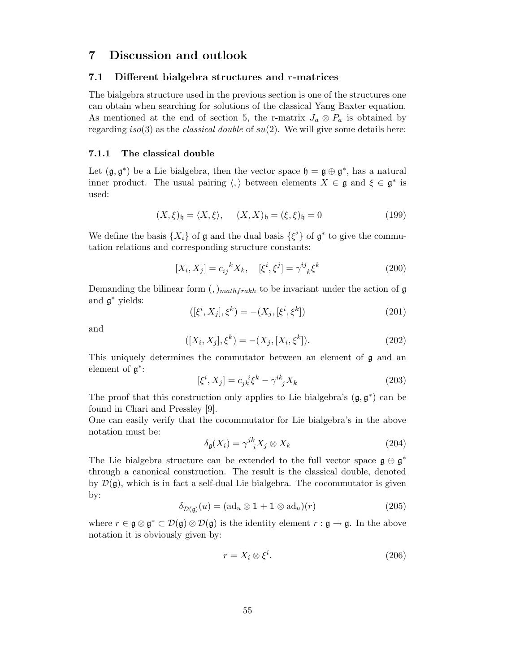# 7 Discussion and outlook

## 7.1 Different bialgebra structures and  $r$ -matrices

The bialgebra structure used in the previous section is one of the structures one can obtain when searching for solutions of the classical Yang Baxter equation. As mentioned at the end of section 5, the r-matrix  $J_a \otimes P_a$  is obtained by regarding iso(3) as the *classical double* of  $su(2)$ . We will give some details here:

### 7.1.1 The classical double

Let  $(\mathfrak{g}, \mathfrak{g}^*)$  be a Lie bialgebra, then the vector space  $\mathfrak{h} = \mathfrak{g} \oplus \mathfrak{g}^*$ , has a natural inner product. The usual pairing  $\langle,\rangle$  between elements  $X \in \mathfrak{g}$  and  $\xi \in \mathfrak{g}^*$  is used:

$$
(X,\xi)_{\mathfrak{h}} = \langle X,\xi \rangle, \quad (X,X)_{\mathfrak{h}} = (\xi,\xi)_{\mathfrak{h}} = 0 \tag{199}
$$

We define the basis  $\{X_i\}$  of  $\mathfrak g$  and the dual basis  $\{\xi^i\}$  of  $\mathfrak g^*$  to give the commutation relations and corresponding structure constants:

$$
[X_i, X_j] = c_{ij}{}^k X_k, \quad [\xi^i, \xi^j] = \gamma^{ij}{}_{k} \xi^k
$$
\n(200)

Demanding the bilinear form  $\binom{n}{k}$  *mathfrakh* to be invariant under the action of g and g <sup>∗</sup> yields:

$$
([\xi^i, X_j], \xi^k) = -(X_j, [\xi^i, \xi^k])
$$
\n(201)

and

$$
([X_i, X_j], \xi^k) = -(X_j, [X_i, \xi^k]).
$$
\n(202)

This uniquely determines the commutator between an element of g and an element of  $\mathfrak{g}^*$ :

$$
[\xi^i, X_j] = c_{jk}{}^i \xi^k - \gamma^{ik}_{\ j} X_k \tag{203}
$$

The proof that this construction only applies to Lie bialgebra's  $(\mathfrak{g}, \mathfrak{g}^*)$  can be found in Chari and Pressley [9].

One can easily verify that the cocommutator for Lie bialgebra's in the above notation must be:

$$
\delta_{\mathfrak{g}}(X_i) = \gamma^{jk}_{\quad i} X_j \otimes X_k \tag{204}
$$

The Lie bialgebra structure can be extended to the full vector space  $\mathfrak{g} \oplus \mathfrak{g}^*$ through a canonical construction. The result is the classical double, denoted by  $\mathcal{D}(\mathfrak{g})$ , which is in fact a self-dual Lie bialgebra. The cocommutator is given by:

$$
\delta_{\mathcal{D}(\mathfrak{g})}(u) = (\text{ad}_u \otimes \mathbb{1} + \mathbb{1} \otimes \text{ad}_u)(r) \tag{205}
$$

where  $r \in \mathfrak{g} \otimes \mathfrak{g}^* \subset \mathcal{D}(\mathfrak{g}) \otimes \mathcal{D}(\mathfrak{g})$  is the identity element  $r : \mathfrak{g} \to \mathfrak{g}$ . In the above notation it is obviously given by:

$$
r = X_i \otimes \xi^i. \tag{206}
$$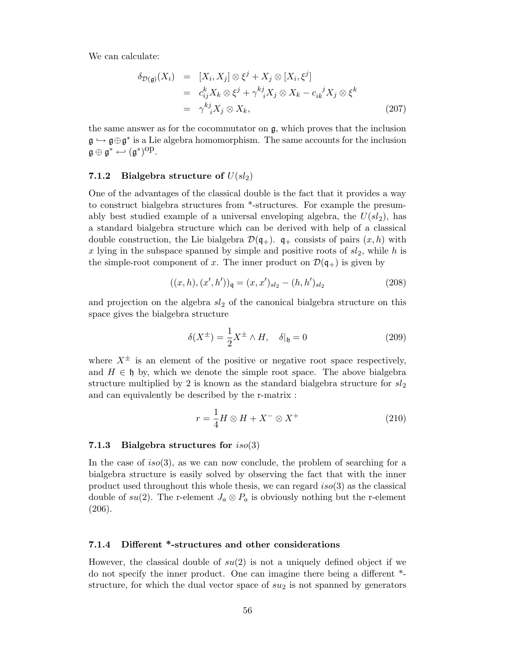We can calculate:

$$
\delta_{\mathcal{D}(\mathfrak{g})}(X_i) = [X_i, X_j] \otimes \xi^j + X_j \otimes [X_i, \xi^j]
$$
  
\n
$$
= c_{ij}^k X_k \otimes \xi^j + \gamma^{kj}_{\quad i} X_j \otimes X_k - c_{ik}^{\ j} X_j \otimes \xi^k
$$
  
\n
$$
= \gamma^{kj}_{\quad i} X_j \otimes X_k, \tag{207}
$$

the same answer as for the cocommutator on  $g$ , which proves that the inclusion  $\mathfrak{g} \hookrightarrow \mathfrak{g} \oplus \mathfrak{g}^*$  is a Lie algebra homomorphism. The same accounts for the inclusion  $\mathfrak{g} \oplus \mathfrak{g}^* \leftarrow (\mathfrak{g}^*)^{\text{op}}.$ 

## 7.1.2 Bialgebra structure of  $U(sl_2)$

One of the advantages of the classical double is the fact that it provides a way to construct bialgebra structures from \*-structures. For example the presumably best studied example of a universal enveloping algebra, the  $U(sl_2)$ , has a standard bialgebra structure which can be derived with help of a classical double construction, the Lie bialgebra  $\mathcal{D}(\mathfrak{q}_+)$ .  $\mathfrak{q}_+$  consists of pairs  $(x, h)$  with x lying in the subspace spanned by simple and positive roots of  $sl_2$ , while h is the simple-root component of x. The inner product on  $\mathcal{D}(\mathfrak{q}_+)$  is given by

$$
((x,h),(x',h'))_{\mathfrak{q}} = (x,x')_{sl_2} - (h,h')_{sl_2}
$$
\n(208)

and projection on the algebra  $sl_2$  of the canonical bialgebra structure on this space gives the bialgebra structure

$$
\delta(X^{\pm}) = \frac{1}{2}X^{\pm} \wedge H, \quad \delta|_{\mathfrak{h}} = 0 \tag{209}
$$

where  $X^{\pm}$  is an element of the positive or negative root space respectively, and  $H \in \mathfrak{h}$  by, which we denote the simple root space. The above bialgebra structure multiplied by 2 is known as the standard bialgebra structure for  $sl_2$ and can equivalently be described by the r-matrix :

$$
r = \frac{1}{4}H \otimes H + X^{-} \otimes X^{+}
$$
 (210)

#### 7.1.3 Bialgebra structures for  $iso(3)$

In the case of iso(3), as we can now conclude, the problem of searching for a bialgebra structure is easily solved by observing the fact that with the inner product used throughout this whole thesis, we can regard  $iso(3)$  as the classical double of su(2). The r-element  $J_a \otimes P_a$  is obviously nothing but the r-element (206).

#### 7.1.4 Different \*-structures and other considerations

However, the classical double of  $su(2)$  is not a uniquely defined object if we do not specify the inner product. One can imagine there being a different \* structure, for which the dual vector space of  $su<sub>2</sub>$  is not spanned by generators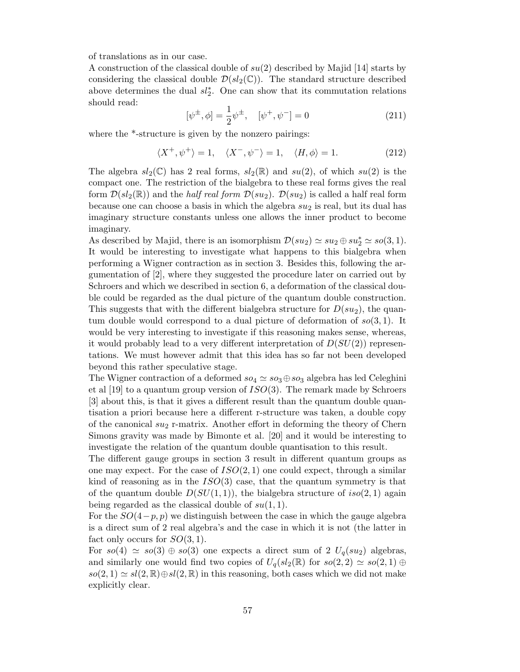of translations as in our case.

A construction of the classical double of  $su(2)$  described by Majid [14] starts by considering the classical double  $\mathcal{D}(sl_2(\mathbb{C}))$ . The standard structure described above determines the dual  $sl_2^*$ . One can show that its commutation relations should read:

$$
[\psi^{\pm}, \phi] = \frac{1}{2} \psi^{\pm}, \quad [\psi^+, \psi^-] = 0 \tag{211}
$$

where the  $*$ -structure is given by the nonzero pairings:

$$
\langle X^+, \psi^+ \rangle = 1, \quad \langle X^-, \psi^- \rangle = 1, \quad \langle H, \phi \rangle = 1. \tag{212}
$$

The algebra  $sl_2(\mathbb{C})$  has 2 real forms,  $sl_2(\mathbb{R})$  and  $su(2)$ , of which  $su(2)$  is the compact one. The restriction of the bialgebra to these real forms gives the real form  $\mathcal{D}(sl_2(\mathbb{R}))$  and the *half real form*  $\mathcal{D}(su_2)$ .  $\mathcal{D}(su_2)$  is called a half real form because one can choose a basis in which the algebra  $su_2$  is real, but its dual has imaginary structure constants unless one allows the inner product to become imaginary.

As described by Majid, there is an isomorphism  $\mathcal{D}(su_2) \simeq su_2 \oplus su_2^* \simeq so(3,1)$ . It would be interesting to investigate what happens to this bialgebra when performing a Wigner contraction as in section 3. Besides this, following the argumentation of [2], where they suggested the procedure later on carried out by Schroers and which we described in section 6, a deformation of the classical double could be regarded as the dual picture of the quantum double construction. This suggests that with the different bialgebra structure for  $D(su_2)$ , the quantum double would correspond to a dual picture of deformation of  $so(3,1)$ . It would be very interesting to investigate if this reasoning makes sense, whereas, it would probably lead to a very different interpretation of  $D(SU(2))$  representations. We must however admit that this idea has so far not been developed beyond this rather speculative stage.

The Wigner contraction of a deformed  $so_4 \simeq so_3 \oplus so_3$  algebra has led Celeghini et al [19] to a quantum group version of  $ISO(3)$ . The remark made by Schroers [3] about this, is that it gives a different result than the quantum double quantisation a priori because here a different r-structure was taken, a double copy of the canonical  $su_2$  r-matrix. Another effort in deforming the theory of Chern Simons gravity was made by Bimonte et al. [20] and it would be interesting to investigate the relation of the quantum double quantisation to this result.

The different gauge groups in section 3 result in different quantum groups as one may expect. For the case of  $ISO(2,1)$  one could expect, through a similar kind of reasoning as in the  $ISO(3)$  case, that the quantum symmetry is that of the quantum double  $D(SU(1, 1))$ , the bialgebra structure of  $iso(2, 1)$  again being regarded as the classical double of  $su(1,1)$ .

For the  $SO(4-p, p)$  we distinguish between the case in which the gauge algebra is a direct sum of 2 real algebra's and the case in which it is not (the latter in fact only occurs for  $SO(3,1)$ .

For  $so(4) \simeq so(3) \oplus so(3)$  one expects a direct sum of 2  $U_q(su_2)$  algebras, and similarly one would find two copies of  $U_q(sl_2(\mathbb{R})$  for  $so(2, 2) \simeq so(2, 1) \oplus$  $so(2, 1) \simeq sl(2, \mathbb{R}) \oplus sl(2, \mathbb{R})$  in this reasoning, both cases which we did not make explicitly clear.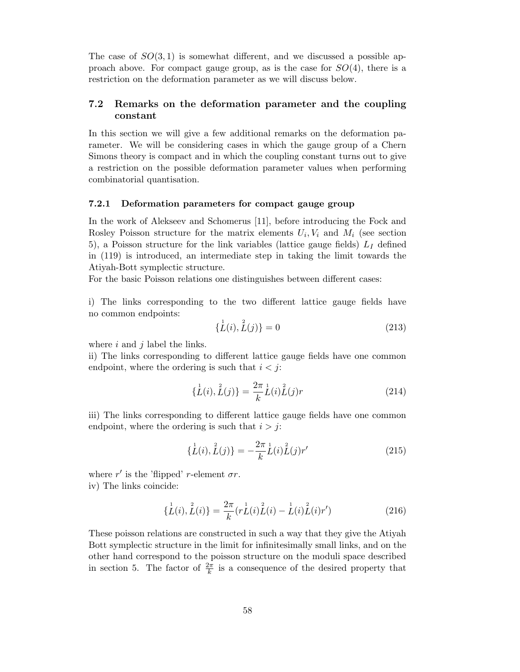The case of  $SO(3,1)$  is somewhat different, and we discussed a possible approach above. For compact gauge group, as is the case for  $SO(4)$ , there is a restriction on the deformation parameter as we will discuss below.

# 7.2 Remarks on the deformation parameter and the coupling constant

In this section we will give a few additional remarks on the deformation parameter. We will be considering cases in which the gauge group of a Chern Simons theory is compact and in which the coupling constant turns out to give a restriction on the possible deformation parameter values when performing combinatorial quantisation.

#### 7.2.1 Deformation parameters for compact gauge group

In the work of Alekseev and Schomerus [11], before introducing the Fock and Rosley Poisson structure for the matrix elements  $U_i, V_i$  and  $M_i$  (see section 5), a Poisson structure for the link variables (lattice gauge fields)  $L<sub>I</sub>$  defined in (119) is introduced, an intermediate step in taking the limit towards the Atiyah-Bott symplectic structure.

For the basic Poisson relations one distinguishes between different cases:

i) The links corresponding to the two different lattice gauge fields have no common endpoints:

$$
\{\stackrel{1}{L}(i),\stackrel{2}{L}(j)\}=0\tag{213}
$$

where  $i$  and  $j$  label the links.

ii) The links corresponding to different lattice gauge fields have one common endpoint, where the ordering is such that  $i < j$ :

$$
\{\stackrel{1}{L}(i),\stackrel{2}{L}(j)\} = \frac{2\pi}{k}\stackrel{1}{L}(i)\stackrel{2}{L}(j)r
$$
\n(214)

iii) The links corresponding to different lattice gauge fields have one common endpoint, where the ordering is such that  $i > j$ :

$$
\{\stackrel{1}{L}(i),\stackrel{2}{L}(j)\} = -\frac{2\pi}{k}\stackrel{1}{L}(i)\stackrel{2}{L}(j)r'
$$
\n(215)

where  $r'$  is the 'flipped' r-element  $\sigma r$ . iv) The links coincide:

$$
\{\stackrel{1}{L}(i),\stackrel{2}{L}(i)\} = \frac{2\pi}{k}(r\stackrel{1}{L}(i)\stackrel{2}{L}(i) - \stackrel{1}{L}(i)\stackrel{2}{L}(i)r')
$$
(216)

These poisson relations are constructed in such a way that they give the Atiyah Bott symplectic structure in the limit for infinitesimally small links, and on the other hand correspond to the poisson structure on the moduli space described in section 5. The factor of  $\frac{2\pi}{k}$  is a consequence of the desired property that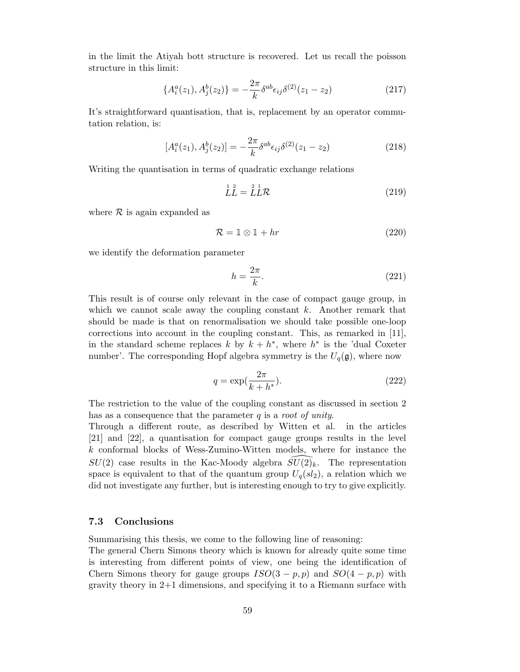in the limit the Atiyah bott structure is recovered. Let us recall the poisson structure in this limit:

$$
\{A_i^a(z_1), A_j^b(z_2)\} = -\frac{2\pi}{k} \delta^{ab} \epsilon_{ij} \delta^{(2)}(z_1 - z_2)
$$
\n(217)

It's straightforward quantisation, that is, replacement by an operator commutation relation, is:

$$
[A_i^a(z_1), A_j^b(z_2)] = -\frac{2\pi}{k} \delta^{ab} \epsilon_{ij} \delta^{(2)}(z_1 - z_2)
$$
 (218)

Writing the quantisation in terms of quadratic exchange relations

$$
LL^{\frac{1}{2}} = LL\mathcal{R}
$$
\n(219)

where  $\mathcal R$  is again expanded as

$$
\mathcal{R} = \mathbb{1} \otimes \mathbb{1} + hr \tag{220}
$$

we identify the deformation parameter

$$
h = \frac{2\pi}{k}.\tag{221}
$$

This result is of course only relevant in the case of compact gauge group, in which we cannot scale away the coupling constant  $k$ . Another remark that should be made is that on renormalisation we should take possible one-loop corrections into account in the coupling constant. This, as remarked in [11], in the standard scheme replaces k by  $k + h^*$ , where  $h^*$  is the 'dual Coxeter number'. The corresponding Hopf algebra symmetry is the  $U_q(\mathfrak{g})$ , where now

$$
q = \exp\left(\frac{2\pi}{k + h^*}\right). \tag{222}
$$

The restriction to the value of the coupling constant as discussed in section 2 has as a consequence that the parameter  $q$  is a *root of unity*.

Through a different route, as described by Witten et al. in the articles [21] and [22], a quantisation for compact gauge groups results in the level k conformal blocks of Wess-Zumino-Witten models, where for instance the  $SU(2)$  case results in the Kac-Moody algebra  $SU(2)_k$ . The representation space is equivalent to that of the quantum group  $U_q(sl_2)$ , a relation which we did not investigate any further, but is interesting enough to try to give explicitly.

#### 7.3 Conclusions

Summarising this thesis, we come to the following line of reasoning:

The general Chern Simons theory which is known for already quite some time is interesting from different points of view, one being the identification of Chern Simons theory for gauge groups  $ISO(3-p,p)$  and  $SO(4-p,p)$  with gravity theory in 2+1 dimensions, and specifying it to a Riemann surface with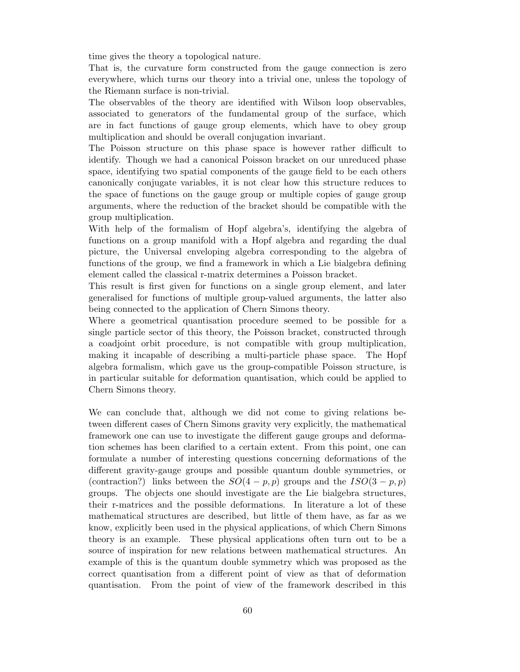time gives the theory a topological nature.

That is, the curvature form constructed from the gauge connection is zero everywhere, which turns our theory into a trivial one, unless the topology of the Riemann surface is non-trivial.

The observables of the theory are identified with Wilson loop observables, associated to generators of the fundamental group of the surface, which are in fact functions of gauge group elements, which have to obey group multiplication and should be overall conjugation invariant.

The Poisson structure on this phase space is however rather difficult to identify. Though we had a canonical Poisson bracket on our unreduced phase space, identifying two spatial components of the gauge field to be each others canonically conjugate variables, it is not clear how this structure reduces to the space of functions on the gauge group or multiple copies of gauge group arguments, where the reduction of the bracket should be compatible with the group multiplication.

With help of the formalism of Hopf algebra's, identifying the algebra of functions on a group manifold with a Hopf algebra and regarding the dual picture, the Universal enveloping algebra corresponding to the algebra of functions of the group, we find a framework in which a Lie bialgebra defining element called the classical r-matrix determines a Poisson bracket.

This result is first given for functions on a single group element, and later generalised for functions of multiple group-valued arguments, the latter also being connected to the application of Chern Simons theory.

Where a geometrical quantisation procedure seemed to be possible for a single particle sector of this theory, the Poisson bracket, constructed through a coadjoint orbit procedure, is not compatible with group multiplication, making it incapable of describing a multi-particle phase space. The Hopf algebra formalism, which gave us the group-compatible Poisson structure, is in particular suitable for deformation quantisation, which could be applied to Chern Simons theory.

We can conclude that, although we did not come to giving relations between different cases of Chern Simons gravity very explicitly, the mathematical framework one can use to investigate the different gauge groups and deformation schemes has been clarified to a certain extent. From this point, one can formulate a number of interesting questions concerning deformations of the different gravity-gauge groups and possible quantum double symmetries, or (contraction?) links between the  $SO(4-p,p)$  groups and the  $ISO(3-p,p)$ groups. The objects one should investigate are the Lie bialgebra structures, their r-matrices and the possible deformations. In literature a lot of these mathematical structures are described, but little of them have, as far as we know, explicitly been used in the physical applications, of which Chern Simons theory is an example. These physical applications often turn out to be a source of inspiration for new relations between mathematical structures. An example of this is the quantum double symmetry which was proposed as the correct quantisation from a different point of view as that of deformation quantisation. From the point of view of the framework described in this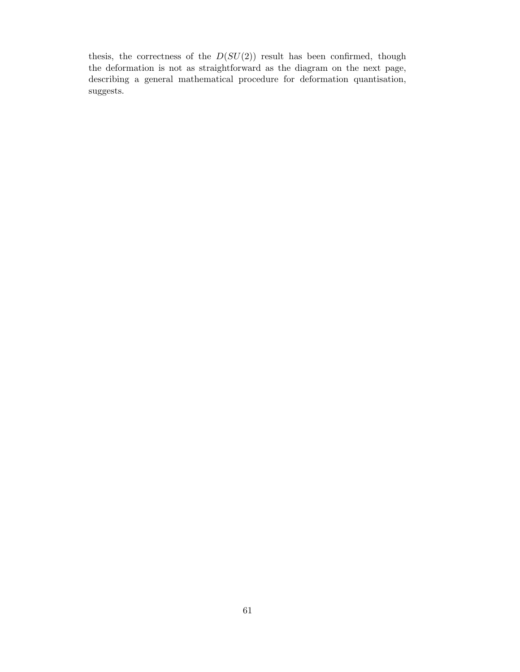thesis, the correctness of the  $D(SU(2))$  result has been confirmed, though the deformation is not as straightforward as the diagram on the next page, describing a general mathematical procedure for deformation quantisation, suggests.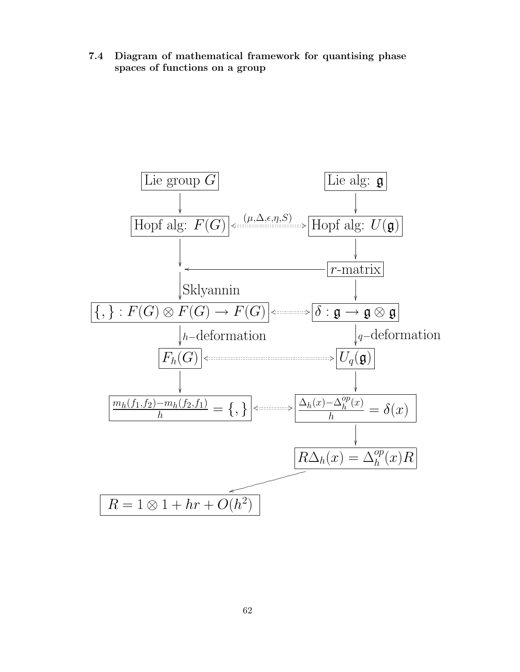7.4 Diagram of mathematical framework for quantising phase spaces of functions on a group

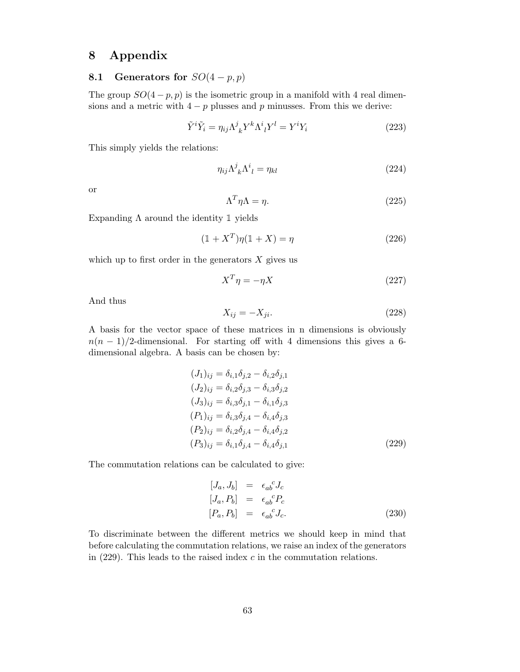# 8 Appendix

# 8.1 Generators for  $SO(4-p,p)$

The group  $SO(4-p,p)$  is the isometric group in a manifold with 4 real dimensions and a metric with  $4-p$  plusses and p minusses. From this we derive:

$$
\tilde{Y}^i \tilde{Y}_i = \eta_{ij} \Lambda^j_{\ k} Y^k \Lambda^i_{\ l} Y^l = Y^i Y_i \tag{223}
$$

This simply yields the relations:

$$
\eta_{ij}\Lambda^j_{\ k}\Lambda^i_{\ l} = \eta_{kl} \tag{224}
$$

or

$$
\Lambda^T \eta \Lambda = \eta. \tag{225}
$$

Expanding  $\Lambda$  around the identity 1 yields

$$
(1 + XT)\eta(1 + X) = \eta
$$
\n(226)

which up to first order in the generators  $X$  gives us

$$
X^T \eta = -\eta X \tag{227}
$$

And thus

$$
X_{ij} = -X_{ji}.\tag{228}
$$

A basis for the vector space of these matrices in n dimensions is obviously  $n(n-1)/2$ -dimensional. For starting off with 4 dimensions this gives a 6dimensional algebra. A basis can be chosen by:

$$
(J_1)_{ij} = \delta_{i,1}\delta_{j,2} - \delta_{i,2}\delta_{j,1}
$$
  
\n
$$
(J_2)_{ij} = \delta_{i,2}\delta_{j,3} - \delta_{i,3}\delta_{j,2}
$$
  
\n
$$
(J_3)_{ij} = \delta_{i,3}\delta_{j,1} - \delta_{i,1}\delta_{j,3}
$$
  
\n
$$
(P_1)_{ij} = \delta_{i,3}\delta_{j,4} - \delta_{i,4}\delta_{j,3}
$$
  
\n
$$
(P_2)_{ij} = \delta_{i,2}\delta_{j,4} - \delta_{i,4}\delta_{j,2}
$$
  
\n
$$
(P_3)_{ij} = \delta_{i,1}\delta_{j,4} - \delta_{i,4}\delta_{j,1}
$$
  
\n(229)

The commutation relations can be calculated to give:

$$
[J_a, J_b] = \epsilon_{ab}^{\ \ c} J_c
$$
  
\n
$$
[J_a, P_b] = \epsilon_{ab}^{\ \ c} P_c
$$
  
\n
$$
[P_a, P_b] = \epsilon_{ab}^{\ \ c} J_c.
$$
\n(230)

To discriminate between the different metrics we should keep in mind that before calculating the commutation relations, we raise an index of the generators in  $(229)$ . This leads to the raised index c in the commutation relations.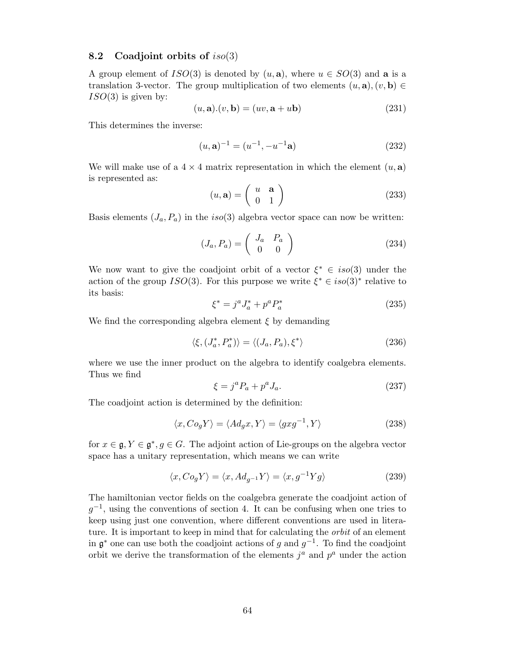## 8.2 Coadjoint orbits of  $iso(3)$

A group element of  $ISO(3)$  is denoted by  $(u, \mathbf{a})$ , where  $u \in SO(3)$  and  $\mathbf{a}$  is a translation 3-vector. The group multiplication of two elements  $(u, \mathbf{a}), (v, \mathbf{b}) \in$  $ISO(3)$  is given by:

$$
(u, \mathbf{a}).(v, \mathbf{b}) = (uv, \mathbf{a} + u\mathbf{b})
$$
\n(231)

This determines the inverse:

$$
(u, \mathbf{a})^{-1} = (u^{-1}, -u^{-1}\mathbf{a})
$$
\n(232)

We will make use of a  $4 \times 4$  matrix representation in which the element  $(u, a)$ is represented as:

$$
(u, \mathbf{a}) = \left(\begin{array}{cc} u & \mathbf{a} \\ 0 & 1 \end{array}\right) \tag{233}
$$

Basis elements  $(J_a, P_a)$  in the iso(3) algebra vector space can now be written:

$$
(J_a, P_a) = \begin{pmatrix} J_a & P_a \\ 0 & 0 \end{pmatrix}
$$
 (234)

We now want to give the coadjoint orbit of a vector  $\xi^* \in iso(3)$  under the action of the group  $ISO(3)$ . For this purpose we write  $\xi^* \in iso(3)^*$  relative to its basis:

$$
\xi^* = j^a J_a^* + p^a P_a^* \tag{235}
$$

We find the corresponding algebra element  $\xi$  by demanding

$$
\langle \xi, (J_a^*, P_a^*) \rangle = \langle (J_a, P_a), \xi^* \rangle \tag{236}
$$

where we use the inner product on the algebra to identify coalgebra elements. Thus we find

$$
\xi = j^a P_a + p^a J_a. \tag{237}
$$

The coadjoint action is determined by the definition:

$$
\langle x, Co_g Y \rangle = \langle Ad_g x, Y \rangle = \langle gxg^{-1}, Y \rangle \tag{238}
$$

for  $x \in \mathfrak{g}, Y \in \mathfrak{g}^*, g \in G$ . The adjoint action of Lie-groups on the algebra vector space has a unitary representation, which means we can write

$$
\langle x, Co_g Y \rangle = \langle x, Ad_{g^{-1}} Y \rangle = \langle x, g^{-1} Y g \rangle \tag{239}
$$

The hamiltonian vector fields on the coalgebra generate the coadjoint action of  $g^{-1}$ , using the conventions of section 4. It can be confusing when one tries to keep using just one convention, where different conventions are used in literature. It is important to keep in mind that for calculating the *orbit* of an element in  $\mathfrak{g}^*$  one can use both the coadjoint actions of g and  $g^{-1}$ . To find the coadjoint orbit we derive the transformation of the elements  $j^a$  and  $p^a$  under the action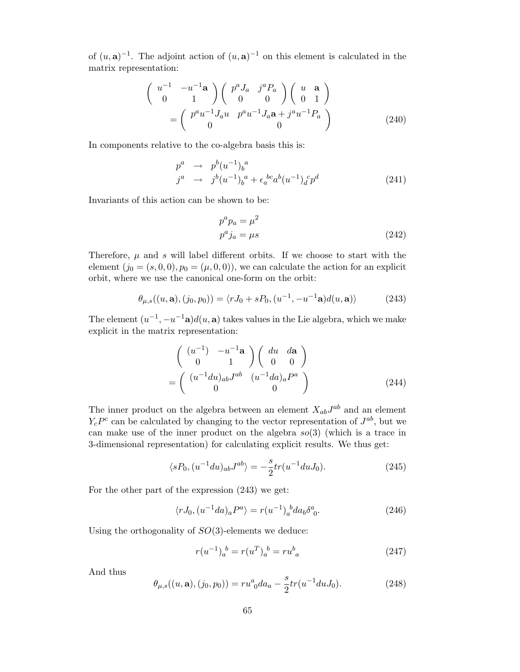of  $(u, \mathbf{a})^{-1}$ . The adjoint action of  $(u, \mathbf{a})^{-1}$  on this element is calculated in the matrix representation:

$$
\begin{pmatrix}\nu^{-1} & -u^{-1}\mathbf{a} \\
0 & 1\n\end{pmatrix}\n\begin{pmatrix}\np^a J_a & j^a P_a \\
0 & 0\n\end{pmatrix}\n\begin{pmatrix}\nu & \mathbf{a} \\
0 & 1\n\end{pmatrix}
$$
\n
$$
=\n\begin{pmatrix}\np^a u^{-1} J_a u & p^a u^{-1} J_a \mathbf{a} + j^a u^{-1} P_a \\
0 & 0\n\end{pmatrix}
$$
\n(240)

In components relative to the co-algebra basis this is:

$$
p^{a} \rightarrow p^{b} (u^{-1})_{b}^{a}
$$
  
\n
$$
j^{a} \rightarrow j^{b} (u^{-1})_{b}^{a} + \epsilon_{a}^{bc} a^{b} (u^{-1})_{d}^{c} p^{d}
$$
\n(241)

Invariants of this action can be shown to be:

$$
p^a p_a = \mu^2
$$
  
\n
$$
p^a j_a = \mu s
$$
\n(242)

Therefore,  $\mu$  and  $s$  will label different orbits. If we choose to start with the element  $(j_0 = (s, 0, 0), p_0 = (\mu, 0, 0)$ , we can calculate the action for an explicit orbit, where we use the canonical one-form on the orbit:

$$
\theta_{\mu,s}((u,\mathbf{a}),(j_0,p_0)) = \langle rJ_0 + sP_0, (u^{-1}, -u^{-1}\mathbf{a})d(u,\mathbf{a})\rangle \tag{243}
$$

The element  $(u^{-1}, -u^{-1}\mathbf{a})d(u, \mathbf{a})$  takes values in the Lie algebra, which we make explicit in the matrix representation:

$$
\begin{pmatrix}\n(u^{-1}) & -u^{-1}\mathbf{a} \\
0 & 1\n\end{pmatrix}\n\begin{pmatrix}\ndu & d\mathbf{a} \\
0 & 0\n\end{pmatrix}
$$
\n
$$
=\n\begin{pmatrix}\n(u^{-1}du)_{ab}J^{ab} & (u^{-1}da)_aP^a \\
0 & 0\n\end{pmatrix}
$$
\n(244)

The inner product on the algebra between an element  $X_{ab}J^{ab}$  and an element  $Y_c P^c$  can be calculated by changing to the vector representation of  $J^{ab}$ , but we can make use of the inner product on the algebra  $so(3)$  (which is a trace in 3-dimensional representation) for calculating explicit results. We thus get:

$$
\langle sP_0, (u^{-1}du)_{ab}J^{ab}\rangle = -\frac{s}{2}tr(u^{-1}duJ_0). \tag{245}
$$

For the other part of the expression (243) we get:

$$
\langle rJ_0, (u^{-1}da)_a P^a \rangle = r(u^{-1})_a^b da_b \delta^a_0. \tag{246}
$$

Using the orthogonality of  $SO(3)$ -elements we deduce:

$$
r(u^{-1})_a^b = r(u^T)_a^b = ru^b{}_a \tag{247}
$$

And thus

$$
\theta_{\mu,s}((u,\mathbf{a}),(j_0,p_0)) = ru_0^a da_a - \frac{s}{2} tr(u^{-1} du J_0).
$$
 (248)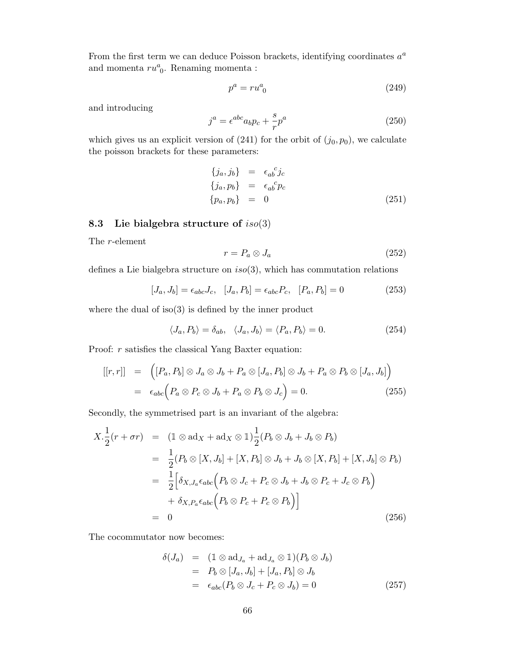From the first term we can deduce Poisson brackets, identifying coordinates  $a^a$ and momenta  $ru_0^a$ . Renaming momenta :

$$
p^a = ru^a_{\ 0} \tag{249}
$$

and introducing

$$
j^a = \epsilon^{abc} a_b p_c + \frac{s}{r} p^a \tag{250}
$$

which gives us an explicit version of  $(241)$  for the orbit of  $(j_0, p_0)$ , we calculate the poisson brackets for these parameters:

$$
\begin{aligned}\n\{j_a, j_b\} &= \epsilon_{ab}^c j_c \\
\{j_a, p_b\} &= \epsilon_{ab}^c p_c \\
\{p_a, p_b\} &= 0\n\end{aligned}
$$
\n(251)

# 8.3 Lie bialgebra structure of  $iso(3)$

The r-element

$$
r = P_a \otimes J_a \tag{252}
$$

defines a Lie bialgebra structure on  $iso(3)$ , which has commutation relations

$$
[J_a, J_b] = \epsilon_{abc} J_c, \quad [J_a, P_b] = \epsilon_{abc} P_c, \quad [P_a, P_b] = 0 \tag{253}
$$

where the dual of  $iso(3)$  is defined by the inner product

$$
\langle J_a, P_b \rangle = \delta_{ab}, \quad \langle J_a, J_b \rangle = \langle P_a, P_b \rangle = 0. \tag{254}
$$

Proof:  $r$  satisfies the classical Yang Baxter equation:

$$
[[r,r]] = ([P_a, P_b] \otimes J_a \otimes J_b + P_a \otimes [J_a, P_b] \otimes J_b + P_a \otimes P_b \otimes [J_a, J_b])
$$
  
=  $\epsilon_{abc} (P_a \otimes P_c \otimes J_b + P_a \otimes P_b \otimes J_c) = 0.$  (255)

Secondly, the symmetrised part is an invariant of the algebra:

$$
X.\frac{1}{2}(r+\sigma r) = (1 \otimes \text{ad}_X + \text{ad}_X \otimes 1)\frac{1}{2}(P_b \otimes J_b + J_b \otimes P_b)
$$
  
\n
$$
= \frac{1}{2}(P_b \otimes [X, J_b] + [X, P_b] \otimes J_b + J_b \otimes [X, P_b] + [X, J_b] \otimes P_b)
$$
  
\n
$$
= \frac{1}{2} \Big[ \delta_{X, J_a} \epsilon_{abc} \Big( P_b \otimes J_c + P_c \otimes J_b + J_b \otimes P_c + J_c \otimes P_b \Big)
$$
  
\n
$$
+ \delta_{X, P_a} \epsilon_{abc} \Big( P_b \otimes P_c + P_c \otimes P_b \Big) \Big]
$$
  
\n
$$
= 0
$$
 (256)

The cocommutator now becomes:

$$
\delta(J_a) = (1 \otimes \mathrm{ad}_{J_a} + \mathrm{ad}_{J_a} \otimes 1)(P_b \otimes J_b)
$$
  
=  $P_b \otimes [J_a, J_b] + [J_a, P_b] \otimes J_b$   
=  $\epsilon_{abc}(P_b \otimes J_c + P_c \otimes J_b) = 0$  (257)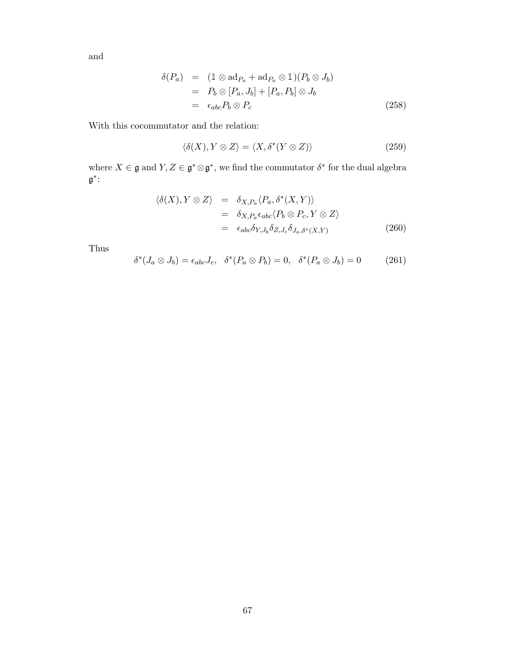and

$$
\delta(P_a) = (1 \otimes \text{ad}_{P_a} + \text{ad}_{P_a} \otimes 1)(P_b \otimes J_b)
$$
  
=  $P_b \otimes [P_a, J_b] + [P_a, P_b] \otimes J_b$   
=  $\epsilon_{abc} P_b \otimes P_c$  (258)

With this cocommutator and the relation:

$$
\langle \delta(X), Y \otimes Z \rangle = \langle X, \delta^*(Y \otimes Z) \rangle \tag{259}
$$

where  $X \in \mathfrak{g}$  and  $Y, Z \in \mathfrak{g}^* \otimes \mathfrak{g}^*$ , we find the commutator  $\delta^*$  for the dual algebra g ∗ :

$$
\langle \delta(X), Y \otimes Z \rangle = \delta_{X, P_a} \langle P_a, \delta^*(X, Y) \rangle
$$
  
=  $\delta_{X, P_a} \epsilon_{abc} \langle P_b \otimes P_c, Y \otimes Z \rangle$   
=  $\epsilon_{abc} \delta_{Y, J_b} \delta_{Z, J_c} \delta_{J_a, \delta^*(X, Y)}$  (260)

Thus

$$
\delta^*(J_a \otimes J_b) = \epsilon_{abc} J_c, \quad \delta^*(P_a \otimes P_b) = 0, \quad \delta^*(P_a \otimes J_b) = 0 \tag{261}
$$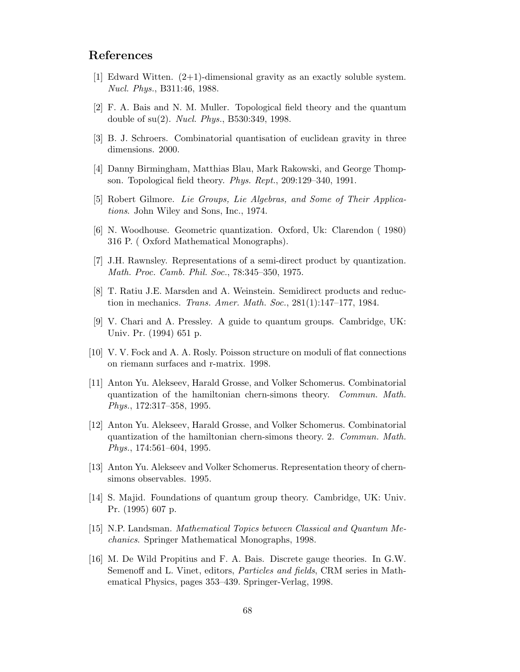# References

- $|1|$  Edward Witten.  $(2+1)$ -dimensional gravity as an exactly soluble system. Nucl. Phys., B311:46, 1988.
- [2] F. A. Bais and N. M. Muller. Topological field theory and the quantum double of su(2). Nucl. Phys., B530:349, 1998.
- [3] B. J. Schroers. Combinatorial quantisation of euclidean gravity in three dimensions. 2000.
- [4] Danny Birmingham, Matthias Blau, Mark Rakowski, and George Thompson. Topological field theory. Phys. Rept., 209:129–340, 1991.
- [5] Robert Gilmore. Lie Groups, Lie Algebras, and Some of Their Applications. John Wiley and Sons, Inc., 1974.
- [6] N. Woodhouse. Geometric quantization. Oxford, Uk: Clarendon ( 1980) 316 P. ( Oxford Mathematical Monographs).
- [7] J.H. Rawnsley. Representations of a semi-direct product by quantization. Math. Proc. Camb. Phil. Soc., 78:345–350, 1975.
- [8] T. Ratiu J.E. Marsden and A. Weinstein. Semidirect products and reduction in mechanics. Trans. Amer. Math. Soc., 281(1):147–177, 1984.
- [9] V. Chari and A. Pressley. A guide to quantum groups. Cambridge, UK: Univ. Pr. (1994) 651 p.
- [10] V. V. Fock and A. A. Rosly. Poisson structure on moduli of flat connections on riemann surfaces and r-matrix. 1998.
- [11] Anton Yu. Alekseev, Harald Grosse, and Volker Schomerus. Combinatorial quantization of the hamiltonian chern-simons theory. Commun. Math. Phys., 172:317–358, 1995.
- [12] Anton Yu. Alekseev, Harald Grosse, and Volker Schomerus. Combinatorial quantization of the hamiltonian chern-simons theory. 2. Commun. Math. Phys., 174:561–604, 1995.
- [13] Anton Yu. Alekseev and Volker Schomerus. Representation theory of chernsimons observables. 1995.
- [14] S. Majid. Foundations of quantum group theory. Cambridge, UK: Univ. Pr. (1995) 607 p.
- [15] N.P. Landsman. Mathematical Topics between Classical and Quantum Mechanics. Springer Mathematical Monographs, 1998.
- [16] M. De Wild Propitius and F. A. Bais. Discrete gauge theories. In G.W. Semenoff and L. Vinet, editors, Particles and fields, CRM series in Mathematical Physics, pages 353–439. Springer-Verlag, 1998.